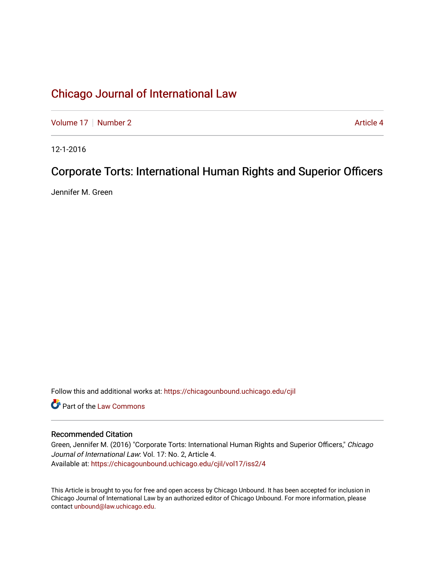[Volume 17](https://chicagounbound.uchicago.edu/cjil/vol17) [Number 2](https://chicagounbound.uchicago.edu/cjil/vol17/iss2) Article 4

12-1-2016

# Corporate Torts: International Human Rights and Superior Officers

Jennifer M. Green

Follow this and additional works at: [https://chicagounbound.uchicago.edu/cjil](https://chicagounbound.uchicago.edu/cjil?utm_source=chicagounbound.uchicago.edu%2Fcjil%2Fvol17%2Fiss2%2F4&utm_medium=PDF&utm_campaign=PDFCoverPages)

Part of the [Law Commons](http://network.bepress.com/hgg/discipline/578?utm_source=chicagounbound.uchicago.edu%2Fcjil%2Fvol17%2Fiss2%2F4&utm_medium=PDF&utm_campaign=PDFCoverPages)

### Recommended Citation

Green, Jennifer M. (2016) "Corporate Torts: International Human Rights and Superior Officers," Chicago Journal of International Law: Vol. 17: No. 2, Article 4. Available at: [https://chicagounbound.uchicago.edu/cjil/vol17/iss2/4](https://chicagounbound.uchicago.edu/cjil/vol17/iss2/4?utm_source=chicagounbound.uchicago.edu%2Fcjil%2Fvol17%2Fiss2%2F4&utm_medium=PDF&utm_campaign=PDFCoverPages)

This Article is brought to you for free and open access by Chicago Unbound. It has been accepted for inclusion in Chicago Journal of International Law by an authorized editor of Chicago Unbound. For more information, please contact [unbound@law.uchicago.edu](mailto:unbound@law.uchicago.edu).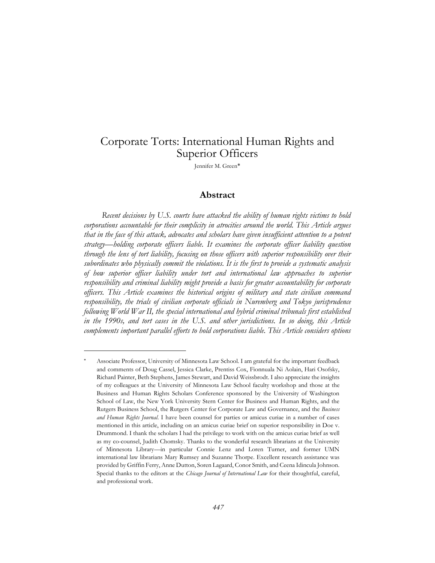# Corporate Torts: International Human Rights and Superior Officers

Jennifer M. Green

### **Abstract**

*Recent decisions by U.S. courts have attacked the ability of human rights victims to hold corporations accountable for their complicity in atrocities around the world. This Article argues that in the face of this attack, advocates and scholars have given insufficient attention to a potent strategy—holding corporate officers liable. It examines the corporate officer liability question through the lens of tort liability, focusing on those officers with superior responsibility over their subordinates who physically commit the violations. It is the first to provide a systematic analysis of how superior officer liability under tort and international law approaches to superior responsibility and criminal liability might provide a basis for greater accountability for corporate officers. This Article examines the historical origins of military and state civilian command responsibility, the trials of civilian corporate officials in Nuremberg and Tokyo jurisprudence following World War II, the special international and hybrid criminal tribunals first established*  in the 1990s, and tort cases in the U.S. and other jurisdictions. In so doing, this Article *complements important parallel efforts to hold corporations liable. This Article considers options* 

Associate Professor, University of Minnesota Law School. I am grateful for the important feedback and comments of Doug Cassel, Jessica Clarke, Prentiss Cox, Fionnuala Ni Aolain, Hari Osofsky, Richard Painter, Beth Stephens, James Stewart, and David Weissbrodt. I also appreciate the insights of my colleagues at the University of Minnesota Law School faculty workshop and those at the Business and Human Rights Scholars Conference sponsored by the University of Washington School of Law, the New York University Stern Center for Business and Human Rights, and the Rutgers Business School, the Rutgers Center for Corporate Law and Governance, and the *Business and Human Rights Journal*. I have been counsel for parties or amicus curiae in a number of cases mentioned in this article, including on an amicus curiae brief on superior responsibility in Doe v. Drummond. I thank the scholars I had the privilege to work with on the amicus curiae brief as well as my co-counsel, Judith Chomsky. Thanks to the wonderful research librarians at the University of Minnesota Library—in particular Connie Lenz and Loren Turner, and former UMN international law librarians Mary Rumsey and Suzanne Thorpe. Excellent research assistance was provided by Griffin Ferry, Anne Dutton, Soren Lagaard, Conor Smith, and Ceena Idincula Johnson. Special thanks to the editors at the *Chicago Journal of International Law* for their thoughtful, careful, and professional work.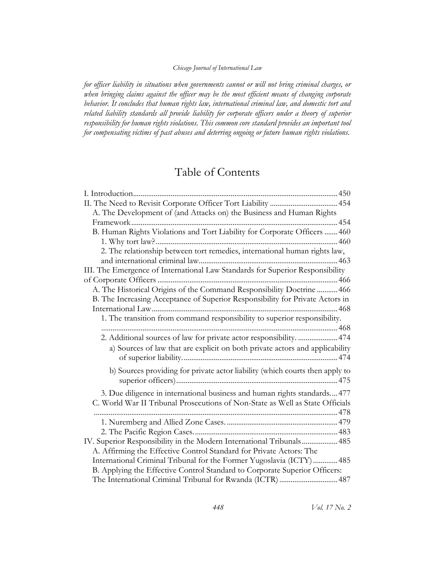*for officer liability in situations when governments cannot or will not bring criminal charges, or when bringing claims against the officer may be the most efficient means of changing corporate behavior. It concludes that human rights law, international criminal law, and domestic tort and related liability standards all provide liability for corporate officers under a theory of superior responsibility for human rights violations. This common core standard provides an important tool for compensating victims of past abuses and deterring ongoing or future human rights violations.*

## Table of Contents

| A. The Development of (and Attacks on) the Business and Human Rights          |
|-------------------------------------------------------------------------------|
|                                                                               |
| B. Human Rights Violations and Tort Liability for Corporate Officers  460     |
|                                                                               |
| 2. The relationship between tort remedies, international human rights law,    |
|                                                                               |
| III. The Emergence of International Law Standards for Superior Responsibility |
|                                                                               |
| A. The Historical Origins of the Command Responsibility Doctrine  466         |
| B. The Increasing Acceptance of Superior Responsibility for Private Actors in |
|                                                                               |
| 1. The transition from command responsibility to superior responsibility.     |
|                                                                               |
| 2. Additional sources of law for private actor responsibility.  474           |
| a) Sources of law that are explicit on both private actors and applicability  |
|                                                                               |
| b) Sources providing for private actor liability (which courts then apply to  |
|                                                                               |
| 3. Due diligence in international business and human rights standards477      |
| C. World War II Tribunal Prosecutions of Non-State as Well as State Officials |
|                                                                               |
|                                                                               |
|                                                                               |
| IV. Superior Responsibility in the Modern International Tribunals 485         |
| A. Affirming the Effective Control Standard for Private Actors: The           |
| International Criminal Tribunal for the Former Yugoslavia (ICTY)  485         |
| B. Applying the Effective Control Standard to Corporate Superior Officers:    |
| The International Criminal Tribunal for Rwanda (ICTR)  487                    |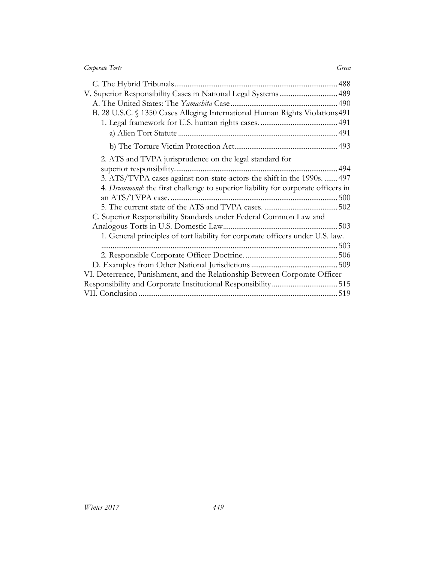| Corporate Torts | Green |
|-----------------|-------|
|                 |       |

| V. Superior Responsibility Cases in National Legal Systems 489                   |  |
|----------------------------------------------------------------------------------|--|
|                                                                                  |  |
| B. 28 U.S.C. § 1350 Cases Alleging International Human Rights Violations 491     |  |
|                                                                                  |  |
|                                                                                  |  |
|                                                                                  |  |
| 2. ATS and TVPA jurisprudence on the legal standard for                          |  |
|                                                                                  |  |
| 3. ATS/TVPA cases against non-state-actors-the shift in the 1990s.  497          |  |
| 4. Drummond: the first challenge to superior liability for corporate officers in |  |
|                                                                                  |  |
|                                                                                  |  |
| C. Superior Responsibility Standards under Federal Common Law and                |  |
|                                                                                  |  |
| 1. General principles of tort liability for corporate officers under U.S. law.   |  |
|                                                                                  |  |
|                                                                                  |  |
|                                                                                  |  |
| VI. Deterrence, Punishment, and the Relationship Between Corporate Officer       |  |
|                                                                                  |  |
|                                                                                  |  |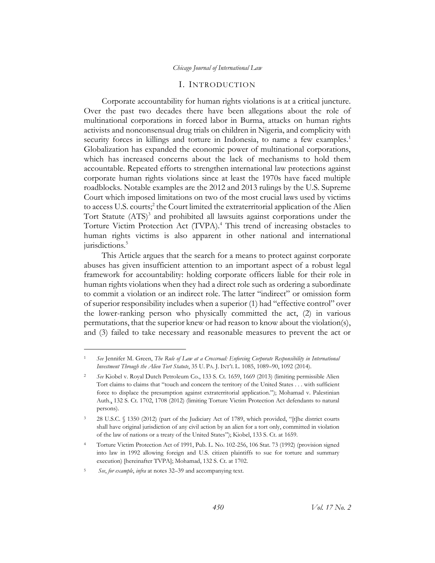#### I. INTRODUCTION

<span id="page-4-0"></span>Corporate accountability for human rights violations is at a critical juncture. Over the past two decades there have been allegations about the role of multinational corporations in forced labor in Burma, attacks on human rights activists and nonconsensual drug trials on children in Nigeria, and complicity with security forces in killings and torture in Indonesia, to name a few examples.<sup>1</sup> Globalization has expanded the economic power of multinational corporations, which has increased concerns about the lack of mechanisms to hold them accountable. Repeated efforts to strengthen international law protections against corporate human rights violations since at least the 1970s have faced multiple roadblocks. Notable examples are the 2012 and 2013 rulings by the U.S. Supreme Court which imposed limitations on two of the most crucial laws used by victims to access U.S. courts;<sup>2</sup> the Court limited the extraterritorial application of the Alien Tort Statute (ATS)<sup>3</sup> and prohibited all lawsuits against corporations under the Torture Victim Protection Act (TVPA).<sup>4</sup> This trend of increasing obstacles to human rights victims is also apparent in other national and international jurisdictions.<sup>5</sup>

This Article argues that the search for a means to protect against corporate abuses has given insufficient attention to an important aspect of a robust legal framework for accountability: holding corporate officers liable for their role in human rights violations when they had a direct role such as ordering a subordinate to commit a violation or an indirect role. The latter "indirect" or omission form of superior responsibility includes when a superior (1) had "effective control" over the lower-ranking person who physically committed the act, (2) in various permutations, that the superior knew or had reason to know about the violation(s), and (3) failed to take necessary and reasonable measures to prevent the act or

<sup>1</sup> *See* Jennifer M. Green, *The Rule of Law at a Crossroad: Enforcing Corporate Responsibility in International Investment Through the Alien Tort Statute*, 35 U. PA. J. INT'L L. 1085, 1089–90, 1092 (2014).

<sup>2</sup> *See* Kiobel v. Royal Dutch Petroleum Co., 133 S. Ct. 1659, 1669 (2013) (limiting permissible Alien Tort claims to claims that "touch and concern the territory of the United States . . . with sufficient force to displace the presumption against extraterritorial application."); Mohamad v. Palestinian Auth., 132 S. Ct. 1702, 1708 (2012) (limiting Torture Victim Protection Act defendants to natural persons).

<sup>3</sup> 28 U.S.C. § 1350 (2012) (part of the Judiciary Act of 1789, which provided, "[t]he district courts shall have original jurisdiction of any civil action by an alien for a tort only, committed in violation of the law of nations or a treaty of the United States"); Kiobel, 133 S. Ct. at 1659.

<sup>4</sup> Torture Victim Protection Act of 1991, Pub. L. No. 102-256, 106 Stat. 73 (1992) (provision signed into law in 1992 allowing foreign and U.S. citizen plaintiffs to sue for torture and summary execution) [hereinafter TVPA]; Mohamad, 132 S. Ct. at 1702.

<sup>5</sup> *See*, *for example*, *infra* at notes 32–39 and accompanying text.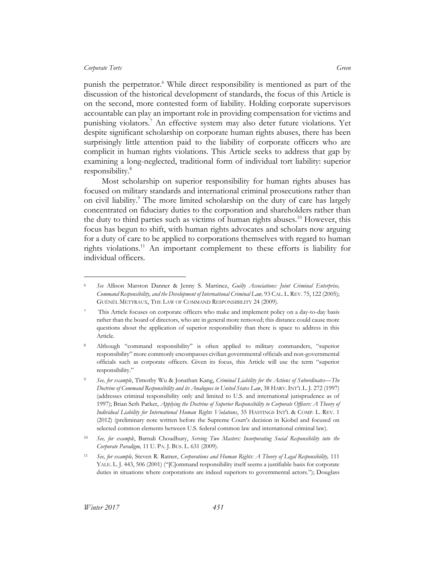$\overline{a}$ 

<span id="page-5-0"></span>punish the perpetrator.<sup>6</sup> While direct responsibility is mentioned as part of the discussion of the historical development of standards, the focus of this Article is on the second, more contested form of liability. Holding corporate supervisors accountable can play an important role in providing compensation for victims and punishing violators.<sup>7</sup> An effective system may also deter future violations. Yet despite significant scholarship on corporate human rights abuses, there has been surprisingly little attention paid to the liability of corporate officers who are complicit in human rights violations. This Article seeks to address that gap by examining a long-neglected, traditional form of individual tort liability: superior responsibility.<sup>8</sup>

Most scholarship on superior responsibility for human rights abuses has focused on military standards and international criminal prosecutions rather than on civil liability.<sup>9</sup> The more limited scholarship on the duty of care has largely concentrated on fiduciary duties to the corporation and shareholders rather than the duty to third parties such as victims of human rights abuses.<sup>10</sup> However, this focus has begun to shift, with human rights advocates and scholars now arguing for a duty of care to be applied to corporations themselves with regard to human rights violations.<sup>11</sup> An important complement to these efforts is liability for individual officers.

<sup>6</sup> *See* Allison Marston Danner & Jenny S. Martinez, *Guilty Associations: Joint Criminal Enterprise, Command Responsibility, and the Development of International Criminal Law,* 93 CAL. L.REV. 75, 122 (2005); GUÉNËL METTRAUX, THE LAW OF COMMAND RESPONSIBILITY 24 (2009).

<sup>7</sup> This Article focuses on corporate officers who make and implement policy on a day-to-day basis rather than the board of directors, who are in general more removed; this distance could cause more questions about the application of superior responsibility than there is space to address in this Article.

<sup>8</sup> Although "command responsibility" is often applied to military commanders, "superior responsibility" more commonly encompasses civilian governmental officials and non-governmental officials such as corporate officers. Given its focus, this Article will use the term "superior responsibility."

<sup>9</sup> *See, for example*, Timothy Wu & Jonathan Kang, *Criminal Liability for the Actions of Subordinates—The Doctrine of Command Responsibility and its Analogues in United States Law*, 38 HARV.INT'L L. J. 272 (1997) (addresses criminal responsibility only and limited to U.S. and international jurisprudence as of 1997); Brian Seth Parker, *Applying the Doctrine of Superior Responsibility to Corporate Officers: A Theory of Individual Liability for International Human Rights Violations*, 35 HASTINGS INT'L & COMP. L. REV. 1 (2012) (preliminary note written before the Supreme Court's decision in Kiobel and focused on selected common elements between U.S. federal common law and international criminal law).

<sup>10</sup> *See, for example*, Barnali Choudhury, *Serving Two Masters: Incorporating Social Responsibility into the Corporate Paradigm,* 11 U. PA. J. BUS. L. 631 (2009).

<sup>11</sup> *See, for example,* Steven R. Ratner, *Corporations and Human Rights: A Theory of Legal Responsibility,* 111 YALE. L. J. 443, 506 (2001) ("[C]ommand responsibility itself seems a justifiable basis for corporate duties in situations where corporations are indeed superiors to governmental actors."); Douglass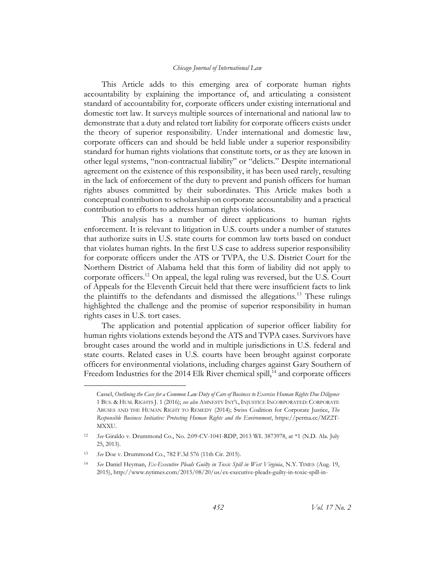This Article adds to this emerging area of corporate human rights accountability by explaining the importance of, and articulating a consistent standard of accountability for, corporate officers under existing international and domestic tort law. It surveys multiple sources of international and national law to demonstrate that a duty and related tort liability for corporate officers exists under the theory of superior responsibility. Under international and domestic law, corporate officers can and should be held liable under a superior responsibility standard for human rights violations that constitute torts, or as they are known in other legal systems, "non-contractual liability" or "delicts." Despite international agreement on the existence of this responsibility, it has been used rarely, resulting in the lack of enforcement of the duty to prevent and punish officers for human rights abuses committed by their subordinates. This Article makes both a conceptual contribution to scholarship on corporate accountability and a practical contribution to efforts to address human rights violations.

This analysis has a number of direct applications to human rights enforcement. It is relevant to litigation in U.S. courts under a number of statutes that authorize suits in U.S. state courts for common law torts based on conduct that violates human rights. In the first U.S case to address superior responsibility for corporate officers under the ATS or TVPA, the U.S. District Court for the Northern District of Alabama held that this form of liability did not apply to corporate officers.<sup>12</sup> On appeal, the legal ruling was reversed, but the U.S. Court of Appeals for the Eleventh Circuit held that there were insufficient facts to link the plaintiffs to the defendants and dismissed the allegations.<sup>13</sup> These rulings highlighted the challenge and the promise of superior responsibility in human rights cases in U.S. tort cases.

The application and potential application of superior officer liability for human rights violations extends beyond the ATS and TVPA cases. Survivors have brought cases around the world and in multiple jurisdictions in U.S. federal and state courts. Related cases in U.S. courts have been brought against corporate officers for environmental violations, including charges against Gary Southern of Freedom Industries for the 2014 Elk River chemical spill,<sup>14</sup> and corporate officers

Cassel, *Outlining the Case for a Common Law Duty of Care of Business to Exercise Human Rights Due Diligence* 1 BUS. & HUM. RIGHTS J. 1 (2016); *see also* AMNESTY INT'L, INJUSTICE INCORPORATED: CORPORATE ABUSES AND THE HUMAN RIGHT TO REMEDY (2014); Swiss Coalition for Corporate Justice, *The Responsible Business Initiative: Protecting Human Rights and the Environment*, https://perma.cc/MZ2T-MXXU.

<sup>12</sup> *See* Giraldo v. Drummond Co., No. 2:09-CV-1041-RDP, 2013 WL 3873978, at \*1 (N.D. Ala. July 25, 2013).

<sup>13</sup> *See* Doe v. Drummond Co., 782 F.3d 576 (11th Cir. 2015).

<sup>14</sup> *See* Daniel Heyman, *Ex-Executive Pleads Guilty in Toxic Spill in West Virginia*, N.Y. TIMES (Aug. 19, 2015), http://www.nytimes.com/2015/08/20/us/ex-executive-pleads-guilty-in-toxic-spill-in-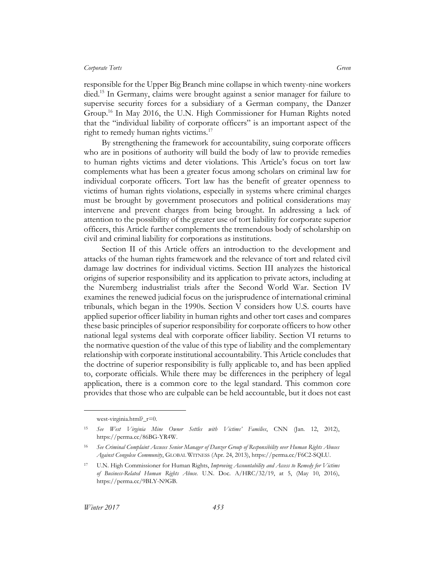responsible for the Upper Big Branch mine collapse in which twenty-nine workers died.<sup>15</sup> In Germany, claims were brought against a senior manager for failure to supervise security forces for a subsidiary of a German company, the Danzer Group.<sup>16</sup> In May 2016, the U.N. High Commissioner for Human Rights noted that the "individual liability of corporate officers" is an important aspect of the right to remedy human rights victims.<sup>17</sup>

By strengthening the framework for accountability, suing corporate officers who are in positions of authority will build the body of law to provide remedies to human rights victims and deter violations. This Article's focus on tort law complements what has been a greater focus among scholars on criminal law for individual corporate officers. Tort law has the benefit of greater openness to victims of human rights violations, especially in systems where criminal charges must be brought by government prosecutors and political considerations may intervene and prevent charges from being brought. In addressing a lack of attention to the possibility of the greater use of tort liability for corporate superior officers, this Article further complements the tremendous body of scholarship on civil and criminal liability for corporations as institutions.

Section II of this Article offers an introduction to the development and attacks of the human rights framework and the relevance of tort and related civil damage law doctrines for individual victims. Section III analyzes the historical origins of superior responsibility and its application to private actors, including at the Nuremberg industrialist trials after the Second World War. Section IV examines the renewed judicial focus on the jurisprudence of international criminal tribunals, which began in the 1990s. Section V considers how U.S. courts have applied superior officer liability in human rights and other tort cases and compares these basic principles of superior responsibility for corporate officers to how other national legal systems deal with corporate officer liability. Section VI returns to the normative question of the value of this type of liability and the complementary relationship with corporate institutional accountability. This Article concludes that the doctrine of superior responsibility is fully applicable to, and has been applied to, corporate officials. While there may be differences in the periphery of legal application, there is a common core to the legal standard. This common core provides that those who are culpable can be held accountable, but it does not cast

west-virginia.html? r=0.

<sup>15</sup> *See West Virginia Mine Owner Settles with Victims' Families*, CNN (Jan. 12, 2012), https://perma.cc/86BG-YR4W.

<sup>16</sup> *See Criminal Complaint Accuses Senior Manager of Danzer Group of Responsibility over Human Rights Abuses Against Congolese Community*, GLOBAL WITNESS (Apr. 24, 2013), https://perma.cc/F6C2-SQLU.

<sup>17</sup> U.N. High Commissioner for Human Rights, *Improving Accountability and Access to Remedy for Victims of Business-Related Human Rights Abuse.* U.N. Doc. A/HRC/32/19, at 5, (May 10, 2016), https://perma.cc/9BLY-N9GB.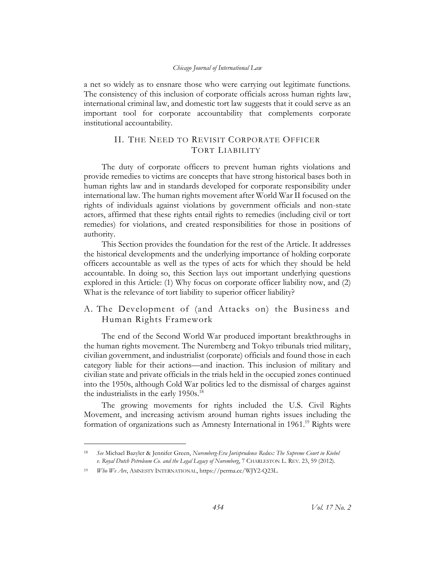a net so widely as to ensnare those who were carrying out legitimate functions. The consistency of this inclusion of corporate officials across human rights law, international criminal law, and domestic tort law suggests that it could serve as an important tool for corporate accountability that complements corporate institutional accountability.

## <span id="page-8-0"></span>II. THE NEED TO REVISIT CORPORATE OFFICER TORT LIABILITY

The duty of corporate officers to prevent human rights violations and provide remedies to victims are concepts that have strong historical bases both in human rights law and in standards developed for corporate responsibility under international law. The human rights movement after World War II focused on the rights of individuals against violations by government officials and non-state actors, affirmed that these rights entail rights to remedies (including civil or tort remedies) for violations, and created responsibilities for those in positions of authority.

This Section provides the foundation for the rest of the Article. It addresses the historical developments and the underlying importance of holding corporate officers accountable as well as the types of acts for which they should be held accountable. In doing so, this Section lays out important underlying questions explored in this Article: (1) Why focus on corporate officer liability now, and (2) What is the relevance of tort liability to superior officer liability?

## <span id="page-8-1"></span>A. The Development of (and Attacks on) the Business and Human Rights Framework

The end of the Second World War produced important breakthroughs in the human rights movement. The Nuremberg and Tokyo tribunals tried military, civilian government, and industrialist (corporate) officials and found those in each category liable for their actions—and inaction. This inclusion of military and civilian state and private officials in the trials held in the occupied zones continued into the 1950s, although Cold War politics led to the dismissal of charges against the industrialists in the early  $1950s$ <sup>18</sup>

The growing movements for rights included the U.S. Civil Rights Movement, and increasing activism around human rights issues including the formation of organizations such as Amnesty International in 1961.<sup>19</sup> Rights were

<sup>18</sup> *See* Michael Bazyler & Jennifer Green, *Nuremberg-Era Jurisprudence Redux: The Supreme Court in Kiobel v. Royal Dutch Petroleum Co. and the Legal Legacy of Nuremberg*, 7 CHARLESTON L. REV. 23, 59 (2012).

<sup>19</sup> *Who We Are*, AMNESTY INTERNATIONAL, https://perma.cc/WJY2-Q23L.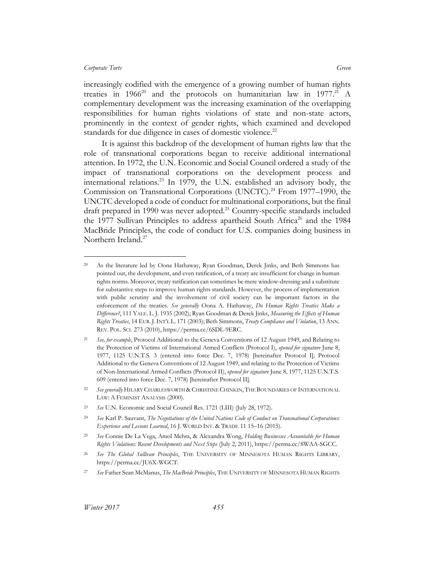$\overline{a}$ 

increasingly codified with the emergence of a growing number of human rights treaties in  $1966^{20}$  and the protocols on humanitarian law in  $1977.^{21}$  A complementary development was the increasing examination of the overlapping responsibilities for human rights violations of state and non-state actors, prominently in the context of gender rights, which examined and developed standards for due diligence in cases of domestic violence.<sup>22</sup>

It is against this backdrop of the development of human rights law that the role of transnational corporations began to receive additional international attention. In 1972, the U.N. Economic and Social Council ordered a study of the impact of transnational corporations on the development process and international relations.<sup>23</sup> In 1979, the U.N. established an advisory body, the Commission on Transnational Corporations (UNCTC).<sup>24</sup> From 1977–1990, the UNCTC developed a code of conduct for multinational corporations, but the final draft prepared in 1990 was never adopted.<sup>25</sup> Country-specific standards included the 1977 Sullivan Principles to address apartheid South Africa<sup>26</sup> and the 1984 MacBride Principles, the code of conduct for U.S. companies doing business in Northern Ireland. 27

<sup>20</sup> As the literature led by Oona Hathaway, Ryan Goodman, Derek Jinks, and Beth Simmons has pointed out, the development, and even ratification, of a treaty are insufficient for change in human rights norms. Moreover, treaty ratification can sometimes be mere window-dressing and a substitute for substantive steps to improve human rights standards. However, the process of implementation with public scrutiny and the involvement of civil society can be important factors in the enforcement of the treaties. *See generally* Oona A. Hathaway, *Do Human Rights Treaties Make a Difference?*, 111 YALE. L. J. 1935 (2002); Ryan Goodman & Derek Jinks, *Measuring the Effects of Human Rights Treaties*, 14 EUR.J.INT'L L. 171 (2003); Beth Simmons, *Treaty Compliance and Violation*, 13 ANN. REV. POL. SCI. 273 (2010), https://perma.cc/6SDL-9ERC.

<sup>21</sup> *See, for example*, Protocol Additional to the Geneva Conventions of 12 August 1949, and Relating to the Protection of Victims of International Armed Conflicts (Protocol I), *opened for signature* June 8, 1977, 1125 U.N.T.S. 3 (entered into force Dec. 7, 1978) [hereinafter Protocol I]; Protocol Additional to the Geneva Conventions of 12 August 1949, and relating to the Protection of Victims of Non-International Armed Conflicts (Protocol II), *opened for signature* June 8, 1977, 1125 U.N.T.S. 609 (entered into force Dec. 7, 1978) [hereinafter Protocol II].

<sup>22</sup> *See generally* HILARY CHARLESWORTH & CHRISTINE CHINKIN,THE BOUNDARIES OF INTERNATIONAL LAW: A FEMINIST ANALYSIS (2000).

<sup>23</sup> *See* U.N. Economic and Social Council Res. 1721 (LIII) (July 28, 1972).

<sup>24</sup> *See* Karl P. Sauvant, *The Negotiations of the United Nations Code of Conduct on Transnational Corporations: Experience and Lessons Learned*, 16 J. WORLD INV. & TRADE 11 15–16 (2015).

<sup>25</sup> *See* Connie De La Vega, Amol Mehra, & Alexandra Wong, *Holding Businesses Accountable for Human Rights Violations: Recent Developments and Next Steps* (July 2, 2011), https://perma.cc/8WAA-SGCC.

<sup>26</sup> *See The Global Sullivan Principles*, THE UNIVERSITY OF MINNESOTA HUMAN RIGHTS LIBRARY, https://perma.cc/JU6X-WGCT.

<sup>27</sup> *See* Father Sean McManus, *The MacBride Principles*, THE UNIVERSITY OF MINNESOTA HUMAN RIGHTS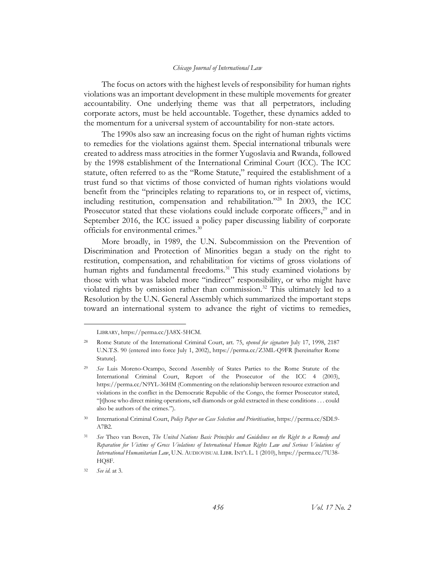The focus on actors with the highest levels of responsibility for human rights violations was an important development in these multiple movements for greater accountability. One underlying theme was that all perpetrators, including corporate actors, must be held accountable. Together, these dynamics added to the momentum for a universal system of accountability for non-state actors.

The 1990s also saw an increasing focus on the right of human rights victims to remedies for the violations against them. Special international tribunals were created to address mass atrocities in the former Yugoslavia and Rwanda, followed by the 1998 establishment of the International Criminal Court (ICC). The ICC statute, often referred to as the "Rome Statute," required the establishment of a trust fund so that victims of those convicted of human rights violations would benefit from the "principles relating to reparations to, or in respect of, victims, including restitution, compensation and rehabilitation."<sup>28</sup> In 2003, the ICC Prosecutor stated that these violations could include corporate officers,<sup>29</sup> and in September 2016, the ICC issued a policy paper discussing liability of corporate officials for environmental crimes.<sup>30</sup>

More broadly, in 1989, the U.N. Subcommission on the Prevention of Discrimination and Protection of Minorities began a study on the right to restitution, compensation, and rehabilitation for victims of gross violations of human rights and fundamental freedoms.<sup>31</sup> This study examined violations by those with what was labeled more "indirect" responsibility, or who might have violated rights by omission rather than commission.<sup>32</sup> This ultimately led to a Resolution by the U.N. General Assembly which summarized the important steps toward an international system to advance the right of victims to remedies,

LIBRARY, https://perma.cc/JA8X-5HCM.

<sup>28</sup> Rome Statute of the International Criminal Court, art. 75, *opened for signature* July 17, 1998, 2187 U.N.T.S. 90 (entered into force July 1, 2002), https://perma.cc/Z3ML-Q9FR [hereinafter Rome Statute].

<sup>29</sup> *See* Luis Moreno-Ocampo, Second Assembly of States Parties to the Rome Statute of the International Criminal Court, Report of the Prosecutor of the ICC 4 (2003), https://perma.cc/N9YL-36HM (Commenting on the relationship between resource extraction and violations in the conflict in the Democratic Republic of the Congo, the former Prosecutor stated, "[t]hose who direct mining operations, sell diamonds or gold extracted in these conditions . . . could also be authors of the crimes.").

<sup>30</sup> International Criminal Court, *Policy Paper on Case Selection and Prioritisation*, https://perma.cc/SDL9- A7B2.

<sup>31</sup> *See* Theo van Boven, *The United Nations Basic Principles and Guidelines on the Right to a Remedy and*  Reparation for Victims of Gross Violations of International Human Rights Law and Serious Violations of *International Humanitarian Law*, U.N. AUDIOVISUAL LIBR.INT'L L. 1 (2010), https://perma.cc/7U38- HQ8F.

<sup>32</sup> *See id*. at 3.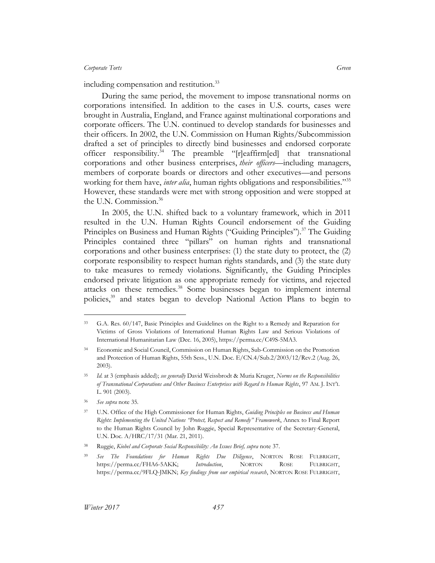including compensation and restitution.<sup>33</sup>

During the same period, the movement to impose transnational norms on corporations intensified. In addition to the cases in U.S. courts, cases were brought in Australia, England, and France against multinational corporations and corporate officers. The U.N. continued to develop standards for businesses and their officers. In 2002, the U.N. Commission on Human Rights/Subcommission drafted a set of principles to directly bind businesses and endorsed corporate officer responsibility.<sup>34</sup> The preamble "[r]eaffirm[ed] that transnational corporations and other business enterprises, *their officers*—including managers, members of corporate boards or directors and other executives—and persons working for them have, *inter alia*, human rights obligations and responsibilities.<sup>355</sup> However, these standards were met with strong opposition and were stopped at the U.N. Commission. 36

In 2005, the U.N. shifted back to a voluntary framework, which in 2011 resulted in the U.N. Human Rights Council endorsement of the Guiding Principles on Business and Human Rights ("Guiding Principles").<sup>37</sup> The Guiding Principles contained three "pillars" on human rights and transnational corporations and other business enterprises: (1) the state duty to protect, the (2) corporate responsibility to respect human rights standards, and (3) the state duty to take measures to remedy violations. Significantly, the Guiding Principles endorsed private litigation as one appropriate remedy for victims, and rejected attacks on these remedies. <sup>38</sup> Some businesses began to implement internal policies,<sup>39</sup> and states began to develop National Action Plans to begin to

<sup>33</sup> G.A. Res. 60/147, Basic Principles and Guidelines on the Right to a Remedy and Reparation for Victims of Gross Violations of International Human Rights Law and Serious Violations of International Humanitarian Law (Dec. 16, 2005), https://perma.cc/C49S-5MA3.

<sup>34</sup> Economic and Social Council, Commission on Human Rights, Sub-Commission on the Promotion and Protection of Human Rights, 55th Sess., U.N. Doc. E/CN.4/Sub.2/2003/12/Rev.2 (Aug. 26, 2003).

<sup>35</sup> *Id.* at 3 (emphasis added); *see generally* David Weissbrodt & Muria Kruger, *Norms on the Responsibilities of Transnational Corporations and Other Business Enterprises with Regard to Human Rights*, 97 AM. J. INT'L L. 901 (2003).

<sup>36</sup> *See supra* note 35.

<sup>37</sup> U.N. Office of the High Commissioner for Human Rights, *Guiding Principles on Business and Human Rights*: *Implementing the United Nations "Protect, Respect and Remedy" Framework*, Annex to Final Report to the Human Rights Council by John Ruggie, Special Representative of the Secretary-General, U.N. Doc. A/HRC/17/31 (Mar. 21, 2011).

<sup>38</sup> Ruggie, *Kiobel and Corporate Social Responsibility: An Issues Brief, supra* note 37.

<sup>39</sup> *See The Foundations for Human Rights Due Diligence*, NORTON ROSE FULBRIGHT, https://perma.cc/FHA6-5AKK; *Introduction*, NORTON ROSE FULBRIGHT, https://perma.cc/9FLQ-JMKN; *Key findings from our empirical research*, NORTON ROSE FULBRIGHT,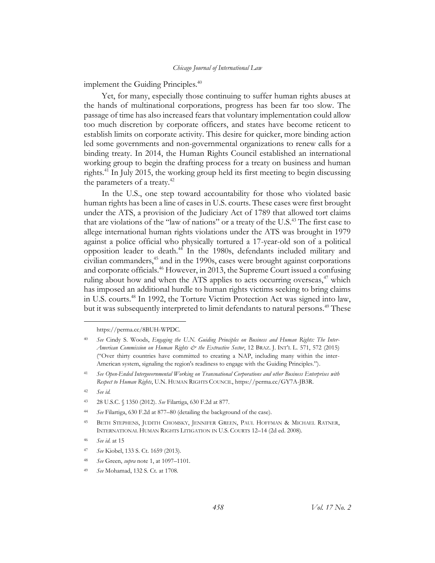implement the Guiding Principles.<sup>40</sup>

Yet, for many, especially those continuing to suffer human rights abuses at the hands of multinational corporations, progress has been far too slow. The passage of time has also increased fears that voluntary implementation could allow too much discretion by corporate officers, and states have become reticent to establish limits on corporate activity. This desire for quicker, more binding action led some governments and non-governmental organizations to renew calls for a binding treaty. In 2014, the Human Rights Council established an international working group to begin the drafting process for a treaty on business and human rights.<sup>41</sup> In July 2015, the working group held its first meeting to begin discussing the parameters of a treaty.<sup>42</sup>

In the U.S., one step toward accountability for those who violated basic human rights has been a line of cases in U.S. courts. These cases were first brought under the ATS, a provision of the Judiciary Act of 1789 that allowed tort claims that are violations of the "law of nations" or a treaty of the U.S. <sup>43</sup> The first case to allege international human rights violations under the ATS was brought in 1979 against a police official who physically tortured a 17-year-old son of a political opposition leader to death.<sup>44</sup> In the 1980s, defendants included military and civilian commanders,<sup>45</sup> and in the 1990s, cases were brought against corporations and corporate officials.<sup>46</sup> However, in 2013, the Supreme Court issued a confusing ruling about how and when the ATS applies to acts occurring overseas, $47$  which has imposed an additional hurdle to human rights victims seeking to bring claims in U.S. courts.<sup>48</sup> In 1992, the Torture Victim Protection Act was signed into law, but it was subsequently interpreted to limit defendants to natural persons.<sup>49</sup> These

https://perma.cc/8BUH-WPDC.

<sup>40</sup> *See* Cindy S. Woods, *Engaging the U.N. Guiding Principles on Business and Human Rights: The Inter-American Commission on Human Rights & the Extractive Sector*, 12 BRAZ. J. INT'L L. 571, 572 (2015) ("Over thirty countries have committed to creating a NAP, including many within the inter-American system, signaling the region's readiness to engage with the Guiding Principles.").

<sup>41</sup> *See Open-Ended Intergovernmental Working on Transnational Corporations and other Business Enterprises with Respect to Human Rights*, U.N. HUMAN RIGHTS COUNCIL, https://perma.cc/GY7A-JB3R.

<sup>42</sup> *See id.*

<sup>43</sup> 28 U.S.C. § 1350 (2012). *See* Filartiga, 630 F.2d at 877.

<sup>44</sup> *See* Filartiga, 630 F.2d at 877–80 (detailing the background of the case).

<sup>45</sup> BETH STEPHENS, JUDITH CHOMSKY, JENNIFER GREEN, PAUL HOFFMAN & MICHAEL RATNER, INTERNATIONAL HUMAN RIGHTS LITIGATION IN U.S. COURTS 12–14 (2d ed. 2008).

<sup>46</sup> *See id*. at 15

<sup>47</sup> *See* Kiobel, 133 S. Ct. 1659 (2013).

<sup>48</sup> *See* Green, *supra* note 1, at 1097–1101.

<sup>49</sup> *See* Mohamad, 132 S. Ct. at 1708.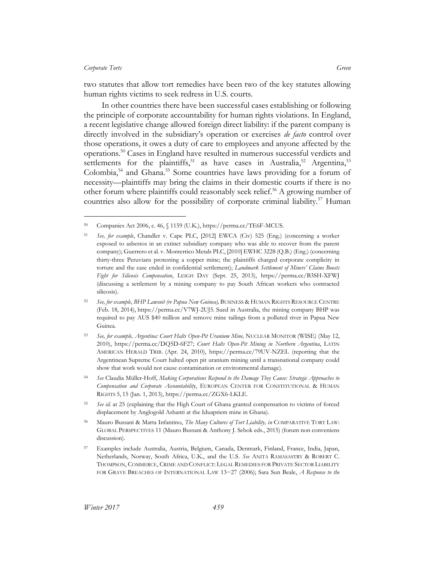$\overline{a}$ 

two statutes that allow tort remedies have been two of the key statutes allowing human rights victims to seek redress in U.S. courts.

In other countries there have been successful cases establishing or following the principle of corporate accountability for human rights violations. In England, a recent legislative change allowed foreign direct liability: if the parent company is directly involved in the subsidiary's operation or exercises *de facto* control over those operations, it owes a duty of care to employees and anyone affected by the operations.<sup>50</sup> Cases in England have resulted in numerous successful verdicts and settlements for the plaintiffs,<sup>51</sup> as have cases in Australia,<sup>52</sup> Argentina,<sup>53</sup> Colombia,<sup>54</sup> and Ghana.<sup>55</sup> Some countries have laws providing for a forum of necessity—plaintiffs may bring the claims in their domestic courts if there is no other forum where plaintiffs could reasonably seek relief. <sup>56</sup> A growing number of countries also allow for the possibility of corporate criminal liability.<sup>57</sup> Human

<sup>50</sup> Companies Act 2006, c. 46, § 1159 (U.K.), https://perma.cc/TE6F-MCUS.

<sup>51</sup> *See, for example*, Chandler v. Cape PLC, [2012] EWCA (Civ) 525 (Eng.) (concerning a worker exposed to asbestos in an extinct subsidiary company who was able to recover from the parent company); Guerrero et al. v. Monterrico Metals PLC, [2010] EWHC 3228 (Q.B.) (Eng.) (concerning thirty-three Peruvians protesting a copper mine; the plaintiffs charged corporate complicity in torture and the case ended in confidential settlement); *Landmark Settlement of Miners' Claims Boosts Fight for Silicosis Compensation*, LEIGH DAY (Sept. 25, 2013), https://perma.cc/B3SH-XFWJ (discussing a settlement by a mining company to pay South African workers who contracted silicosis).

<sup>52</sup> *See, for example*, *BHP Lawsuit (re Papua New Guinea),* BUSINESS & HUMAN RIGHTS RESOURCE CENTRE (Feb. 18, 2014), https://perma.cc/V7WJ-2UJ5. Sued in Australia, the mining company BHP was required to pay AUS \$40 million and remove mine tailings from a polluted river in Papua New Guinea.

<sup>53</sup> *See, for example, Argentina: Court Halts Open-Pit Uranium Mine,* NUCLEAR MONITOR (WISE) (May 12, 2010), https://perma.cc/DQ5D-6F27; *Court Halts Open-Pit Mining in Northern Argentina*, LATIN AMERICAN HERALD TRIB. (Apr. 24, 2010), https://perma.cc/79UV-NZEL (reporting that the Argentinean Supreme Court halted open pit uranium mining until a transnational company could show that work would not cause contamination or environmental damage).

<sup>54</sup> *See* Claudia Müller-Hoff, *Making Corporations Respond to the Damage They Cause: Strategic Approaches to Compensation and Corporate Accountability*, EUROPEAN CENTER FOR CONSTITUTIONAL & HUMAN RIGHTS 5, 15 (Jan. 1, 2013), https://perma.cc/ZGX6-LKLE.

<sup>55</sup> *See id*. at 25 (explaining that the High Court of Ghana granted compensation to victims of forced displacement by Anglogold Ashanti at the Iduapriem mine in Ghana).

<sup>56</sup> Mauro Bussani & Marta Infantino, *The Many Cultures of Tort Liability, in* COMPARATIVE TORT LAW: GLOBAL PERSPECTIVES 11 (Mauro Bussani & Anthony J. Sebok eds., 2015) (forum non conveniens discussion).

<sup>57</sup> Examples include Australia, Austria, Belgium, Canada, Denmark, Finland, France, India, Japan, Netherlands, Norway, South Africa, U.K., and the U.S. *See* ANITA RAMASASTRY & ROBERT C. THOMPSON, COMMERCE, CRIME AND CONFLICT: LEGAL REMEDIES FOR PRIVATE SECTOR LIABILITY FOR GRAVE BREACHES OF INTERNATIONAL LAW 13−27 (2006); Sara Sun Beale, *A Response to the*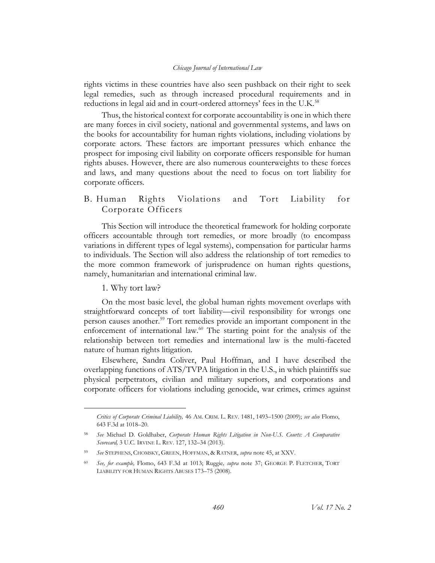rights victims in these countries have also seen pushback on their right to seek legal remedies, such as through increased procedural requirements and in reductions in legal aid and in court-ordered attorneys' fees in the U.K.<sup>58</sup>

Thus, the historical context for corporate accountability is one in which there are many forces in civil society, national and governmental systems, and laws on the books for accountability for human rights violations, including violations by corporate actors. These factors are important pressures which enhance the prospect for imposing civil liability on corporate officers responsible for human rights abuses. However, there are also numerous counterweights to these forces and laws, and many questions about the need to focus on tort liability for corporate officers.

## <span id="page-14-0"></span>B. Human Rights Violations and Tort Liability for Corporate Officers

This Section will introduce the theoretical framework for holding corporate officers accountable through tort remedies, or more broadly (to encompass variations in different types of legal systems), compensation for particular harms to individuals. The Section will also address the relationship of tort remedies to the more common framework of jurisprudence on human rights questions, namely, humanitarian and international criminal law.

#### 1. Why tort law?

 $\overline{a}$ 

<span id="page-14-1"></span>On the most basic level, the global human rights movement overlaps with straightforward concepts of tort liability—civil responsibility for wrongs one person causes another.<sup>59</sup> Tort remedies provide an important component in the enforcement of international law. $60$  The starting point for the analysis of the relationship between tort remedies and international law is the multi-faceted nature of human rights litigation.

Elsewhere, Sandra Coliver, Paul Hoffman, and I have described the overlapping functions of ATS/TVPA litigation in the U.S., in which plaintiffs sue physical perpetrators, civilian and military superiors, and corporations and corporate officers for violations including genocide, war crimes, crimes against

*Critics of Corporate Criminal Liability,* 46 AM. CRIM. L. REV. 1481, 1493–1500 (2009); *see also* Flomo, 643 F.3d at 1018–20.

<sup>58</sup> *See* Michael D. Goldhaber, *Corporate Human Rights Litigation in Non-U.S. Courts: A Comparative Scorecard,* 3 U.C. IRVINE L. REV. 127, 132–34 (2013).

<sup>59</sup> *See* STEPHENS, CHOMSKY, GREEN, HOFFMAN, & RATNER, *supra* note 45, at XXV.

<sup>60</sup> *See, for example,* Flomo, 643 F.3d at 1013; Ruggie*, supra* note 37; GEORGE P. FLETCHER, TORT LIABILITY FOR HUMAN RIGHTS ABUSES 173–75 (2008).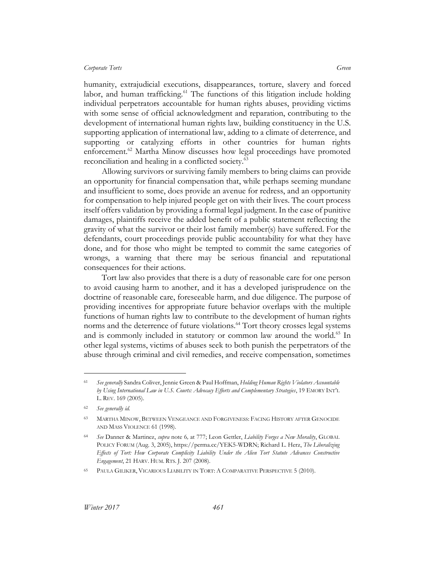humanity, extrajudicial executions, disappearances, torture, slavery and forced labor, and human trafficking. $61$  The functions of this litigation include holding individual perpetrators accountable for human rights abuses, providing victims with some sense of official acknowledgment and reparation, contributing to the development of international human rights law, building constituency in the U.S. supporting application of international law, adding to a climate of deterrence, and supporting or catalyzing efforts in other countries for human rights enforcement.<sup>62</sup> Martha Minow discusses how legal proceedings have promoted reconciliation and healing in a conflicted society.<sup>63</sup>

Allowing survivors or surviving family members to bring claims can provide an opportunity for financial compensation that, while perhaps seeming mundane and insufficient to some, does provide an avenue for redress, and an opportunity for compensation to help injured people get on with their lives. The court process itself offers validation by providing a formal legal judgment. In the case of punitive damages, plaintiffs receive the added benefit of a public statement reflecting the gravity of what the survivor or their lost family member(s) have suffered. For the defendants, court proceedings provide public accountability for what they have done, and for those who might be tempted to commit the same categories of wrongs, a warning that there may be serious financial and reputational consequences for their actions.

Tort law also provides that there is a duty of reasonable care for one person to avoid causing harm to another, and it has a developed jurisprudence on the doctrine of reasonable care, foreseeable harm, and due diligence. The purpose of providing incentives for appropriate future behavior overlaps with the multiple functions of human rights law to contribute to the development of human rights norms and the deterrence of future violations.<sup>64</sup> Tort theory crosses legal systems and is commonly included in statutory or common law around the world.<sup>65</sup> In other legal systems, victims of abuses seek to both punish the perpetrators of the abuse through criminal and civil remedies, and receive compensation, sometimes

<sup>61</sup> *See generally* Sandra Coliver, Jennie Green & Paul Hoffman, *Holding Human Rights Violators Accountable by Using International Law in U.S. Courts: Advocacy Efforts and Complementary Strategies*, 19 EMORY INT'L L. REV. 169 (2005).

<sup>62</sup> *See generally id.*

<sup>63</sup> MARTHA MINOW, BETWEEN VENGEANCE AND FORGIVENESS: FACING HISTORY AFTER GENOCIDE AND MASS VIOLENCE 61 (1998).

<sup>64</sup> *See* Danner & Martinez, *supra* note 6*,* at 777; Leon Gettler, *Liability Forges a New Morality*, GLOBAL POLICY FORUM (Aug. 3, 2005), https://perma.cc/YEK5-WDRN; Richard L. Herz, *The Liberalizing Effects of Tort: How Corporate Complicity Liability Under the Alien Tort Statute Advances Constructive Engagement*, 21 HARV. HUM. RTS. J. 207 (2008).

<sup>65</sup> PAULA GILIKER, VICARIOUS LIABILITY IN TORT: A COMPARATIVE PERSPECTIVE 5 (2010).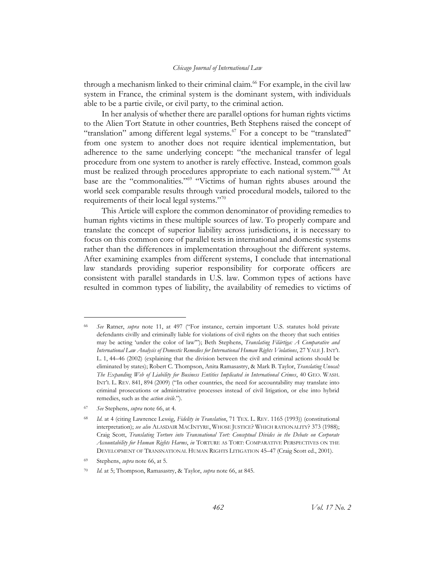through a mechanism linked to their criminal claim.<sup>66</sup> For example, in the civil law system in France, the criminal system is the dominant system, with individuals able to be a partie civile, or civil party, to the criminal action.

In her analysis of whether there are parallel options for human rights victims to the Alien Tort Statute in other countries, Beth Stephens raised the concept of "translation" among different legal systems. $^{67}$  For a concept to be "translated" from one system to another does not require identical implementation, but adherence to the same underlying concept: "the mechanical transfer of legal procedure from one system to another is rarely effective. Instead, common goals must be realized through procedures appropriate to each national system."<sup>68</sup> At base are the "commonalities."<sup>69</sup> "Victims of human rights abuses around the world seek comparable results through varied procedural models, tailored to the requirements of their local legal systems."70

This Article will explore the common denominator of providing remedies to human rights victims in these multiple sources of law. To properly compare and translate the concept of superior liability across jurisdictions, it is necessary to focus on this common core of parallel tests in international and domestic systems rather than the differences in implementation throughout the different systems. After examining examples from different systems, I conclude that international law standards providing superior responsibility for corporate officers are consistent with parallel standards in U.S. law. Common types of actions have resulted in common types of liability, the availability of remedies to victims of

<sup>67</sup> *See* Stephens, *supra* note 66, at 4.

<sup>66</sup> *See* Ratner, *supra* note 11, at 497 ("For instance, certain important U.S. statutes hold private defendants civilly and criminally liable for violations of civil rights on the theory that such entities may be acting 'under the color of law'"); Beth Stephens, *Translating Filártiga: A Comparative and International Law Analysis of Domestic Remedies for International Human Rights Violations*, 27 YALE J. INT'L L. 1, 44–46 (2002) (explaining that the division between the civil and criminal actions should be eliminated by states); Robert C. Thompson, Anita Ramasastry, & Mark B. Taylor, *Translating Unocal: The Expanding Web of Liability for Business Entities Implicated in International Crimes*, 40 GEO. WASH. INT'L L. REV. 841, 894 (2009) ("In other countries, the need for accountability may translate into criminal prosecutions or administrative processes instead of civil litigation, or else into hybrid remedies, such as the *action civile*.").

<sup>68</sup> *Id*. at 4 (citing Lawrence Lessig, *Fidelity in Translation*, 71 TEX. L. REV. 1165 (1993)) (constitutional interpretation); *see also* ALASDAIR MACINTYRE, WHOSE JUSTICE? WHICH RATIONALITY? 373 (1988); Craig Scott, *Translating Torture into Transnational Tort: Conceptual Divides in the Debate on Corporate Accountability for Human Rights Harms*, *in* TORTURE AS TORT: COMPARATIVE PERSPECTIVES ON THE DEVELOPMENT OF TRANSNATIONAL HUMAN RIGHTS LITIGATION 45–47 (Craig Scott ed., 2001).

<sup>69</sup> Stephens, *supra* note 66, at 5.

<sup>70</sup> *Id.* at 5; Thompson, Ramasastry, & Taylor, *supra* note 66, at 845.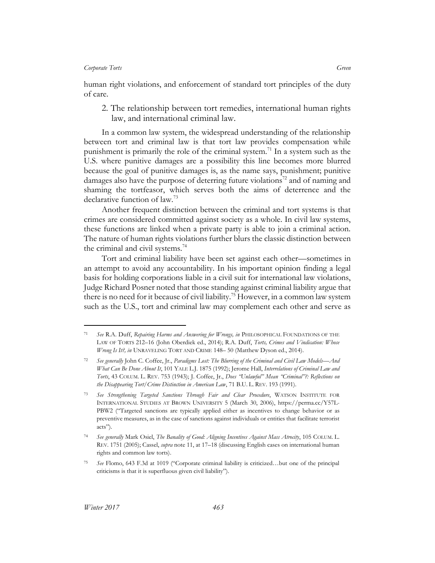<span id="page-17-0"></span>human right violations, and enforcement of standard tort principles of the duty of care.

2. The relationship between tort remedies, international human rights law, and international criminal law.

In a common law system, the widespread understanding of the relationship between tort and criminal law is that tort law provides compensation while punishment is primarily the role of the criminal system.<sup>71</sup> In a system such as the U.S. where punitive damages are a possibility this line becomes more blurred because the goal of punitive damages is, as the name says, punishment; punitive damages also have the purpose of deterring future violations<sup>72</sup> and of naming and shaming the tortfeasor, which serves both the aims of deterrence and the declarative function of law.<sup>73</sup>

Another frequent distinction between the criminal and tort systems is that crimes are considered committed against society as a whole. In civil law systems, these functions are linked when a private party is able to join a criminal action. The nature of human rights violations further blurs the classic distinction between the criminal and civil systems.<sup>74</sup>

Tort and criminal liability have been set against each other—sometimes in an attempt to avoid any accountability. In his important opinion finding a legal basis for holding corporations liable in a civil suit for international law violations, Judge Richard Posner noted that those standing against criminal liability argue that there is no need for it because of civil liability.<sup>75</sup> However, in a common law system such as the U.S., tort and criminal law may complement each other and serve as

<sup>71</sup> *See* R.A. Duff, *Repairing Harms and Answering for Wrongs, in* PHILOSOPHICAL FOUNDATIONS OF THE LAW OF TORTS 212–16 (John Oberdiek ed., 2014); R.A. Duff, *Torts, Crimes and Vindication: Whose Wrong Is It?, in* UNRAVELING TORT AND CRIME 148– 50 (Matthew Dyson ed., 2014).

<sup>72</sup> *See generally* John C. Coffee, Jr., *Paradigms Lost: The Blurring of the Criminal and Civil Law Models—And What Can Be Done About It*, 101 YALE L.J. 1875 (1992); Jerome Hall, *Interrelations of Criminal Law and Torts*, 43 COLUM. L. REV. 753 (1943); J. Coffee, Jr., *Does "Unlawful" Mean "Criminal"?: Reflections on the Disappearing Tort/Crime Distinction in American Law*, 71 B.U. L. REV. 193 (1991).

<sup>73</sup> *See Strengthening Targeted Sanctions Through Fair and Clear Procedure*, WATSON INSTITUTE FOR INTERNATIONAL STUDIES AT BROWN UNIVERSITY 5 (March 30, 2006), https://perma.cc/Y57L-PBW2 ("Targeted sanctions are typically applied either as incentives to change behavior or as preventive measures, as in the case of sanctions against individuals or entities that facilitate terrorist acts").

<sup>74</sup> *See generally* Mark Osiel, *The Banality of Good: Aligning Incentives Against Mass Atrocity*, 105 COLUM. L. REV. 1751 (2005); Cassel, *supra* note 11, at 17–18 (discussing English cases on international human rights and common law torts).

<sup>75</sup> *See* Flomo, 643 F.3d at 1019 ("Corporate criminal liability is criticized…but one of the principal criticisms is that it is superfluous given civil liability").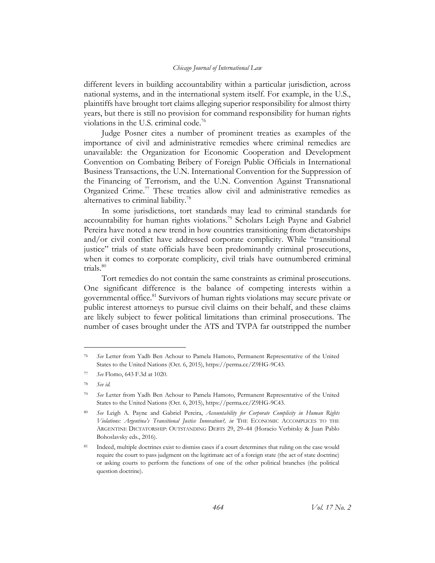different levers in building accountability within a particular jurisdiction, across national systems, and in the international system itself. For example, in the U.S., plaintiffs have brought tort claims alleging superior responsibility for almost thirty years, but there is still no provision for command responsibility for human rights violations in the U.S. criminal code.<sup>76</sup>

Judge Posner cites a number of prominent treaties as examples of the importance of civil and administrative remedies where criminal remedies are unavailable: the Organization for Economic Cooperation and Development Convention on Combating Bribery of Foreign Public Officials in International Business Transactions, the U.N. International Convention for the Suppression of the Financing of Terrorism, and the U.N. Convention Against Transnational Organized Crime.<sup>77</sup> These treaties allow civil and administrative remedies as alternatives to criminal liability.<sup>78</sup>

In some jurisdictions, tort standards may lead to criminal standards for accountability for human rights violations.<sup>79</sup> Scholars Leigh Payne and Gabriel Pereira have noted a new trend in how countries transitioning from dictatorships and/or civil conflict have addressed corporate complicity. While "transitional justice" trials of state officials have been predominantly criminal prosecutions, when it comes to corporate complicity, civil trials have outnumbered criminal trials. $80$ 

Tort remedies do not contain the same constraints as criminal prosecutions. One significant difference is the balance of competing interests within a governmental office.<sup>81</sup> Survivors of human rights violations may secure private or public interest attorneys to pursue civil claims on their behalf, and these claims are likely subject to fewer political limitations than criminal prosecutions. The number of cases brought under the ATS and TVPA far outstripped the number

<sup>76</sup> *See* Letter from Yadh Ben Achour to Pamela Hamoto, Permanent Representative of the United States to the United Nations (Oct. 6, 2015), https://perma.cc/Z9HG-9C43.

<sup>77</sup> *See* Flomo, 643 F.3d at 1020.

<sup>78</sup> *See id.*

<sup>79</sup> *See* Letter from Yadh Ben Achour to Pamela Hamoto, Permanent Representative of the United States to the United Nations (Oct. 6, 2015), https://perma.cc/Z9HG-9C43.

<sup>80</sup> *See* Leigh A. Payne and Gabriel Pereira, *Accountability for Corporate Complicity in Human Rights Violations: Argentina's Transitional Justice Innovation?, in* THE ECONOMIC ACCOMPLICES TO THE ARGENTINE DICTATORSHIP: OUTSTANDING DEBTS 29, 29–44 (Horacio Verbitsky & Juan Pablo Bohoslavsky eds., 2016).

Indeed, multiple doctrines exist to dismiss cases if a court determines that ruling on the case would require the court to pass judgment on the legitimate act of a foreign state (the act of state doctrine) or asking courts to perform the functions of one of the other political branches (the political question doctrine).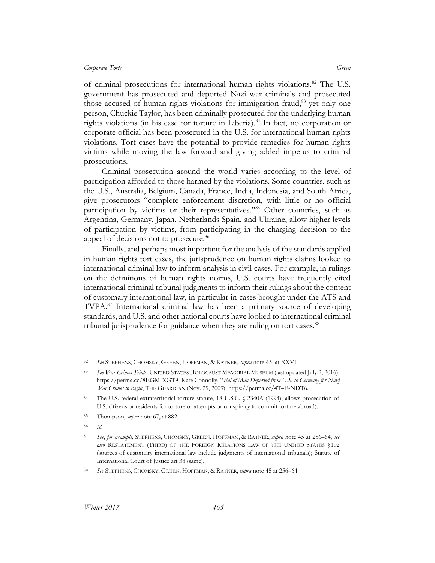of criminal prosecutions for international human rights violations.<sup>82</sup> The U.S. government has prosecuted and deported Nazi war criminals and prosecuted those accused of human rights violations for immigration fraud,<sup>83</sup> yet only one person, Chuckie Taylor, has been criminally prosecuted for the underlying human rights violations (in his case for torture in Liberia).<sup>84</sup> In fact, no corporation or corporate official has been prosecuted in the U.S. for international human rights violations. Tort cases have the potential to provide remedies for human rights victims while moving the law forward and giving added impetus to criminal prosecutions.

Criminal prosecution around the world varies according to the level of participation afforded to those harmed by the violations. Some countries, such as the U.S., Australia, Belgium, Canada, France, India, Indonesia, and South Africa, give prosecutors "complete enforcement discretion, with little or no official participation by victims or their representatives."<sup>85</sup> Other countries, such as Argentina, Germany, Japan, Netherlands Spain, and Ukraine, allow higher levels of participation by victims, from participating in the charging decision to the appeal of decisions not to prosecute.<sup>86</sup>

Finally, and perhaps most important for the analysis of the standards applied in human rights tort cases, the jurisprudence on human rights claims looked to international criminal law to inform analysis in civil cases. For example, in rulings on the definitions of human rights norms, U.S. courts have frequently cited international criminal tribunal judgments to inform their rulings about the content of customary international law, in particular in cases brought under the ATS and TVPA.<sup>87</sup> International criminal law has been a primary source of developing standards, and U.S. and other national courts have looked to international criminal tribunal jurisprudence for guidance when they are ruling on tort cases.<sup>88</sup>

<sup>82</sup> *See* STEPHENS, CHOMSKY, GREEN, HOFFMAN, & RATNER, *supra* note 45, at XXVI.

See War Crimes Trials, UNITED STATES HOLOCAUST MEMORIAL MUSEUM (last updated July 2, 2016), https://perma.cc/8EGM-XGT9; Kate Connolly, *Trial of Man Deported from U.S. to Germany for Nazi War Crimes to Begin*, THE GUARDIAN (Nov. 29, 2009), https://perma.cc/4T4E-NDT6.

The U.S. federal extraterritorial torture statute, 18 U.S.C. § 2340A (1994), allows prosecution of U.S. citizens or residents for torture or attempts or conspiracy to commit torture abroad).

<sup>85</sup> Thompson, *supra* note 67, at 882.

<sup>86</sup> *Id.*

<sup>87</sup> *See*, *for example*, STEPHENS, CHOMSKY, GREEN, HOFFMAN, & RATNER, *supra* note 45 at 256–64; *see also* RESTATEMENT (THIRD) OF THE FOREIGN RELATIONS LAW OF THE UNITED STATES §102 (sources of customary international law include judgments of international tribunals); Statute of International Court of Justice art 38 (same).

<sup>88</sup> *See* STEPHENS, CHOMSKY, GREEN, HOFFMAN, & RATNER, *supra* note 45 at 256–64.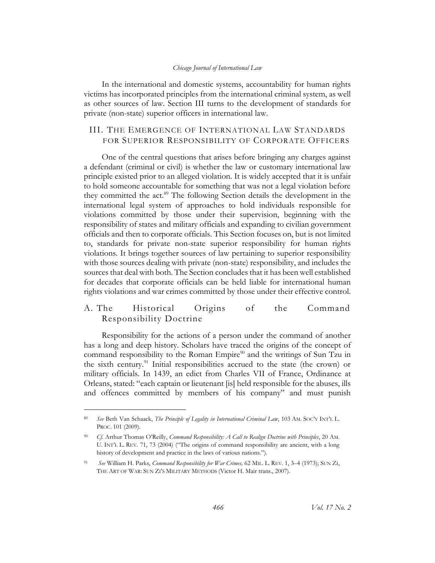In the international and domestic systems, accountability for human rights victims has incorporated principles from the international criminal system, as well as other sources of law. Section III turns to the development of standards for private (non-state) superior officers in international law.

## <span id="page-20-0"></span>III. THE EMERGENCE OF INTERNATIONAL LAW STANDARDS FOR SUPERIOR RESPONSIBILITY OF CORPORATE OFFICERS

One of the central questions that arises before bringing any charges against a defendant (criminal or civil) is whether the law or customary international law principle existed prior to an alleged violation. It is widely accepted that it is unfair to hold someone accountable for something that was not a legal violation before they committed the act.<sup>89</sup> The following Section details the development in the international legal system of approaches to hold individuals responsible for violations committed by those under their supervision, beginning with the responsibility of states and military officials and expanding to civilian government officials and then to corporate officials. This Section focuses on, but is not limited to, standards for private non-state superior responsibility for human rights violations. It brings together sources of law pertaining to superior responsibility with those sources dealing with private (non-state) responsibility, and includes the sources that deal with both. The Section concludes that it has been well established for decades that corporate officials can be held liable for international human rights violations and war crimes committed by those under their effective control.

## <span id="page-20-1"></span>A. The Historical Origins of the Command Responsibility Doctrine

Responsibility for the actions of a person under the command of another has a long and deep history. Scholars have traced the origins of the concept of command responsibility to the Roman Empire<sup>90</sup> and the writings of Sun Tzu in the sixth century.<sup>91</sup> Initial responsibilities accrued to the state (the crown) or military officials. In 1439, an edict from Charles VII of France, Ordinance at Orleans, stated: "each captain or lieutenant [is] held responsible for the abuses, ills and offences committed by members of his company" and must punish

<sup>89</sup> *See* Beth Van Schaack, *The Principle of Legality in International Criminal Law*, 103 AM. SOC'Y INT'L L. PROC. 101 (2009).

<sup>90</sup> *Cf.* Arthur Thomas O'Reilly, *Command Responsibility: A Call to Realign Doctrine with Principles*, 20 AM. U. INT'L L. REV. 71, 73 (2004) ("The origins of command responsibility are ancient, with a long history of development and practice in the laws of various nations.").

<sup>91</sup> *See* William H. Parks, *Command Responsibility for War Crimes,* 62 MIL. L. REV. 1, 3–4 (1973); SUN ZI, THE ART OF WAR: SUN ZI'S MILITARY METHODS (Victor H. Mair trans., 2007).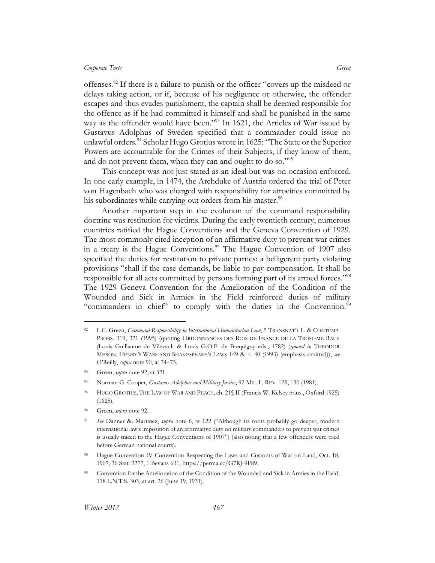offenses.<sup>92</sup> If there is a failure to punish or the officer "covers up the misdeed or delays taking action, or if, because of his negligence or otherwise, the offender escapes and thus evades punishment, the captain shall be deemed responsible for the offence as if he had committed it himself and shall be punished in the same way as the offender would have been."<sup>93</sup> In 1621, the Articles of War issued by Gustavus Adolphus of Sweden specified that a commander could issue no unlawful orders.<sup>94</sup> Scholar Hugo Grotius wrote in 1625: "The State or the Superior Powers are accountable for the Crimes of their Subjects, if they know of them, and do not prevent them, when they can and ought to do so."<sup>95</sup>

This concept was not just stated as an ideal but was on occasion enforced. In one early example, in 1474, the Archduke of Austria ordered the trial of Peter von Hagenbach who was charged with responsibility for atrocities committed by his subordinates while carrying out orders from his master.<sup>96</sup>

Another important step in the evolution of the command responsibility doctrine was restitution for victims. During the early twentieth century, numerous countries ratified the Hague Conventions and the Geneva Convention of 1929. The most commonly cited inception of an affirmative duty to prevent war crimes in a treaty is the Hague Conventions.<sup>97</sup> The Hague Convention of 1907 also specified the duties for restitution to private parties: a belligerent party violating provisions "shall if the case demands, be liable to pay compensation. It shall be responsible for all acts committed by persons forming part of its armed forces."<sup>98</sup> The 1929 Geneva Convention for the Amelioration of the Condition of the Wounded and Sick in Armies in the Field reinforced duties of military "commanders in chief" to comply with the duties in the Convention.<sup>99</sup>

<sup>92</sup> L.C. Green, *Command Responsibility in International Humanitarian Law*, 5 TRANSNAT'L L. & CONTEMP. PROBS. 319, 321 (1995) (quoting ORDONNANCES DES ROIS DE FRANCE DE LA TROSIEME RACE (Louis Guillaume de Vilevault & Louis G.O.F. de Brequigny eds., 1782) (*quoted in* THEODOR MERON, HENRY'S WARS AND SHAKESPEARE'S LAWS 149 & n. 40 (1993) (emphasis omitted)); *see* O'Reilly, *supra* note 90, at 74–75.

<sup>93</sup> Green, *supra* note 92, at 321.

<sup>94</sup> Norman G. Cooper, *Gustavus Adolphus and Military Justice*, 92 MIL. L. REV. 129, 130 (1981).

<sup>95</sup> HUGO GROTIUS, THE LAW OF WAR AND PEACE, ch. 21§ II (Francis W. Kelsey trans., Oxford 1925) (1625).

<sup>96</sup> Green, *supra* note 92.

<sup>97</sup> *See* Danner &. Martinez, *supra* note 6, at 122 ("Although its roots probably go deeper, modern international law's imposition of an affirmative duty on military commanders to prevent war crimes is usually traced to the Hague Conventions of 1907") (also noting that a few offenders were tried before German national courts).

<sup>98</sup> Hague Convention IV Convention Respecting the Laws and Customs of War on Land, Oct. 18, 1907, 36 Stat. 2277, 1 Bevans 631, https://perma.cc/G7RJ-9F89.

Convention for the Amelioration of the Condition of the Wounded and Sick in Armies in the Field, 118 L.N.T.S. 303, at art. 26 (June 19, 1931).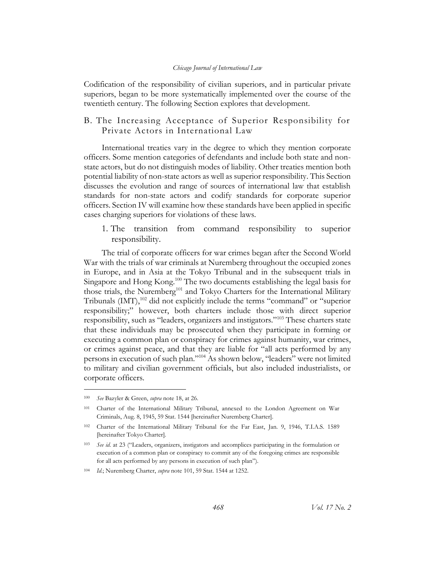Codification of the responsibility of civilian superiors, and in particular private superiors, began to be more systematically implemented over the course of the twentieth century. The following Section explores that development.

## <span id="page-22-0"></span>B. The Increasing Acceptance of Superior Responsibility for Private Actors in International Law

International treaties vary in the degree to which they mention corporate officers. Some mention categories of defendants and include both state and nonstate actors, but do not distinguish modes of liability. Other treaties mention both potential liability of non-state actors as well as superior responsibility. This Section discusses the evolution and range of sources of international law that establish standards for non-state actors and codify standards for corporate superior officers. Section IV will examine how these standards have been applied in specific cases charging superiors for violations of these laws.

<span id="page-22-1"></span>1. The transition from command responsibility to superior responsibility.

The trial of corporate officers for war crimes began after the Second World War with the trials of war criminals at Nuremberg throughout the occupied zones in Europe, and in Asia at the Tokyo Tribunal and in the subsequent trials in Singapore and Hong Kong.<sup>100</sup> The two documents establishing the legal basis for those trials, the Nuremberg<sup>101</sup> and Tokyo Charters for the International Military Tribunals (IMT),<sup>102</sup> did not explicitly include the terms "command" or "superior responsibility;" however, both charters include those with direct superior responsibility, such as "leaders, organizers and instigators."<sup>103</sup> These charters state that these individuals may be prosecuted when they participate in forming or executing a common plan or conspiracy for crimes against humanity, war crimes, or crimes against peace, and that they are liable for "all acts performed by any persons in execution of such plan."<sup>104</sup> As shown below, "leaders" were not limited to military and civilian government officials, but also included industrialists, or corporate officers.

<sup>100</sup> *See* Bazyler & Green, *supra* note 18, at 26.

<sup>101</sup> Charter of the International Military Tribunal, annexed to the London Agreement on War Criminals, Aug. 8, 1945, 59 Stat. 1544 [hereinafter Nuremberg Charter].

<sup>102</sup> Charter of the International Military Tribunal for the Far East, Jan. 9, 1946, T.I.A.S. 1589 [hereinafter Tokyo Charter].

<sup>103</sup> *See id*. at 23 ("Leaders, organizers, instigators and accomplices participating in the formulation or execution of a common plan or conspiracy to commit any of the foregoing crimes are responsible for all acts performed by any persons in execution of such plan").

<sup>104</sup> *Id.*; Nuremberg Charter, *supra* note 101, 59 Stat. 1544 at 1252.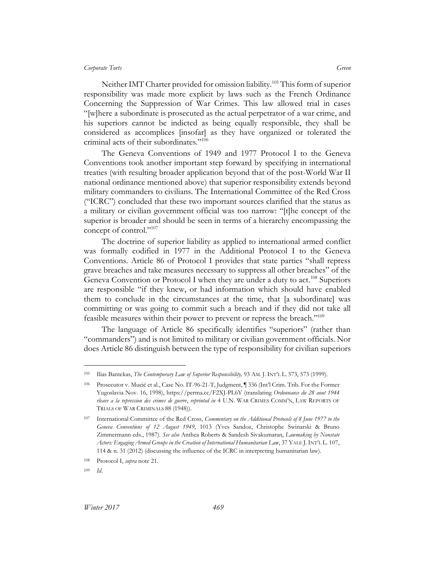Neither IMT Charter provided for omission liability.<sup>105</sup> This form of superior responsibility was made more explicit by laws such as the French Ordinance Concerning the Suppression of War Crimes. This law allowed trial in cases "[w]here a subordinate is prosecuted as the actual perpetrator of a war crime, and his superiors cannot be indicted as being equally responsible, they shall be considered as accomplices [insofar] as they have organized or tolerated the criminal acts of their subordinates."<sup>106</sup>

The Geneva Conventions of 1949 and 1977 Protocol I to the Geneva Conventions took another important step forward by specifying in international treaties (with resulting broader application beyond that of the post-World War II national ordinance mentioned above) that superior responsibility extends beyond military commanders to civilians. The International Committee of the Red Cross ("ICRC") concluded that these two important sources clarified that the status as a military or civilian government official was too narrow: "[t]he concept of the superior is broader and should be seen in terms of a hierarchy encompassing the concept of control."107

The doctrine of superior liability as applied to international armed conflict was formally codified in 1977 in the Additional Protocol I to the Geneva Conventions. Article 86 of Protocol I provides that state parties "shall repress grave breaches and take measures necessary to suppress all other breaches" of the Geneva Convention or Protocol I when they are under a duty to act.<sup>108</sup> Superiors are responsible "if they knew, or had information which should have enabled them to conclude in the circumstances at the time, that [a subordinate] was committing or was going to commit such a breach and if they did not take all feasible measures within their power to prevent or repress the breach."<sup>109</sup>

The language of Article 86 specifically identifies "superiors" (rather than "commanders") and is not limited to military or civilian government officials. Nor does Article 86 distinguish between the type of responsibility for civilian superiors

<sup>105</sup> Ilias Bantekas, *The Contemporary Law of Superior Responsibility,* 93 AM. J. INT'L L. 573, 573 (1999).

<sup>106</sup> Prosecutor v. Mucić et al., Case No. IT-96-21-T, Judgment, ¶ 336 (Int'l Crim. Trib. For the Former Yugoslavia Nov. 16, 1998), https://perma.cc/F2XJ-PL6Y (translating *Ordonnance du 28 aout 1944 rleave a la repression des crimes de guerre*, *reprinted in* 4 U.N. WAR CRIMES COMM'N, LAW REPORTS OF TRIALS OF WAR CRIMINALS 88 (1948)).

<sup>107</sup> International Committee of the Red Cross, *Commentary on the Additional Protocols of 8 June 1977 to the Geneva Conventions of 12 August 1949*, 1013 (Yves Sandoz, Christophe Swinarski & Bruno Zimmermann eds., 1987). *See also* Anthea Roberts & Sandesh Sivakumaran, *Lawmaking by Nonstate Actors: Engaging Armed Groups in the Creation of International Humanitarian Law*, 37 YALE J.INT'L L. 107, 114 & n. 31 (2012) (discussing the influence of the ICRC in interpreting humanitarian law).

<sup>108</sup> Protocol I, *supra* note 21.

<sup>109</sup> *Id*.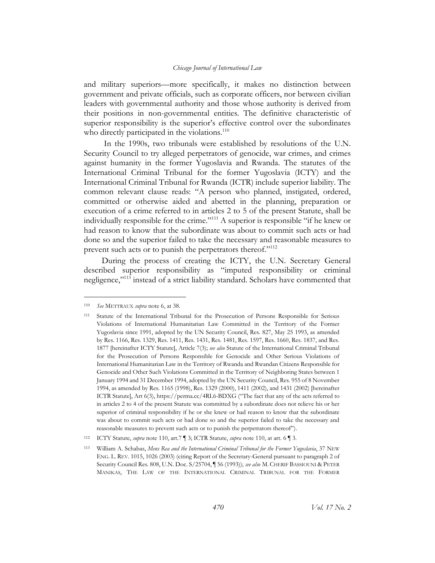and military superiors—more specifically, it makes no distinction between government and private officials, such as corporate officers, nor between civilian leaders with governmental authority and those whose authority is derived from their positions in non-governmental entities. The definitive characteristic of superior responsibility is the superior's effective control over the subordinates who directly participated in the violations. $110$ 

In the 1990s, two tribunals were established by resolutions of the U.N. Security Council to try alleged perpetrators of genocide, war crimes, and crimes against humanity in the former Yugoslavia and Rwanda. The statutes of the International Criminal Tribunal for the former Yugoslavia (ICTY) and the International Criminal Tribunal for Rwanda (ICTR) include superior liability. The common relevant clause reads: "A person who planned, instigated, ordered, committed or otherwise aided and abetted in the planning, preparation or execution of a crime referred to in articles 2 to 5 of the present Statute, shall be individually responsible for the crime."<sup>111</sup> A superior is responsible "if he knew or had reason to know that the subordinate was about to commit such acts or had done so and the superior failed to take the necessary and reasonable measures to prevent such acts or to punish the perpetrators thereof."<sup>112</sup>

During the process of creating the ICTY, the U.N. Secretary General described superior responsibility as "imputed responsibility or criminal negligence,"<sup>113</sup> instead of a strict liability standard. Scholars have commented that

<sup>110</sup> *See* METTRAUX *supra* not[e 6,](#page-5-0) at 38.

<sup>111</sup> Statute of the International Tribunal for the Prosecution of Persons Responsible for Serious Violations of International Humanitarian Law Committed in the Territory of the Former Yugoslavia since 1991, adopted by the UN Security Council, Res. 827, May 25 1993, as amended by Res. 1166, Res. 1329, Res. 1411, Res. 1431, Res. 1481, Res. 1597, Res. 1660, Res. 1837, and Res. 1877 [hereinafter ICTY Statute], Article 7(3); *see also* Statute of the International Criminal Tribunal for the Prosecution of Persons Responsible for Genocide and Other Serious Violations of International Humanitarian Law in the Territory of Rwanda and Rwandan Citizens Responsible for Genocide and Other Such Violations Committed in the Territory of Neighboring States between 1 January 1994 and 31 December 1994, adopted by the UN Security Council, Res. 955 of 8 November 1994, as amended by Res. 1165 (1998), Res. 1329 (2000), 1411 (2002), and 1431 (2002) [hereinafter ICTR Statute], Art 6(3), https://perma.cc/4RL6-BDXG ("The fact that any of the acts referred to in articles 2 to 4 of the present Statute was committed by a subordinate does not relieve his or her superior of criminal responsibility if he or she knew or had reason to know that the subordinate was about to commit such acts or had done so and the superior failed to take the necessary and reasonable measures to prevent such acts or to punish the perpetrators thereof").

<sup>112</sup> ICTY Statute, *supra* note 110, art.7 ¶ 3; ICTR Statute, *supra* note 110, at art. 6 ¶ 3.

<sup>113</sup> William A. Schabas, *Mens Rea and the International Criminal Tribunal for the Former Yugoslavia*, 37 NEW ENG. L. REV. 1015, 1026 (2003) (citing Report of the Secretary-General pursuant to paragraph 2 of Security Council Res. 808, U.N. Doc. S/25704, ¶ 56 (1993)); *see also* M.CHERIF BASSIOUNI & PETER MANIKAS, THE LAW OF THE INTERNATIONAL CRIMINAL TRIBUNAL FOR THE FORMER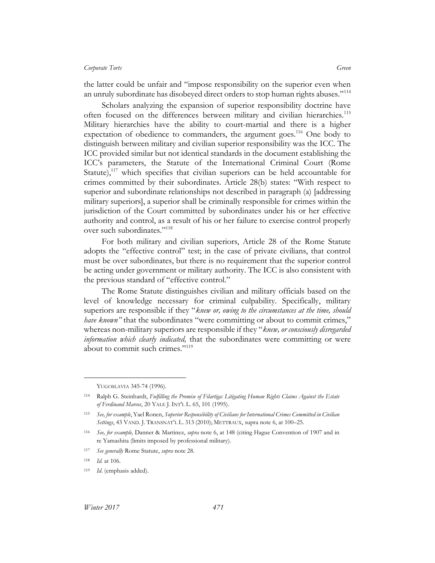the latter could be unfair and "impose responsibility on the superior even when an unruly subordinate has disobeyed direct orders to stop human rights abuses."<sup>114</sup>

Scholars analyzing the expansion of superior responsibility doctrine have often focused on the differences between military and civilian hierarchies.<sup>115</sup> Military hierarchies have the ability to court-martial and there is a higher expectation of obedience to commanders, the argument goes.<sup>116</sup> One body to distinguish between military and civilian superior responsibility was the ICC. The ICC provided similar but not identical standards in the document establishing the ICC's parameters, the Statute of the International Criminal Court (Rome Statute),<sup>117</sup> which specifies that civilian superiors can be held accountable for crimes committed by their subordinates. Article 28(b) states: "With respect to superior and subordinate relationships not described in paragraph (a) [addressing military superiors], a superior shall be criminally responsible for crimes within the jurisdiction of the Court committed by subordinates under his or her effective authority and control, as a result of his or her failure to exercise control properly over such subordinates."<sup>118</sup>

For both military and civilian superiors, Article 28 of the Rome Statute adopts the "effective control" test; in the case of private civilians, that control must be over subordinates, but there is no requirement that the superior control be acting under government or military authority. The ICC is also consistent with the previous standard of "effective control."

The Rome Statute distinguishes civilian and military officials based on the level of knowledge necessary for criminal culpability. Specifically, military superiors are responsible if they "*knew or, owing to the circumstances at the time, should have known*" that the subordinates "were committing or about to commit crimes," whereas non-military superiors are responsible if they "*knew, or consciously disregarded information which clearly indicated,* that the subordinates were committing or were about to commit such crimes."<sup>119</sup>

YUGOSLAVIA 345-74 (1996).

<sup>114</sup> Ralph G. Steinhardt, *Fulfilling the Promise of Filartiga: Litigating Human Rights Claims Against the Estate of Ferdinand Marcos*, 20 YALE J. INT'L L. 65, 101 (1995).

<sup>115</sup> *See, for example*, Yael Ronen, *Superior Responsibility of Civilians for International Crimes Committed in Civilian Settings*, 43 VAND. J. TRANSNAT'L L. 313 (2010); METTRAUX, supra note 6, at 100–25.

<sup>116</sup> *See, for example,* Danner & Martinez, *supra* note 6, at 148 (citing Hague Convention of 1907 and in re Yamashita (limits imposed by professional military).

<sup>117</sup> *See generally* Rome Statute, *supra* note 28.

<sup>118</sup> *Id.* at 106.

<sup>119</sup> *Id*. (emphasis added).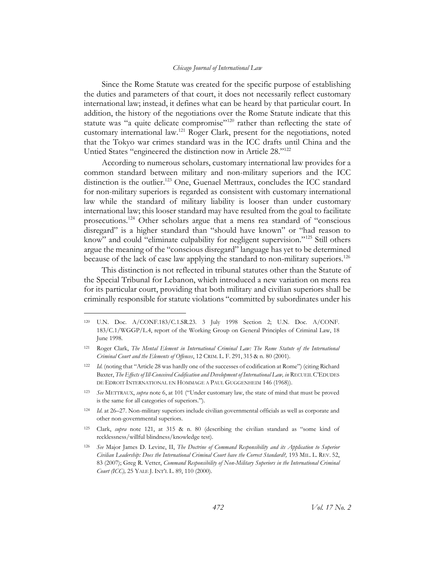Since the Rome Statute was created for the specific purpose of establishing the duties and parameters of that court, it does not necessarily reflect customary international law; instead, it defines what can be heard by that particular court. In addition, the history of the negotiations over the Rome Statute indicate that this statute was "a quite delicate compromise"<sup>120</sup> rather than reflecting the state of customary international law.<sup>121</sup> Roger Clark, present for the negotiations, noted that the Tokyo war crimes standard was in the ICC drafts until China and the Untied States "engineered the distinction now in Article 28."<sup>122</sup>

According to numerous scholars, customary international law provides for a common standard between military and non-military superiors and the ICC distinction is the outlier.<sup>123</sup> One, Guenael Mettraux, concludes the ICC standard for non-military superiors is regarded as consistent with customary international law while the standard of military liability is looser than under customary international law; this looser standard may have resulted from the goal to facilitate prosecutions.<sup>124</sup> Other scholars argue that a mens rea standard of "conscious disregard" is a higher standard than "should have known" or "had reason to know" and could "eliminate culpability for negligent supervision."<sup>125</sup> Still others argue the meaning of the "conscious disregard" language has yet to be determined because of the lack of case law applying the standard to non-military superiors. 126

This distinction is not reflected in tribunal statutes other than the Statute of the Special Tribunal for Lebanon, which introduced a new variation on mens rea for its particular court, providing that both military and civilian superiors shall be criminally responsible for statute violations "committed by subordinates under his

<sup>120</sup> U.N. Doc. A/CONF.183/C.1.SR.23. 3 July 1998 Section 2; U.N. Doc. A/CONF. 183/C.1/WGGP/L.4, report of the Working Group on General Principles of Criminal Law, 18 June 1998.

<sup>121</sup> Roger Clark, *The Mental Element in International Criminal Law: The Rome Statute of the International Criminal Court and the Elements of Offences*, 12 CRIM. L. F. 291, 315 & n. 80 (2001).

<sup>122</sup> *Id.* (noting that "Article 28 was hardly one of the successes of codification at Rome") (citing Richard Baxter, *The Effects of Ill-Conceived Codification and Development of International Law, in* RECUEIL C'EDUDES DE EDROIT INTERNATIONAL EN HOMMAGE A PAUL GUGGENHEIM 146 (1968)).

<sup>123</sup> *See* METTRAUX, *supra* note 6, at 101 ("Under customary law, the state of mind that must be proved is the same for all categories of superiors.").

<sup>124</sup> *Id*. at 26–27. Non-military superiors include civilian governmental officials as well as corporate and other non-governmental superiors.

<sup>125</sup> Clark, *supra* note 121, at 315 & n. 80 (describing the civilian standard as "some kind of recklessness/willful blindness/knowledge test).

<sup>126</sup> *See* Major James D. Levine, II, *The Doctrine of Command Responsibility and its Application to Superior Civilian Leadership: Does the International Criminal Court have the Correct Standard?,* 193 MIL. L. REV. 52, 83 (2007); Greg R. Vetter, *Command Responsibility of Non-Military Superiors in the International Criminal Court (ICC),* 25 YALE J. INT'L L. 89, 110 (2000).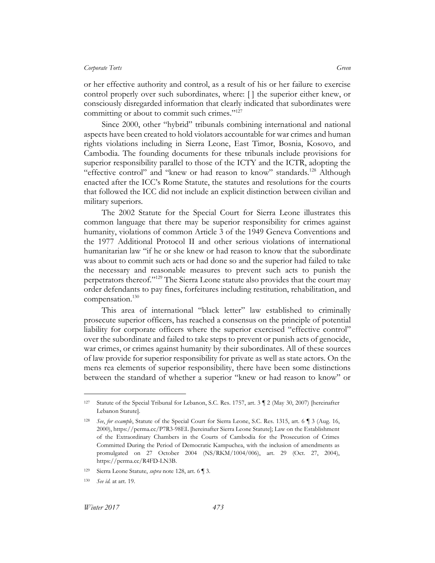or her effective authority and control, as a result of his or her failure to exercise control properly over such subordinates, where: [ ] the superior either knew, or consciously disregarded information that clearly indicated that subordinates were committing or about to commit such crimes."<sup>127</sup>

Since 2000, other "hybrid" tribunals combining international and national aspects have been created to hold violators accountable for war crimes and human rights violations including in Sierra Leone, East Timor, Bosnia, Kosovo, and Cambodia. The founding documents for these tribunals include provisions for superior responsibility parallel to those of the ICTY and the ICTR, adopting the "effective control" and "knew or had reason to know" standards.<sup>128</sup> Although enacted after the ICC's Rome Statute, the statutes and resolutions for the courts that followed the ICC did not include an explicit distinction between civilian and military superiors.

The 2002 Statute for the Special Court for Sierra Leone illustrates this common language that there may be superior responsibility for crimes against humanity, violations of common Article 3 of the 1949 Geneva Conventions and the 1977 Additional Protocol II and other serious violations of international humanitarian law "if he or she knew or had reason to know that the subordinate was about to commit such acts or had done so and the superior had failed to take the necessary and reasonable measures to prevent such acts to punish the perpetrators thereof."<sup>129</sup> The Sierra Leone statute also provides that the court may order defendants to pay fines, forfeitures including restitution, rehabilitation, and compensation.<sup>130</sup>

This area of international "black letter" law established to criminally prosecute superior officers, has reached a consensus on the principle of potential liability for corporate officers where the superior exercised "effective control" over the subordinate and failed to take steps to prevent or punish acts of genocide, war crimes, or crimes against humanity by their subordinates. All of these sources of law provide for superior responsibility for private as well as state actors. On the mens rea elements of superior responsibility, there have been some distinctions between the standard of whether a superior "knew or had reason to know" or

<sup>127</sup> Statute of the Special Tribunal for Lebanon, S.C. Res. 1757, art. 3 ¶ 2 (May 30, 2007) [hereinafter Lebanon Statute].

<sup>128</sup> *See*, *for example*, Statute of the Special Court for Sierra Leone, S.C. Res. 1315, art. 6 ¶ 3 (Aug. 16, 2000), https://perma.cc/P7R3-98EL [hereinafter Sierra Leone Statute]; Law on the Establishment of the Extraordinary Chambers in the Courts of Cambodia for the Prosecution of Crimes Committed During the Period of Democratic Kampuchea, with the inclusion of amendments as promulgated on 27 October 2004 (NS/RKM/1004/006), art. 29 (Oct. 27, 2004), https://perma.cc/R4FD-LN3B.

<sup>129</sup> Sierra Leone Statute, *supra* note 128, art. 6 ¶ 3.

<sup>130</sup> *See id.* at art. 19.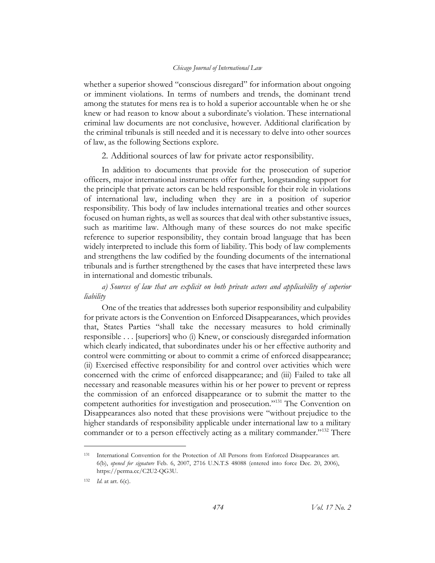whether a superior showed "conscious disregard" for information about ongoing or imminent violations. In terms of numbers and trends, the dominant trend among the statutes for mens rea is to hold a superior accountable when he or she knew or had reason to know about a subordinate's violation. These international criminal law documents are not conclusive, however. Additional clarification by the criminal tribunals is still needed and it is necessary to delve into other sources of law, as the following Sections explore.

2. Additional sources of law for private actor responsibility.

<span id="page-28-0"></span>In addition to documents that provide for the prosecution of superior officers, major international instruments offer further, longstanding support for the principle that private actors can be held responsible for their role in violations of international law, including when they are in a position of superior responsibility. This body of law includes international treaties and other sources focused on human rights, as well as sources that deal with other substantive issues, such as maritime law. Although many of these sources do not make specific reference to superior responsibility, they contain broad language that has been widely interpreted to include this form of liability. This body of law complements and strengthens the law codified by the founding documents of the international tribunals and is further strengthened by the cases that have interpreted these laws in international and domestic tribunals.

<span id="page-28-1"></span>*a) Sources of law that are explicit on both private actors and applicability of superior liability*

One of the treaties that addresses both superior responsibility and culpability for private actors is the Convention on Enforced Disappearances, which provides that, States Parties "shall take the necessary measures to hold criminally responsible . . . [superiors] who (i) Knew, or consciously disregarded information which clearly indicated, that subordinates under his or her effective authority and control were committing or about to commit a crime of enforced disappearance; (ii) Exercised effective responsibility for and control over activities which were concerned with the crime of enforced disappearance; and (iii) Failed to take all necessary and reasonable measures within his or her power to prevent or repress the commission of an enforced disappearance or to submit the matter to the competent authorities for investigation and prosecution."<sup>131</sup> The Convention on Disappearances also noted that these provisions were "without prejudice to the higher standards of responsibility applicable under international law to a military commander or to a person effectively acting as a military commander."<sup>132</sup> There

<sup>131</sup> International Convention for the Protection of All Persons from Enforced Disappearances art. 6(b), *opened for signature* Feb. 6, 2007, 2716 U.N.T.S 48088 (entered into force Dec. 20, 2006), https://perma.cc/C2U2-QG3U.

<sup>132</sup> *Id.* at art. 6(c).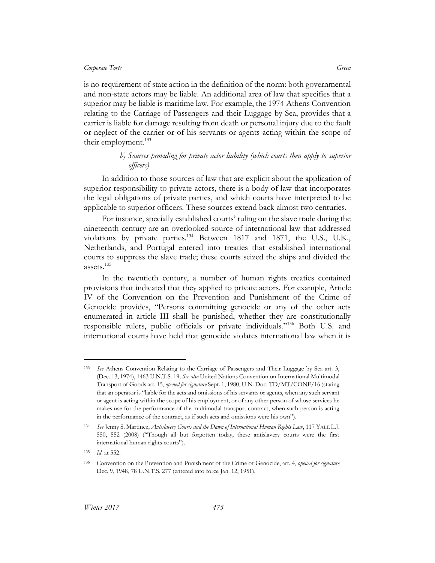is no requirement of state action in the definition of the norm: both governmental and non-state actors may be liable. An additional area of law that specifies that a superior may be liable is maritime law. For example, the 1974 Athens Convention relating to the Carriage of Passengers and their Luggage by Sea, provides that a carrier is liable for damage resulting from death or personal injury due to the fault or neglect of the carrier or of his servants or agents acting within the scope of their employment.<sup>133</sup>

### *b) Sources providing for private actor liability (which courts then apply to superior officers)*

<span id="page-29-0"></span>In addition to those sources of law that are explicit about the application of superior responsibility to private actors, there is a body of law that incorporates the legal obligations of private parties, and which courts have interpreted to be applicable to superior officers. These sources extend back almost two centuries.

For instance, specially established courts' ruling on the slave trade during the nineteenth century are an overlooked source of international law that addressed violations by private parties.<sup>134</sup> Between 1817 and 1871, the U.S., U.K., Netherlands, and Portugal entered into treaties that established international courts to suppress the slave trade; these courts seized the ships and divided the assets. $^{135}$ 

In the twentieth century, a number of human rights treaties contained provisions that indicated that they applied to private actors. For example, Article IV of the Convention on the Prevention and Punishment of the Crime of Genocide provides, "Persons committing genocide or any of the other acts enumerated in article III shall be punished, whether they are constitutionally responsible rulers, public officials or private individuals."<sup>136</sup> Both U.S. and international courts have held that genocide violates international law when it is

<sup>133</sup> *See* Athens Convention Relating to the Carriage of Passengers and Their Luggage by Sea art. 3, (Dec. 13, 1974), 1463 U.N.T.S. 19; *See also* United Nations Convention on International Multimodal Transport of Goods art. 15, *opened for signature* Sept. 1, 1980, U.N. Doc. TD/MT/CONF/16 (stating that an operator is "liable for the acts and omissions of his servants or agents, when any such servant or agent is acting within the scope of his employment, or of any other person of whose services he makes use for the performance of the multimodal transport contract, when such person is acting in the performance of the contract, as if such acts and omissions were his own").

<sup>134</sup> *See* Jenny S. Martinez, *Antislavery Courts and the Dawn of International Human Rights Law*, 117 YALE L.J. 550, 552 (2008) ("Though all but forgotten today, these antislavery courts were the first international human rights courts").

<sup>135</sup> *Id*. at 552.

<sup>136</sup> Convention on the Prevention and Punishment of the Crime of Genocide, art. 4, *opened for signature* Dec. 9, 1948, 78 U.N.T.S. 277 (entered into force Jan. 12, 1951).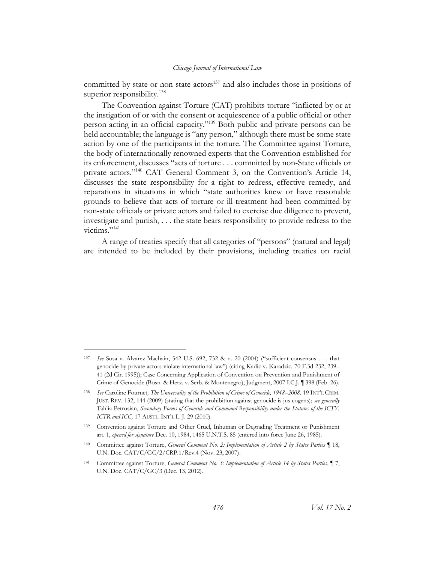committed by state or non-state actors<sup>137</sup> and also includes those in positions of superior responsibility.<sup>138</sup>

The Convention against Torture (CAT) prohibits torture "inflicted by or at the instigation of or with the consent or acquiescence of a public official or other person acting in an official capacity."<sup>139</sup> Both public and private persons can be held accountable; the language is "any person," although there must be some state action by one of the participants in the torture. The Committee against Torture, the body of internationally renowned experts that the Convention established for its enforcement, discusses "acts of torture . . . committed by non-State officials or private actors."<sup>140</sup> CAT General Comment 3, on the Convention's Article 14, discusses the state responsibility for a right to redress, effective remedy, and reparations in situations in which "state authorities knew or have reasonable grounds to believe that acts of torture or ill-treatment had been committed by non-state officials or private actors and failed to exercise due diligence to prevent, investigate and punish, . . . the state bears responsibility to provide redress to the victims."<sup>141</sup>

A range of treaties specify that all categories of "persons" (natural and legal) are intended to be included by their provisions, including treaties on racial

<sup>137</sup> *See* Sosa v. Alvarez-Machain, 542 U.S. 692, 732 & n. 20 (2004) ("sufficient consensus . . . that genocide by private actors violate international law") (citing Kadic v. Karadzic*,* 70 F.3d 232, 239– 41 (2d Cir. 1995)); Case Concerning Application of Convention on Prevention and Punishment of Crime of Genocide (Bosn. & Herz. v. Serb. & Montenegro), Judgment, 2007 I.C.J. ¶ 398 (Feb. 26).

<sup>138</sup> *See* Caroline Fournet*, The Universality of the Prohibition of Crime of Genocide, 1948–2008,* 19 INT'L CRIM. JUST. REV. 132, 144 (2009) (stating that the prohibition against genocide is jus cogens); *see generally* Tahlia Petrosian, *Secondary Forms of Genocide and Command Responsibility under the Statutes of the ICTY, ICTR and ICC,* 17 AUSTL. INT'L L. J. 29 (2010).

<sup>139</sup> Convention against Torture and Other Cruel, Inhuman or Degrading Treatment or Punishment art. 1, *opened for signature* Dec. 10, 1984, 1465 U.N.T.S. 85 (entered into force June 26, 1985).

<sup>140</sup> Committee against Torture, *General Comment No. 2: Implementation of Article 2 by States Parties* ¶ 18, U.N. Doc. CAT/C/GC/2/CRP.1/Rev.4 (Nov. 23, 2007).

<sup>141</sup> Committee against Torture, *General Comment No. 3: Implementation of Article 14 by States Parties*, ¶ 7, U.N. Doc. CAT/C/GC/3 (Dec. 13, 2012).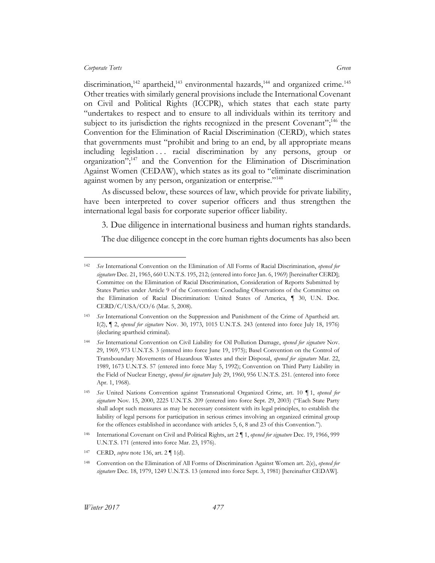$\overline{a}$ 

discrimination,<sup>142</sup> apartheid,<sup>143</sup> environmental hazards,<sup>144</sup> and organized crime.<sup>145</sup> Other treaties with similarly general provisions include the International Covenant on Civil and Political Rights (ICCPR), which states that each state party "undertakes to respect and to ensure to all individuals within its territory and subject to its jurisdiction the rights recognized in the present Covenant";<sup>146</sup> the Convention for the Elimination of Racial Discrimination (CERD), which states that governments must "prohibit and bring to an end, by all appropriate means including legislation . . . racial discrimination by any persons, group or organization";<sup>147</sup> and the Convention for the Elimination of Discrimination Against Women (CEDAW), which states as its goal to "eliminate discrimination against women by any person, organization or enterprise."<sup>148</sup>

As discussed below, these sources of law, which provide for private liability, have been interpreted to cover superior officers and thus strengthen the international legal basis for corporate superior officer liability.

<span id="page-31-0"></span>3. Due diligence in international business and human rights standards.

The due diligence concept in the core human rights documents has also been

<sup>142</sup> *See* International Convention on the Elimination of All Forms of Racial Discrimination, *opened for signature* Dec. 21, 1965, 660 U.N.T.S. 195, 212; (entered into force Jan. 6, 1969) [hereinafter CERD]; Committee on the Elimination of Racial Discrimination, Consideration of Reports Submitted by States Parties under Article 9 of the Convention: Concluding Observations of the Committee on the Elimination of Racial Discrimination: United States of America, ¶ 30, U.N. Doc. CERD/C/USA/CO/6 (Mar. 5, 2008).

<sup>143</sup> *See* International Convention on the Suppression and Punishment of the Crime of Apartheid art. I(2), ¶ 2, *opened for signature* Nov. 30, 1973, 1015 U.N.T.S. 243 (entered into force July 18, 1976) (declaring apartheid criminal).

<sup>144</sup> *See* International Convention on Civil Liability for Oil Pollution Damage, *opened for signature* Nov. 29, 1969, 973 U.N.T.S. 3 (entered into force June 19, 1975); Basel Convention on the Control of Transboundary Movements of Hazardous Wastes and their Disposal, *opened for signature* Mar. 22, 1989, 1673 U.N.T.S. 57 (entered into force May 5, 1992); Convention on Third Party Liability in the Field of Nuclear Energy, *opened for signature* July 29, 1960, 956 U.N.T.S. 251. (entered into force Apr. 1, 1968).

<sup>145</sup> *See* United Nations Convention against Transnational Organized Crime, art. 10 ¶ 1, *opened for signature* Nov. 15, 2000, 2225 U.N.T.S. 209 (entered into force Sept. 29, 2003) ("Each State Party shall adopt such measures as may be necessary consistent with its legal principles, to establish the liability of legal persons for participation in serious crimes involving an organized criminal group for the offences established in accordance with articles 5, 6, 8 and 23 of this Convention.").

<sup>146</sup> International Covenant on Civil and Political Rights, art 2 ¶ 1, *opened for signature* Dec. 19, 1966, 999 U.N.T.S. 171 (entered into force Mar. 23, 1976).

<sup>147</sup> CERD, *supra* note 136, art. 2 ¶ 1(d).

<sup>148</sup> Convention on the Elimination of All Forms of Discrimination Against Women art. 2(e), *opened for signature* Dec. 18, 1979, 1249 U.N.T.S. 13 (entered into force Sept. 3, 1981) [hereinafter CEDAW].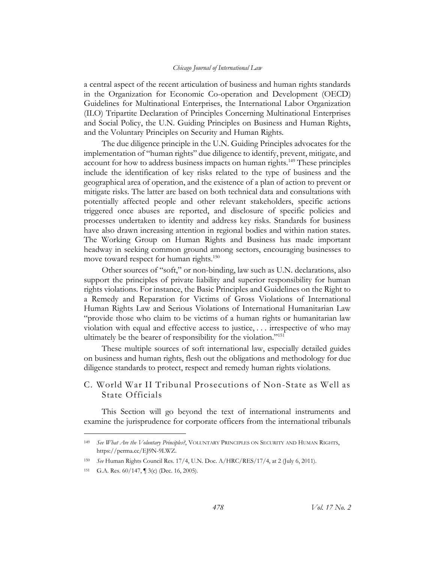a central aspect of the recent articulation of business and human rights standards in the Organization for Economic Co-operation and Development (OECD) Guidelines for Multinational Enterprises, the International Labor Organization (ILO) Tripartite Declaration of Principles Concerning Multinational Enterprises and Social Policy, the U.N. Guiding Principles on Business and Human Rights, and the Voluntary Principles on Security and Human Rights.

The due diligence principle in the U.N. Guiding Principles advocates for the implementation of "human rights" due diligence to identify, prevent, mitigate, and account for how to address business impacts on human rights.<sup>149</sup> These principles include the identification of key risks related to the type of business and the geographical area of operation, and the existence of a plan of action to prevent or mitigate risks. The latter are based on both technical data and consultations with potentially affected people and other relevant stakeholders, specific actions triggered once abuses are reported, and disclosure of specific policies and processes undertaken to identity and address key risks. Standards for business have also drawn increasing attention in regional bodies and within nation states. The Working Group on Human Rights and Business has made important headway in seeking common ground among sectors, encouraging businesses to move toward respect for human rights. 150

Other sources of "soft," or non-binding, law such as U.N. declarations, also support the principles of private liability and superior responsibility for human rights violations. For instance, the Basic Principles and Guidelines on the Right to a Remedy and Reparation for Victims of Gross Violations of International Human Rights Law and Serious Violations of International Humanitarian Law "provide those who claim to be victims of a human rights or humanitarian law violation with equal and effective access to justice, . . . irrespective of who may ultimately be the bearer of responsibility for the violation."<sup>151</sup>

These multiple sources of soft international law, especially detailed guides on business and human rights, flesh out the obligations and methodology for due diligence standards to protect, respect and remedy human rights violations.

## <span id="page-32-0"></span>C. World War II Tribunal Prosecutions of Non-State as Well as State Officials

This Section will go beyond the text of international instruments and examine the jurisprudence for corporate officers from the international tribunals

<sup>149</sup> *See What Are the Voluntary Principles?*, VOLUNTARY PRINCIPLES ON SECURITY AND HUMAN RIGHTS, https://perma.cc/EJ9N-9LWZ.

<sup>150</sup> *See* Human Rights Council Res. 17/4, U.N. Doc. A/HRC/RES/17/4, at 2 (July 6, 2011).

<sup>151</sup> G.A. Res. 60/147, ¶ 3(c) (Dec. 16, 2005).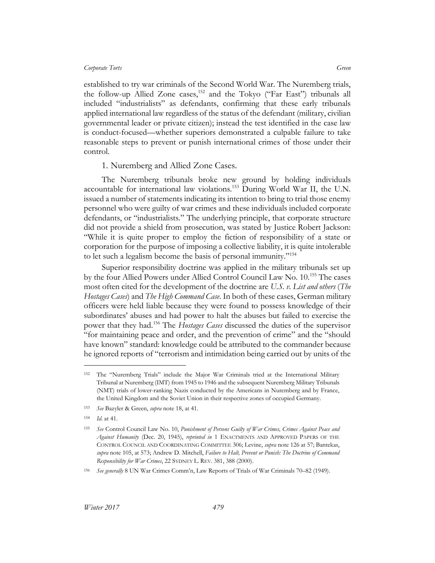established to try war criminals of the Second World War. The Nuremberg trials, the follow-up Allied Zone cases,<sup>152</sup> and the Tokyo ("Far East") tribunals all included "industrialists" as defendants, confirming that these early tribunals applied international law regardless of the status of the defendant (military, civilian governmental leader or private citizen); instead the test identified in the case law is conduct-focused—whether superiors demonstrated a culpable failure to take reasonable steps to prevent or punish international crimes of those under their control.

#### 1. Nuremberg and Allied Zone Cases.

<span id="page-33-0"></span>The Nuremberg tribunals broke new ground by holding individuals accountable for international law violations.<sup>153</sup> During World War II, the U.N. issued a number of statements indicating its intention to bring to trial those enemy personnel who were guilty of war crimes and these individuals included corporate defendants, or "industrialists." The underlying principle, that corporate structure did not provide a shield from prosecution, was stated by Justice Robert Jackson: "While it is quite proper to employ the fiction of responsibility of a state or corporation for the purpose of imposing a collective liability, it is quite intolerable to let such a legalism become the basis of personal immunity."<sup>154</sup>

Superior responsibility doctrine was applied in the military tribunals set up by the four Allied Powers under Allied Control Council Law No. 10.<sup>155</sup> The cases most often cited for the development of the doctrine are *U.S. v. List and others* (*The Hostages Cases*) and *The High Command Case*. In both of these cases, German military officers were held liable because they were found to possess knowledge of their subordinates' abuses and had power to halt the abuses but failed to exercise the power that they had.<sup>156</sup> The *Hostages Cases* discussed the duties of the supervisor "for maintaining peace and order, and the prevention of crime" and the "should have known" standard: knowledge could be attributed to the commander because he ignored reports of "terrorism and intimidation being carried out by units of the

<sup>152</sup> The "Nuremberg Trials" include the Major War Criminals tried at the International Military Tribunal at Nuremberg (IMT) from 1945 to 1946 and the subsequent Nuremberg Military Tribunals (NMT) trials of lower-ranking Nazis conducted by the Americans in Nuremberg and by France, the United Kingdom and the Soviet Union in their respective zones of occupied Germany.

<sup>153</sup> *See* Bazyler & Green, *supra* note 18, at 41.

<sup>154</sup> *Id*. at 41.

<sup>155</sup> *See* Control Council Law No. 10, *Punishment of Persons Guilty of War Crimes, Crimes Against Peace and Against Humanity* (Dec. 20, 1945), *reprinted in* 1 ENACTMENTS AND APPROVED PAPERS OF THE CONTROL COUNCIL AND COORDINATING COMMITTEE 306; Levine, *supra* note 126 at 57; Bantekas, *supra* note 105, at 573; Andrew D. Mitchell, *Failure to Halt, Prevent or Punish: The Doctrine of Command Responsibility for War Crimes*, 22 SYDNEY L. REV. 381, 388 (2000).

<sup>156</sup> *See generally* 8 UN War Crimes Comm'n, Law Reports of Trials of War Criminals 70–82 (1949).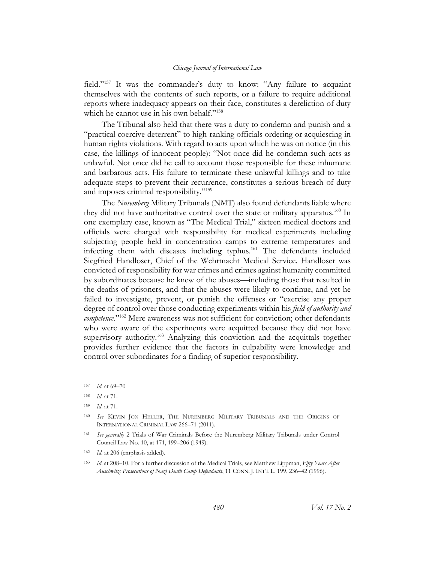field."<sup>157</sup> It was the commander's duty to know: "Any failure to acquaint themselves with the contents of such reports, or a failure to require additional reports where inadequacy appears on their face, constitutes a dereliction of duty which he cannot use in his own behalf."<sup>158</sup>

The Tribunal also held that there was a duty to condemn and punish and a "practical coercive deterrent" to high-ranking officials ordering or acquiescing in human rights violations. With regard to acts upon which he was on notice (in this case, the killings of innocent people): "Not once did he condemn such acts as unlawful. Not once did he call to account those responsible for these inhumane and barbarous acts. His failure to terminate these unlawful killings and to take adequate steps to prevent their recurrence, constitutes a serious breach of duty and imposes criminal responsibility."<sup>159</sup>

The *Nuremberg* Military Tribunals (NMT) also found defendants liable where they did not have authoritative control over the state or military apparatus.<sup>160</sup> In one exemplary case, known as "The Medical Trial," sixteen medical doctors and officials were charged with responsibility for medical experiments including subjecting people held in concentration camps to extreme temperatures and infecting them with diseases including typhus.<sup>161</sup> The defendants included Siegfried Handloser, Chief of the Wehrmacht Medical Service. Handloser was convicted of responsibility for war crimes and crimes against humanity committed by subordinates because he knew of the abuses—including those that resulted in the deaths of prisoners, and that the abuses were likely to continue, and yet he failed to investigate, prevent, or punish the offenses or "exercise any proper degree of control over those conducting experiments within his *field of authority and competence*."<sup>162</sup> Mere awareness was not sufficient for conviction; other defendants who were aware of the experiments were acquitted because they did not have supervisory authority.<sup>163</sup> Analyzing this conviction and the acquittals together provides further evidence that the factors in culpability were knowledge and control over subordinates for a finding of superior responsibility.

<sup>157</sup> *Id.* at 69–70

<sup>158</sup> *Id*. at 71.

<sup>159</sup> *Id*. at 71.

<sup>160</sup> *See* KEVIN JON HELLER, THE NUREMBERG MILITARY TRIBUNALS AND THE ORIGINS OF INTERNATIONAL CRIMINAL LAW 266–71 (2011).

<sup>161</sup> *See generally* 2 Trials of War Criminals Before the Nuremberg Military Tribunals under Control Council Law No. 10, at 171, 199–206 (1949).

<sup>162</sup> *Id.* at 206 (emphasis added).

<sup>163</sup> *Id*. at 208–10. For a further discussion of the Medical Trials, see Matthew Lippman, *Fifty Years After Auschwitz: Prosecutions of Nazi Death Camp Defendants*, 11 CONN. J. INT'L L. 199, 236–42 (1996).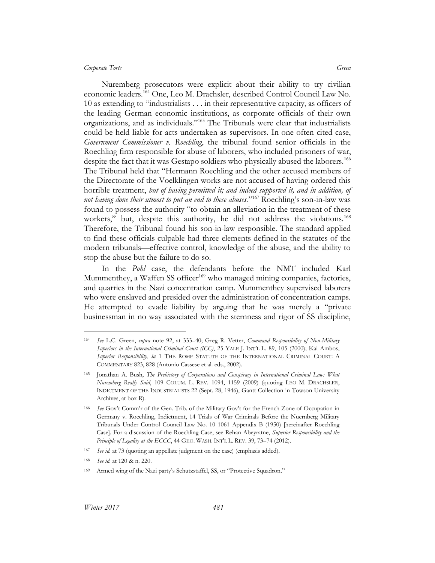Nuremberg prosecutors were explicit about their ability to try civilian economic leaders.<sup>164</sup> One, Leo M. Drachsler, described Control Council Law No. 10 as extending to "industrialists . . . in their representative capacity, as officers of the leading German economic institutions, as corporate officials of their own organizations, and as individuals."<sup>165</sup> The Tribunals were clear that industrialists could be held liable for acts undertaken as supervisors. In one often cited case, *Government Commissioner v. Roechling*, the tribunal found senior officials in the Roechling firm responsible for abuse of laborers, who included prisoners of war, despite the fact that it was Gestapo soldiers who physically abused the laborers.<sup>166</sup> The Tribunal held that "Hermann Roechling and the other accused members of the Directorate of the Voelklingen works are not accused of having ordered this horrible treatment, *but of having permitted it; and indeed supported it, and in addition, of*  not having done their utmost to put an end to these abuses."<sup>167</sup> Roechling's son-in-law was found to possess the authority "to obtain an alleviation in the treatment of these workers," but, despite this authority, he did not address the violations.<sup>168</sup> Therefore, the Tribunal found his son-in-law responsible. The standard applied to find these officials culpable had three elements defined in the statutes of the modern tribunals—effective control, knowledge of the abuse, and the ability to stop the abuse but the failure to do so.

In the *Pohl* case, the defendants before the NMT included Karl Mummenthey, a Waffen SS officer<sup>169</sup> who managed mining companies, factories, and quarries in the Nazi concentration camp. Mummenthey supervised laborers who were enslaved and presided over the administration of concentration camps. He attempted to evade liability by arguing that he was merely a "private businessman in no way associated with the sternness and rigor of SS discipline,

<sup>164</sup> *See* L.C. Green, *supra* note 92, at 333–40; Greg R. Vetter, *Command Responsibility of Non-Military Superiors in the International Criminal Court (ICC)*, 25 YALE J. INT'L L. 89, 105 (2000); Kai Ambos, *Superior Responsibility*, *in* 1 THE ROME STATUTE OF THE INTERNATIONAL CRIMINAL COURT: A COMMENTARY 823, 828 (Antonio Cassese et al. eds., 2002).

<sup>165</sup> Jonathan A. Bush, *The Prehistory of Corporations and Conspiracy in International Criminal Law: What Nuremberg Really Said*, 109 COLUM. L. REV. 1094, 1159 (2009) (quoting LEO M. DRACHSLER, INDICTMENT OF THE INDUSTRIALISTS 22 (Sept. 28, 1946), Gantt Collection in Towson University Archives, at box R).

<sup>166</sup> *See* Gov't Comm'r of the Gen. Trib. of the Military Gov't for the French Zone of Occupation in Germany v. Roechling, Indictment, 14 Trials of War Criminals Before the Nuernberg Military Tribunals Under Control Council Law No. 10 1061 Appendix B (1950) [hereinafter Roechling Case]. For a discussion of the Roechling Case, see Rehan Abeyratne, *Superior Responsibility and the Principle of Legality at the ECCC*, 44 GEO. WASH. INT'L L. REV. 39, 73–74 (2012).

<sup>167</sup> *See id.* at 73 (quoting an appellate judgment on the case) (emphasis added).

<sup>168</sup> *See id*. at 120 & n. 220.

<sup>169</sup> Armed wing of the Nazi party's Schutzstaffel, SS, or "Protective Squadron."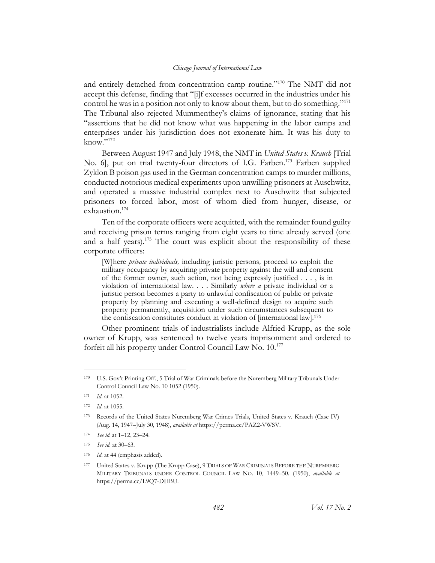and entirely detached from concentration camp routine."<sup>170</sup> The NMT did not accept this defense, finding that "[i]f excesses occurred in the industries under his control he was in a position not only to know about them, but to do something."<sup>171</sup> The Tribunal also rejected Mummenthey's claims of ignorance, stating that his "assertions that he did not know what was happening in the labor camps and enterprises under his jurisdiction does not exonerate him. It was his duty to know."172

Between August 1947 and July 1948, the NMT in *United States v. Krauch* [Trial No. 6], put on trial twenty-four directors of I.G. Farben.<sup>173</sup> Farben supplied Zyklon B poison gas used in the German concentration camps to murder millions, conducted notorious medical experiments upon unwilling prisoners at Auschwitz, and operated a massive industrial complex next to Auschwitz that subjected prisoners to forced labor, most of whom died from hunger, disease, or exhaustion.<sup>174</sup>

Ten of the corporate officers were acquitted, with the remainder found guilty and receiving prison terms ranging from eight years to time already served (one and a half years).<sup>175</sup> The court was explicit about the responsibility of these corporate officers:

[W]here *private individuals,* including juristic persons*,* proceed to exploit the military occupancy by acquiring private property against the will and consent of the former owner, such action, not being expressly justified . . . , is in violation of international law. . . . Similarly *where a* private individual or a juristic person becomes a party to unlawful confiscation of public or private property by planning and executing a well-defined design to acquire such property permanently, acquisition under such circumstances subsequent to the confiscation constitutes conduct in violation of [international law].<sup>176</sup>

Other prominent trials of industrialists include Alfried Krupp, as the sole owner of Krupp, was sentenced to twelve years imprisonment and ordered to forfeit all his property under Control Council Law No.  $10^{177}$ 

<sup>170</sup> U.S. Gov't Printing Off., 5 Trial of War Criminals before the Nuremberg Military Tribunals Under Control Council Law No. 10 1052 (1950).

<sup>171</sup> *Id*. at 1052.

<sup>172</sup> *Id*. at 1055.

<sup>173</sup> Records of the United States Nuremberg War Crimes Trials, United States v. Krauch (Case IV) (Aug. 14, 1947–July 30, 1948), *available at* https://perma.cc/PAZ2-VWSV.

<sup>174</sup> *See id*. at 1–12, 23–24.

<sup>175</sup> *See id*. at 30–63.

<sup>176</sup> *Id*. at 44 (emphasis added).

<sup>177</sup> United States v. Krupp (The Krupp Case), 9 TRIALS OF WAR CRIMINALS BEFORE THE NUREMBERG MILITARY TRIBUNALS UNDER CONTROL COUNCIL LAW NO. 10, 1449–50. (1950), *available at* https://perma.cc/L9Q7-DHBU.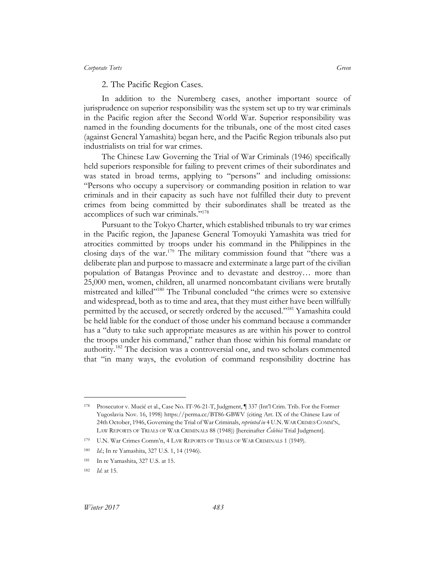### 2. The Pacific Region Cases.

In addition to the Nuremberg cases, another important source of jurisprudence on superior responsibility was the system set up to try war criminals in the Pacific region after the Second World War. Superior responsibility was named in the founding documents for the tribunals, one of the most cited cases (against General Yamashita) began here, and the Pacific Region tribunals also put industrialists on trial for war crimes.

The Chinese Law Governing the Trial of War Criminals (1946) specifically held superiors responsible for failing to prevent crimes of their subordinates and was stated in broad terms, applying to "persons" and including omissions: "Persons who occupy a supervisory or commanding position in relation to war criminals and in their capacity as such have not fulfilled their duty to prevent crimes from being committed by their subordinates shall be treated as the accomplices of such war criminals." 178

Pursuant to the Tokyo Charter, which established tribunals to try war crimes in the Pacific region, the Japanese General Tomoyuki Yamashita was tried for atrocities committed by troops under his command in the Philippines in the closing days of the war.<sup>179</sup> The military commission found that "there was a deliberate plan and purpose to massacre and exterminate a large part of the civilian population of Batangas Province and to devastate and destroy… more than 25,000 men, women, children, all unarmed noncombatant civilians were brutally mistreated and killed" <sup>180</sup> The Tribunal concluded "the crimes were so extensive and widespread, both as to time and area, that they must either have been willfully permitted by the accused, or secretly ordered by the accused."<sup>181</sup> Yamashita could be held liable for the conduct of those under his command because a commander has a "duty to take such appropriate measures as are within his power to control the troops under his command," rather than those within his formal mandate or authority.<sup>182</sup> The decision was a controversial one, and two scholars commented that "in many ways, the evolution of command responsibility doctrine has

<sup>178</sup> Prosecutor v. Mucić et al., Case No. IT-96-21-T, Judgment, ¶ 337 (Int'l Crim. Trib. For the Former Yugoslavia Nov. 16, 1998) https://perma.cc/BT86-GBWV (citing Art. IX of the Chinese Law of 24th October, 1946, Governing the Trial of War Criminals, *reprinted in* 4 U.N.WAR CRIMES COMM'N, LAW REPORTS OF TRIALS OF WAR CRIMINALS 88 (1948)) [hereinafter *Čelebici* Trial Judgment].

<sup>179</sup> U.N. War Crimes Comm'n, 4 LAW REPORTS OF TRIALS OF WAR CRIMINALS 1 (1949).

<sup>180</sup> *Id*.; In re Yamashita, 327 U.S. 1, 14 (1946).

<sup>181</sup> In re Yamashita, 327 U.S. at 15.

<sup>182</sup> *Id.* at 15.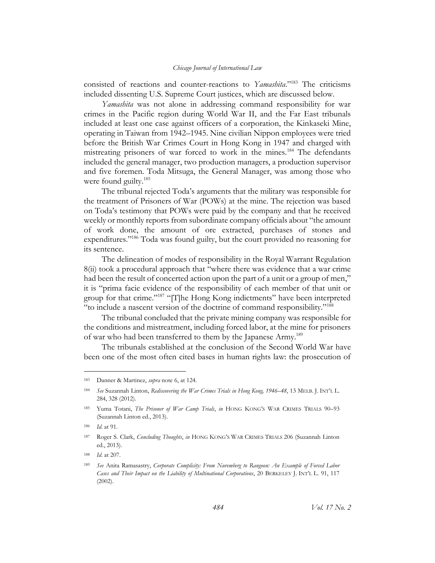consisted of reactions and counter-reactions to *Yamashita*."<sup>183</sup> The criticisms included dissenting U.S. Supreme Court justices, which are discussed below.

*Yamashita* was not alone in addressing command responsibility for war crimes in the Pacific region during World War II, and the Far East tribunals included at least one case against officers of a corporation, the Kinkaseki Mine, operating in Taiwan from 1942–1945. Nine civilian Nippon employees were tried before the British War Crimes Court in Hong Kong in 1947 and charged with mistreating prisoners of war forced to work in the mines.<sup>184</sup> The defendants included the general manager, two production managers, a production supervisor and five foremen. Toda Mitsuga, the General Manager, was among those who were found guilty.<sup>185</sup>

The tribunal rejected Toda's arguments that the military was responsible for the treatment of Prisoners of War (POWs) at the mine. The rejection was based on Toda's testimony that POWs were paid by the company and that he received weekly or monthly reports from subordinate company officials about "the amount of work done, the amount of ore extracted, purchases of stones and expenditures."<sup>186</sup> Toda was found guilty, but the court provided no reasoning for its sentence.

The delineation of modes of responsibility in the Royal Warrant Regulation 8(ii) took a procedural approach that "where there was evidence that a war crime had been the result of concerted action upon the part of a unit or a group of men," it is "prima facie evidence of the responsibility of each member of that unit or group for that crime."<sup>187</sup> "[T]he Hong Kong indictments" have been interpreted "to include a nascent version of the doctrine of command responsibility."<sup>188</sup>

The tribunal concluded that the private mining company was responsible for the conditions and mistreatment, including forced labor, at the mine for prisoners of war who had been transferred to them by the Japanese Army.<sup>189</sup>

The tribunals established at the conclusion of the Second World War have been one of the most often cited bases in human rights law: the prosecution of

<sup>183</sup> Danner & Martinez, *supra* note 6, at 124.

<sup>184</sup> *See* Suzannah Linton, *Rediscovering the War Crimes Trials in Hong Kong, 1946–48*, 13 MELB. J. INT'L L. 284, 328 (2012).

<sup>185</sup> Yuma Totani, *The Prisoner of War Camp Trials*, *in* HONG KONG'S WAR CRIMES TRIALS 90–93 (Suzannah Linton ed., 2013).

<sup>186</sup> *Id*. at 91.

<sup>187</sup> Roger S. Clark, *Concluding Thoughts*, *in* HONG KONG'S WAR CRIMES TRIALS 206 (Suzannah Linton ed., 2013).

<sup>188</sup> *Id*. at 207.

<sup>189</sup> *See* Anita Ramasastry, *Corporate Complicity: From Nuremberg to Rangoon: An Example of Forced Labor Cases and Their Impact on the Liability of Multinational Corporations*, 20 BERKELEY J. INT'L L. 91, 117 (2002).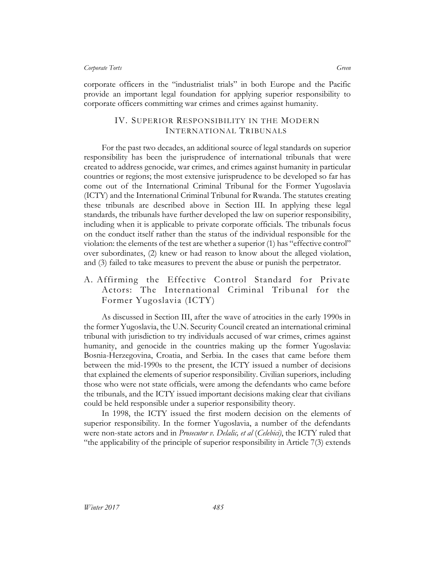corporate officers in the "industrialist trials" in both Europe and the Pacific provide an important legal foundation for applying superior responsibility to corporate officers committing war crimes and crimes against humanity.

## IV. SUPERIOR RESPONSIBILITY IN THE MODERN INTERNATIONAL TRIBUNALS

For the past two decades, an additional source of legal standards on superior responsibility has been the jurisprudence of international tribunals that were created to address genocide, war crimes, and crimes against humanity in particular countries or regions; the most extensive jurisprudence to be developed so far has come out of the International Criminal Tribunal for the Former Yugoslavia (ICTY) and the International Criminal Tribunal for Rwanda. The statutes creating these tribunals are described above in Section III. In applying these legal standards, the tribunals have further developed the law on superior responsibility, including when it is applicable to private corporate officials. The tribunals focus on the conduct itself rather than the status of the individual responsible for the violation: the elements of the test are whether a superior (1) has "effective control" over subordinates, (2) knew or had reason to know about the alleged violation, and (3) failed to take measures to prevent the abuse or punish the perpetrator.

# A. Affirming the Effective Control Standard for Private Actors: The International Criminal Tribunal for the Former Yugoslavia (ICTY)

As discussed in Section III, after the wave of atrocities in the early 1990s in the former Yugoslavia, the U.N. Security Council created an international criminal tribunal with jurisdiction to try individuals accused of war crimes, crimes against humanity, and genocide in the countries making up the former Yugoslavia: Bosnia-Herzegovina, Croatia, and Serbia. In the cases that came before them between the mid-1990s to the present, the ICTY issued a number of decisions that explained the elements of superior responsibility. Civilian superiors, including those who were not state officials, were among the defendants who came before the tribunals, and the ICTY issued important decisions making clear that civilians could be held responsible under a superior responsibility theory.

In 1998, the ICTY issued the first modern decision on the elements of superior responsibility. In the former Yugoslavia, a number of the defendants were non-state actors and in *Prosecutor v. Delalic, et al* (*Celebici)*, the ICTY ruled that "the applicability of the principle of superior responsibility in Article 7(3) extends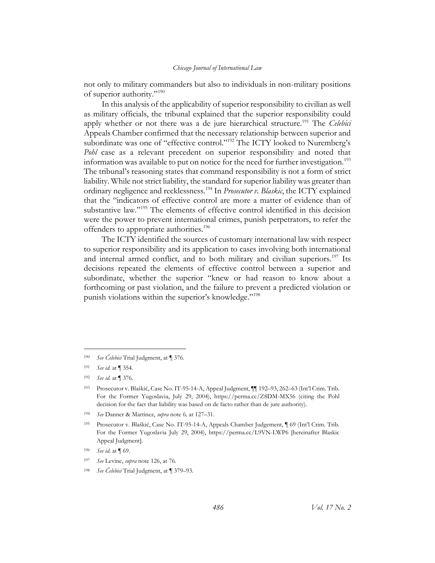not only to military commanders but also to individuals in non-military positions of superior authority."<sup>190</sup>

In this analysis of the applicability of superior responsibility to civilian as well as military officials, the tribunal explained that the superior responsibility could apply whether or not there was a de jure hierarchical structure.<sup>191</sup> The *Celebici* Appeals Chamber confirmed that the necessary relationship between superior and subordinate was one of "effective control."<sup>192</sup> The ICTY looked to Nuremberg's *Pohl* case as a relevant precedent on superior responsibility and noted that information was available to put on notice for the need for further investigation.<sup>193</sup> The tribunal's reasoning states that command responsibility is not a form of strict liability. While not strict liability, the standard for superior liability was greater than ordinary negligence and recklessness.<sup>194</sup> In *Prosecutor v. Blaskic*, the ICTY explained that the "indicators of effective control are more a matter of evidence than of substantive law."<sup>195</sup> The elements of effective control identified in this decision were the power to prevent international crimes, punish perpetrators, to refer the offenders to appropriate authorities.<sup>196</sup>

The ICTY identified the sources of customary international law with respect to superior responsibility and its application to cases involving both international and internal armed conflict, and to both military and civilian superiors.<sup>197</sup> Its decisions repeated the elements of effective control between a superior and subordinate, whether the superior "knew or had reason to know about a forthcoming or past violation, and the failure to prevent a predicted violation or punish violations within the superior's knowledge."<sup>198</sup>

<sup>190</sup> *See Čelebici* Trial Judgment, at ¶ 376.

<sup>191</sup> *See id.* at ¶ 354.

<sup>192</sup> *See id.* at ¶ 376.

<sup>193</sup> Prosecutor v. Blaškić, Case No. IT-95-14-A, Appeal Judgment, ¶¶ 192–93, 262–63 (Int'l Crim. Trib. For the Former Yugoslavia, July 29, 2004), https://perma.cc/Z8DM-MX56 (citing the Pohl decision for the fact that liability was based on de facto rather than de jure authority).

<sup>194</sup> *See* Danner & Martinez, *supra* note 6*,* at 127–31.

<sup>195</sup> Prosecutor v. Blaškić, Case No. IT-95-14-A, Appeals Chamber Judgement, ¶ 69 (Int'l Crim. Trib. For the Former Yugoslavia July 29, 2004), https://perma.cc/L9VN-LWP6 [hereinafter Blaskic Appeal Judgment].

<sup>196</sup> *See id*. at ¶ 69.

<sup>197</sup> *See* Levine, *supra* note 126, at 76.

<sup>198</sup> *See Čelebici* Trial Judgment, at ¶ 379–93*.*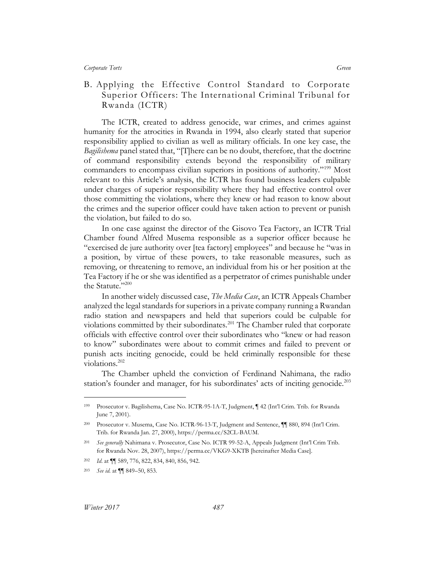# B. Applying the Effective Control Standard to Corporate Superior Officers: The International Criminal Tribunal for Rwanda (ICTR)

The ICTR, created to address genocide, war crimes, and crimes against humanity for the atrocities in Rwanda in 1994, also clearly stated that superior responsibility applied to civilian as well as military officials. In one key case, the *Bagilishema* panel stated that, "[T]here can be no doubt, therefore, that the doctrine of command responsibility extends beyond the responsibility of military commanders to encompass civilian superiors in positions of authority."<sup>199</sup> Most relevant to this Article's analysis, the ICTR has found business leaders culpable under charges of superior responsibility where they had effective control over those committing the violations, where they knew or had reason to know about the crimes and the superior officer could have taken action to prevent or punish the violation, but failed to do so.

In one case against the director of the Gisovo Tea Factory, an ICTR Trial Chamber found Alfred Musema responsible as a superior officer because he "exercised de jure authority over [tea factory] employees" and because he "was in a position, by virtue of these powers, to take reasonable measures, such as removing, or threatening to remove, an individual from his or her position at the Tea Factory if he or she was identified as a perpetrator of crimes punishable under the Statute."200

In another widely discussed case, *The Media Case*, an ICTR Appeals Chamber analyzed the legal standards for superiors in a private company running a Rwandan radio station and newspapers and held that superiors could be culpable for violations committed by their subordinates.<sup>201</sup> The Chamber ruled that corporate officials with effective control over their subordinates who "knew or had reason to know" subordinates were about to commit crimes and failed to prevent or punish acts inciting genocide, could be held criminally responsible for these violations.<sup>202</sup>

The Chamber upheld the conviction of Ferdinand Nahimana, the radio station's founder and manager, for his subordinates' acts of inciting genocide.<sup>203</sup>

<sup>199</sup> Prosecutor v. Bagilishema, Case No. ICTR-95-1A-T, Judgment, ¶ 42 (Int'l Crim. Trib. for Rwanda June 7, 2001).

<sup>200</sup> Prosecutor v. Musema, Case No. ICTR-96-13-T, Judgment and Sentence, ¶¶ 880, 894 (Int'l Crim. Trib. for Rwanda Jan. 27, 2000), https://perma.cc/S2CL-BAUM.

<sup>201</sup> *See generally* Nahimana v. Prosecutor, Case No. ICTR 99-52-A, Appeals Judgment (Int'l Crim Trib. for Rwanda Nov. 28, 2007), https://perma.cc/VKG9-XKTB [hereinafter Media Case].

<sup>202</sup> *Id*. at ¶¶ 589, 776, 822, 834, 840, 856, 942.

<sup>203</sup> *See id*. at ¶¶ 849–50, 853.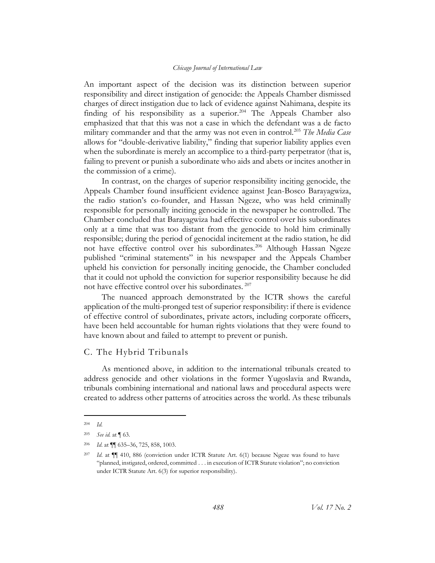An important aspect of the decision was its distinction between superior responsibility and direct instigation of genocide: the Appeals Chamber dismissed charges of direct instigation due to lack of evidence against Nahimana, despite its finding of his responsibility as a superior.<sup>204</sup> The Appeals Chamber also emphasized that that this was not a case in which the defendant was a de facto military commander and that the army was not even in control.<sup>205</sup> *The Media Case*  allows for "double-derivative liability," finding that superior liability applies even when the subordinate is merely an accomplice to a third-party perpetrator (that is, failing to prevent or punish a subordinate who aids and abets or incites another in the commission of a crime).

In contrast, on the charges of superior responsibility inciting genocide, the Appeals Chamber found insufficient evidence against Jean-Bosco Barayagwiza, the radio station's co-founder, and Hassan Ngeze, who was held criminally responsible for personally inciting genocide in the newspaper he controlled. The Chamber concluded that Barayagwiza had effective control over his subordinates only at a time that was too distant from the genocide to hold him criminally responsible; during the period of genocidal incitement at the radio station, he did not have effective control over his subordinates.<sup>206</sup> Although Hassan Ngeze published "criminal statements" in his newspaper and the Appeals Chamber upheld his conviction for personally inciting genocide, the Chamber concluded that it could not uphold the conviction for superior responsibility because he did not have effective control over his subordinates.<sup>207</sup>

The nuanced approach demonstrated by the ICTR shows the careful application of the multi-pronged test of superior responsibility: if there is evidence of effective control of subordinates, private actors, including corporate officers, have been held accountable for human rights violations that they were found to have known about and failed to attempt to prevent or punish.

## C. The Hybrid Tribunals

As mentioned above, in addition to the international tribunals created to address genocide and other violations in the former Yugoslavia and Rwanda, tribunals combining international and national laws and procedural aspects were created to address other patterns of atrocities across the world. As these tribunals

<sup>204</sup> *Id.*

<sup>205</sup> *See id.* at ¶ 63.

<sup>206</sup> *Id*. at ¶¶ 635–36, 725, 858, 1003.

<sup>207</sup> *Id*. at ¶¶ 410, 886 (conviction under ICTR Statute Art. 6(1) because Ngeze was found to have "planned, instigated, ordered, committed . . . in execution of ICTR Statute violation"; no conviction under ICTR Statute Art. 6(3) for superior responsibility).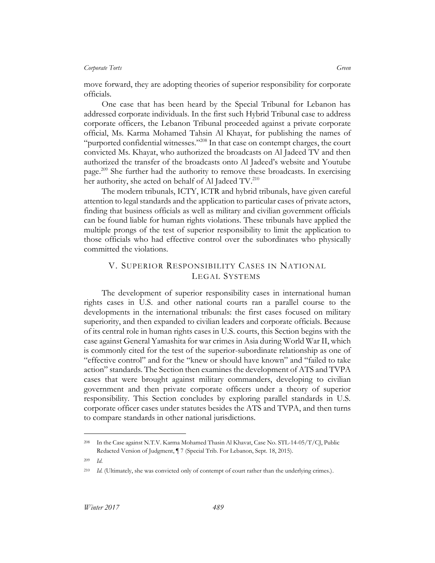move forward, they are adopting theories of superior responsibility for corporate officials.

One case that has been heard by the Special Tribunal for Lebanon has addressed corporate individuals. In the first such Hybrid Tribunal case to address corporate officers, the Lebanon Tribunal proceeded against a private corporate official, Ms. Karma Mohamed Tahsin Al Khayat, for publishing the names of "purported confidential witnesses."<sup>208</sup> In that case on contempt charges, the court convicted Ms. Khayat, who authorized the broadcasts on Al Jadeed TV and then authorized the transfer of the broadcasts onto Al Jadeed's website and Youtube page.<sup>209</sup> She further had the authority to remove these broadcasts. In exercising her authority, she acted on behalf of Al Jadeed TV.<sup>210</sup>

The modern tribunals, ICTY, ICTR and hybrid tribunals, have given careful attention to legal standards and the application to particular cases of private actors, finding that business officials as well as military and civilian government officials can be found liable for human rights violations. These tribunals have applied the multiple prongs of the test of superior responsibility to limit the application to those officials who had effective control over the subordinates who physically committed the violations.

## V. SUPERIOR RESPONSIBILITY CASES IN NATIONAL LEGAL SYSTEMS

The development of superior responsibility cases in international human rights cases in U.S. and other national courts ran a parallel course to the developments in the international tribunals: the first cases focused on military superiority, and then expanded to civilian leaders and corporate officials. Because of its central role in human rights cases in U.S. courts, this Section begins with the case against General Yamashita for war crimes in Asia during World War II, which is commonly cited for the test of the superior-subordinate relationship as one of "effective control" and for the "knew or should have known" and "failed to take action" standards. The Section then examines the development of ATS and TVPA cases that were brought against military commanders, developing to civilian government and then private corporate officers under a theory of superior responsibility. This Section concludes by exploring parallel standards in U.S. corporate officer cases under statutes besides the ATS and TVPA, and then turns to compare standards in other national jurisdictions.

<sup>208</sup> In the Case against N.T.V. Karma Mohamed Thasin Al Khavat, Case No. STL-14-05/T/CJ, Public Redacted Version of Judgment, ¶ 7 (Special Trib. For Lebanon, Sept. 18, 2015).

<sup>209</sup> *Id*.

<sup>210</sup> *Id.* (Ultimately, she was convicted only of contempt of court rather than the underlying crimes.).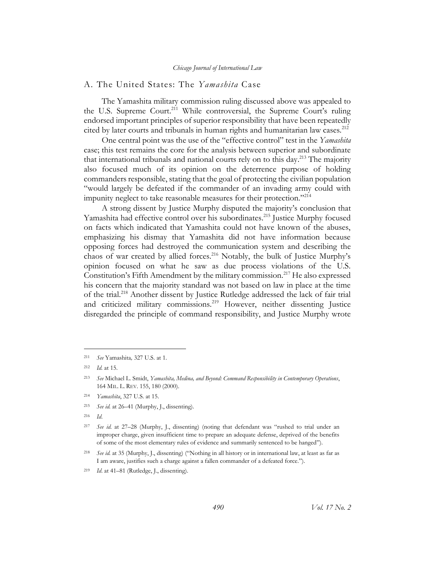## A. The United States: The *Yamashita* Case

The Yamashita military commission ruling discussed above was appealed to the U.S. Supreme Court.<sup>211</sup> While controversial, the Supreme Court's ruling endorsed important principles of superior responsibility that have been repeatedly cited by later courts and tribunals in human rights and humanitarian law cases.<sup>212</sup>

One central point was the use of the "effective control" test in the *Yamashita* case; this test remains the core for the analysis between superior and subordinate that international tribunals and national courts rely on to this day. <sup>213</sup> The majority also focused much of its opinion on the deterrence purpose of holding commanders responsible, stating that the goal of protecting the civilian population "would largely be defeated if the commander of an invading army could with impunity neglect to take reasonable measures for their protection."<sup>214</sup>

A strong dissent by Justice Murphy disputed the majority's conclusion that Yamashita had effective control over his subordinates. <sup>215</sup> Justice Murphy focused on facts which indicated that Yamashita could not have known of the abuses, emphasizing his dismay that Yamashita did not have information because opposing forces had destroyed the communication system and describing the chaos of war created by allied forces.<sup>216</sup> Notably, the bulk of Justice Murphy's opinion focused on what he saw as due process violations of the U.S. Constitution's Fifth Amendment by the military commission.<sup>217</sup> He also expressed his concern that the majority standard was not based on law in place at the time of the trial. <sup>218</sup> Another dissent by Justice Rutledge addressed the lack of fair trial and criticized military commissions.<sup>219</sup> However, neither dissenting Justice disregarded the principle of command responsibility, and Justice Murphy wrote

 $\overline{a}$ 

<sup>216</sup> *Id*.

<sup>211</sup> *See* Yamashita*,* 327 U.S. at 1.

<sup>212</sup> *Id.* at 15.

<sup>213</sup> *See* Michael L. Smidt, *Yamashita, Medina, and Beyond: Command Responsibility in Contemporary Operations*, 164 MIL. L. REV. 155, 180 (2000).

<sup>214</sup> *Yamashita*, 327 U.S. at 15.

<sup>215</sup> *See id.* at 26–41 (Murphy, J., dissenting).

<sup>217</sup> *See id*. at 27–28 (Murphy, J., dissenting) (noting that defendant was "rushed to trial under an improper charge, given insufficient time to prepare an adequate defense, deprived of the benefits of some of the most elementary rules of evidence and summarily sentenced to be hanged").

<sup>218</sup> *See id.* at 35 (Murphy, J., dissenting) ("Nothing in all history or in international law, at least as far as I am aware, justifies such a charge against a fallen commander of a defeated force.").

<sup>219</sup> *Id*. at 41–81 (Rutledge, J., dissenting).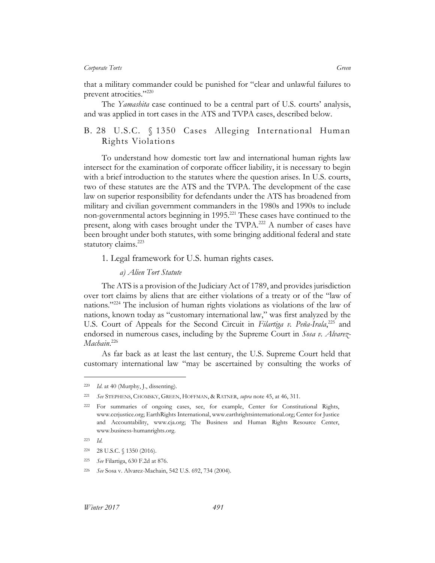that a military commander could be punished for "clear and unlawful failures to prevent atrocities."<sup>220</sup>

The *Yamashita* case continued to be a central part of U.S. courts' analysis, and was applied in tort cases in the ATS and TVPA cases, described below.

# B. 28 U.S.C. § 1350 Cases Alleging International Human Rights Violations

To understand how domestic tort law and international human rights law intersect for the examination of corporate officer liability, it is necessary to begin with a brief introduction to the statutes where the question arises. In U.S. courts, two of these statutes are the ATS and the TVPA. The development of the case law on superior responsibility for defendants under the ATS has broadened from military and civilian government commanders in the 1980s and 1990s to include non-governmental actors beginning in 1995. <sup>221</sup> These cases have continued to the present, along with cases brought under the TVPA.<sup>222</sup> A number of cases have been brought under both statutes, with some bringing additional federal and state statutory claims.<sup>223</sup>

1. Legal framework for U.S. human rights cases.

#### *a) Alien Tort Statute*

The ATS is a provision of the Judiciary Act of 1789, and provides jurisdiction over tort claims by aliens that are either violations of a treaty or of the "law of nations."<sup>224</sup> The inclusion of human rights violations as violations of the law of nations, known today as "customary international law," was first analyzed by the U.S. Court of Appeals for the Second Circuit in *Filartiga v. Peña-Irala*,<sup>225</sup> and endorsed in numerous cases, including by the Supreme Court in *Sosa v. Alvarez-Machain*. 226

As far back as at least the last century, the U.S. Supreme Court held that customary international law "may be ascertained by consulting the works of

<sup>220</sup> *Id*. at 40 (Murphy, J., dissenting).

<sup>221</sup> *See* STEPHENS, CHOMSKY, GREEN, HOFFMAN, & RATNER, *supra* note 45, at 46, 311.

<sup>222</sup> For summaries of ongoing cases, see, for example, Center for Constitutional Rights, www.ccrjustice.org; EarthRights International, www.earthrightsinternational.org; Center for Justice and Accountability, www.cja.org; The Business and Human Rights Resource Center, www.business-humanrights.org.

<sup>223</sup> *Id.*

<sup>224</sup> 28 U.S.C. § 1350 (2016).

<sup>225</sup> *See* Filartiga, 630 F.2d at 876.

<sup>226</sup> *See* Sosa v. Alvarez-Machain, 542 U.S. 692, 734 (2004).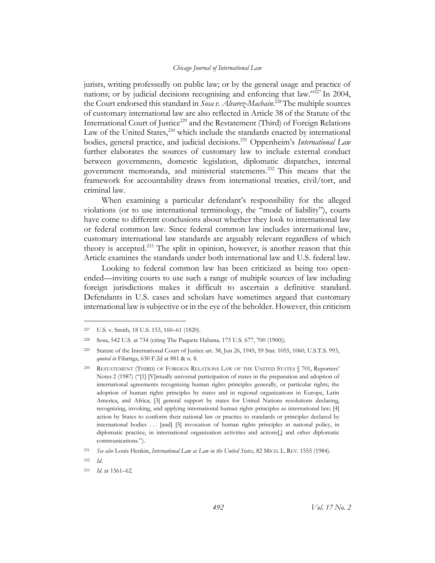jurists, writing professedly on public law; or by the general usage and practice of nations; or by judicial decisions recognising and enforcing that law."<sup>227</sup> In 2004, the Court endorsed this standard in *Sosa v. Alvarez-Machain*. <sup>228</sup>The multiple sources of customary international law are also reflected in Article 38 of the Statute of the International Court of Justice<sup>229</sup> and the Restatement (Third) of Foreign Relations Law of the United States, $^{230}$  which include the standards enacted by international bodies, general practice, and judicial decisions.<sup>231</sup> Oppenheim's *International Law* further elaborates the sources of customary law to include external conduct between governments, domestic legislation, diplomatic dispatches, internal government memoranda, and ministerial statements.<sup>232</sup> This means that the framework for accountability draws from international treaties, civil/tort, and criminal law.

When examining a particular defendant's responsibility for the alleged violations (or to use international terminology, the "mode of liability"), courts have come to different conclusions about whether they look to international law or federal common law. Since federal common law includes international law, customary international law standards are arguably relevant regardless of which theory is accepted.<sup>233</sup> The split in opinion, however, is another reason that this Article examines the standards under both international law and U.S. federal law.

Looking to federal common law has been criticized as being too openended––inviting courts to use such a range of multiple sources of law including foreign jurisdictions makes it difficult to ascertain a definitive standard. Defendants in U.S. cases and scholars have sometimes argued that customary international law is subjective or in the eye of the beholder. However, this criticism

<sup>227</sup> U.S. v. Smith, 18 U.S. 153, 160–61 (1820).

<sup>228</sup> Sosa, 542 U.S. at 734 (citing The Paquete Habana*,* 175 U.S. 677, 700 (1900)).

<sup>229</sup> Statute of the International Court of Justice art. 38, Jun 26, 1945, 59 Stat. 1055, 1060, U.S.T.S. 993, *quoted in* Filartiga, 630 F.2d at 881 & n. 8.

<sup>230</sup> RESTATEMENT (THIRD) OF FOREIGN RELATIONS LAW OF THE UNITED STATES § 701, Reporters' Notes 2 (1987) ("[1] [V]irtually universal participation of states in the preparation and adoption of international agreements recognizing human rights principles generally, or particular rights; the adoption of human rights principles by states and in regional organizations in Europe, Latin America, and Africa; [3] general support by states for United Nations resolutions declaring, recognizing, invoking, and applying international human rights principles as international law; [4] action by States to conform their national law or practice to standards or principles declared by international bodies . . . [and] [5] invocation of human rights principles in national policy, in diplomatic practice, in international organization activities and actions[,] and other diplomatic communications.").

<sup>231</sup> *See also* Louis Henkin, *International Law as Law in the United States*, 82 MICH. L. REV. 1555 (1984).

<sup>232</sup> *Id*.

<sup>233</sup> *Id*. at 1561–62.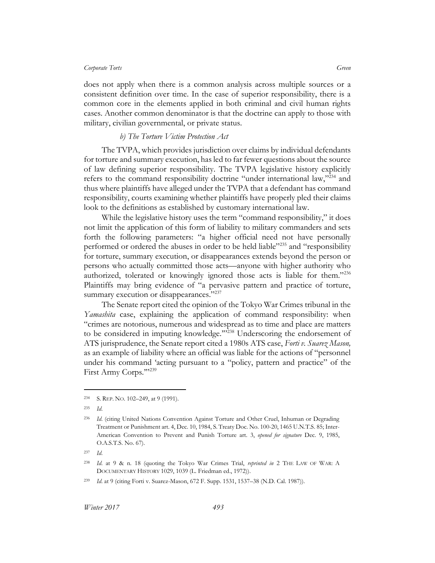does not apply when there is a common analysis across multiple sources or a consistent definition over time. In the case of superior responsibility, there is a common core in the elements applied in both criminal and civil human rights cases. Another common denominator is that the doctrine can apply to those with military, civilian governmental, or private status.

## *b) The Torture Victim Protection Act*

The TVPA, which provides jurisdiction over claims by individual defendants for torture and summary execution, has led to far fewer questions about the source of law defining superior responsibility. The TVPA legislative history explicitly refers to the command responsibility doctrine "under international law,"<sup>234</sup> and thus where plaintiffs have alleged under the TVPA that a defendant has command responsibility, courts examining whether plaintiffs have properly pled their claims look to the definitions as established by customary international law.

While the legislative history uses the term "command responsibility," it does not limit the application of this form of liability to military commanders and sets forth the following parameters: "a higher official need not have personally performed or ordered the abuses in order to be held liable"<sup>235</sup> and "responsibility for torture, summary execution, or disappearances extends beyond the person or persons who actually committed those acts––anyone with higher authority who authorized, tolerated or knowingly ignored those acts is liable for them."<sup>236</sup> Plaintiffs may bring evidence of "a pervasive pattern and practice of torture, summary execution or disappearances."<sup>237</sup>

The Senate report cited the opinion of the Tokyo War Crimes tribunal in the *Yamashita* case, explaining the application of command responsibility: when "crimes are notorious, numerous and widespread as to time and place are matters to be considered in imputing knowledge."<sup>238</sup> Underscoring the endorsement of ATS jurisprudence, the Senate report cited a 1980s ATS case, *Forti v. Suarez Mason,* as an example of liability where an official was liable for the actions of "personnel under his command 'acting pursuant to a "policy, pattern and practice" of the First Army Corps.'"<sup>239</sup>

<sup>234</sup> S. REP. NO. 102–249, at 9 (1991).

<sup>235</sup> *Id*.

<sup>236</sup> *Id*. (citing United Nations Convention Against Torture and Other Cruel, Inhuman or Degrading Treatment or Punishment art. 4, Dec. 10, 1984, S. Treaty Doc. No. 100-20, 1465 U.N.T.S. 85; Inter-American Convention to Prevent and Punish Torture art. 3, *opened for signature* Dec. 9, 1985, O.A.S.T.S. No. 67).

<sup>237</sup> *Id*.

<sup>238</sup> *Id*. at 9 & n. 18 (quoting the Tokyo War Crimes Trial, *reprinted in* 2 THE LAW OF WAR: A DOCUMENTARY HISTORY 1029, 1039 (L. Friedman ed., 1972)).

<sup>239</sup> *Id*. at 9 (citing Forti v. Suarez-Mason, 672 F. Supp. 1531, 1537–38 (N.D. Cal. 1987)).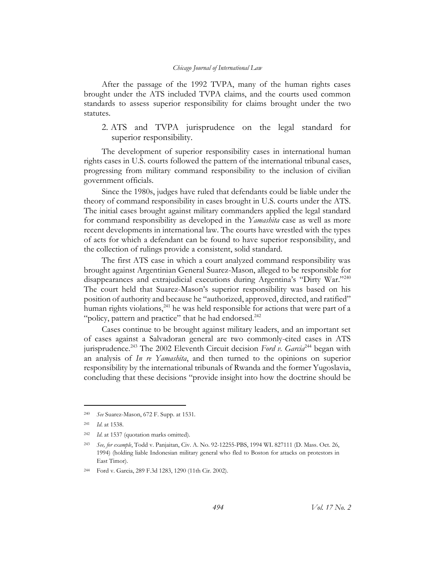After the passage of the 1992 TVPA, many of the human rights cases brought under the ATS included TVPA claims, and the courts used common standards to assess superior responsibility for claims brought under the two statutes.

2. ATS and TVPA jurisprudence on the legal standard for superior responsibility.

The development of superior responsibility cases in international human rights cases in U.S. courts followed the pattern of the international tribunal cases, progressing from military command responsibility to the inclusion of civilian government officials.

Since the 1980s, judges have ruled that defendants could be liable under the theory of command responsibility in cases brought in U.S. courts under the ATS. The initial cases brought against military commanders applied the legal standard for command responsibility as developed in the *Yamashita* case as well as more recent developments in international law. The courts have wrestled with the types of acts for which a defendant can be found to have superior responsibility, and the collection of rulings provide a consistent, solid standard.

The first ATS case in which a court analyzed command responsibility was brought against Argentinian General Suarez-Mason, alleged to be responsible for disappearances and extrajudicial executions during Argentina's "Dirty War."<sup>240</sup> The court held that Suarez-Mason's superior responsibility was based on his position of authority and because he "authorized, approved, directed, and ratified" human rights violations,  $241$  he was held responsible for actions that were part of a "policy, pattern and practice" that he had endorsed.<sup>242</sup>

Cases continue to be brought against military leaders, and an important set of cases against a Salvadoran general are two commonly-cited cases in ATS jurisprudence.<sup>243</sup> The 2002 Eleventh Circuit decision *Ford v. Garcia*<sup>244</sup> began with an analysis of *In re Yamashita*, and then turned to the opinions on superior responsibility by the international tribunals of Rwanda and the former Yugoslavia, concluding that these decisions "provide insight into how the doctrine should be

<sup>240</sup> *See* Suarez-Mason, 672 F. Supp. at 1531.

<sup>241</sup> *Id*. at 1538.

<sup>242</sup> *Id*. at 1537 (quotation marks omitted).

<sup>243</sup> *See, for example*, Todd v. Panjaitan, Civ. A. No. 92-12255-PBS, 1994 WL 827111 (D. Mass. Oct. 26, 1994) (holding liable Indonesian military general who fled to Boston for attacks on protestors in East Timor).

<sup>244</sup> Ford v. Garcia, 289 F.3d 1283, 1290 (11th Cir. 2002).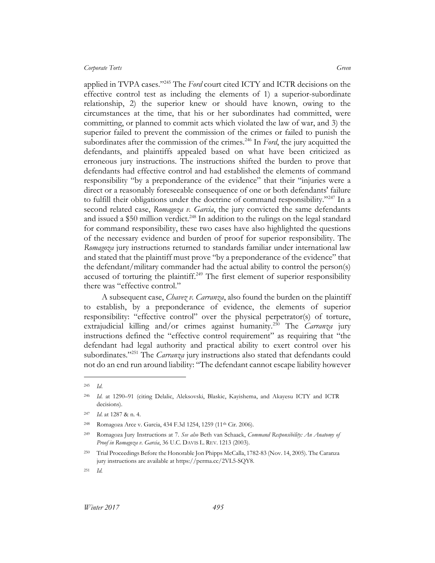applied in TVPA cases."<sup>245</sup> The *Ford* court cited ICTY and ICTR decisions on the effective control test as including the elements of 1) a superior-subordinate relationship, 2) the superior knew or should have known, owing to the circumstances at the time, that his or her subordinates had committed, were committing, or planned to commit acts which violated the law of war, and 3) the superior failed to prevent the commission of the crimes or failed to punish the subordinates after the commission of the crimes.<sup>246</sup> In *Ford*, the jury acquitted the defendants, and plaintiffs appealed based on what have been criticized as erroneous jury instructions. The instructions shifted the burden to prove that defendants had effective control and had established the elements of command responsibility "by a preponderance of the evidence" that their "injuries were a direct or a reasonably foreseeable consequence of one or both defendants' failure to fulfill their obligations under the doctrine of command responsibility."<sup>247</sup> In a second related case, *Romagoza v. Garcia*, the jury convicted the same defendants and issued a \$50 million verdict.<sup>248</sup> In addition to the rulings on the legal standard for command responsibility, these two cases have also highlighted the questions of the necessary evidence and burden of proof for superior responsibility. The *Romagoza* jury instructions returned to standards familiar under international law and stated that the plaintiff must prove "by a preponderance of the evidence" that the defendant/military commander had the actual ability to control the person(s) accused of torturing the plaintiff.<sup>249</sup> The first element of superior responsibility there was "effective control."

A subsequent case, *Chavez v. Carranza*, also found the burden on the plaintiff to establish, by a preponderance of evidence, the elements of superior responsibility: "effective control" over the physical perpetrator(s) of torture, extrajudicial killing and/or crimes against humanity.<sup>250</sup> The *Carranza* jury instructions defined the "effective control requirement" as requiring that "the defendant had legal authority and practical ability to exert control over his subordinates."<sup>251</sup> The *Carranza* jury instructions also stated that defendants could not do an end run around liability: "The defendant cannot escape liability however

<sup>245</sup> *Id*.

<sup>246</sup> *Id*. at 1290–91 (citing Delalic, Aleksovski, Blaskic, Kayishema, and Akayesu ICTY and ICTR decisions).

<sup>247</sup> *Id*. at 1287 & n. 4.

<sup>248</sup> Romagoza Arce v. Garcia, 434 F.3d 1254, 1259 (11th Cir. 2006).

<sup>249</sup> Romagoza Jury Instructions at 7. *See also* Beth van Schaack, *Command Responsibility: An Anatomy of Proof in Romagoza v. Garcia*, 36 U.C. DAVIS L. REV. 1213 (2003).

<sup>250</sup> Trial Proceedings Before the Honorable Jon Phipps McCalla, 1782-83 (Nov. 14, 2005). The Caranza jury instructions are available at https://perma.cc/2VL5-SQY8.

<sup>251</sup> *Id.*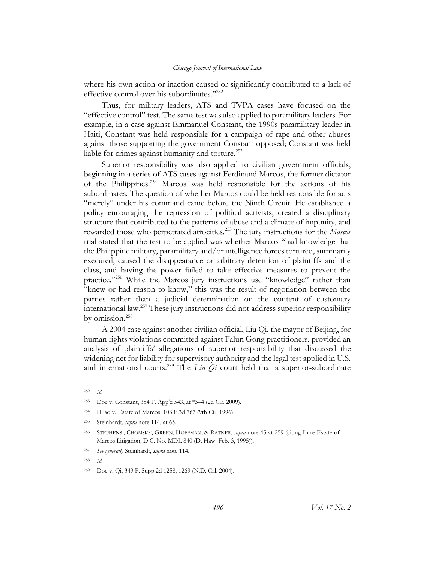where his own action or inaction caused or significantly contributed to a lack of effective control over his subordinates."<sup>252</sup>

Thus, for military leaders, ATS and TVPA cases have focused on the "effective control" test. The same test was also applied to paramilitary leaders. For example, in a case against Emmanuel Constant, the 1990s paramilitary leader in Haiti, Constant was held responsible for a campaign of rape and other abuses against those supporting the government Constant opposed; Constant was held liable for crimes against humanity and torture.<sup>253</sup>

Superior responsibility was also applied to civilian government officials, beginning in a series of ATS cases against Ferdinand Marcos, the former dictator of the Philippines.<sup>254</sup> Marcos was held responsible for the actions of his subordinates. The question of whether Marcos could be held responsible for acts "merely" under his command came before the Ninth Circuit. He established a policy encouraging the repression of political activists, created a disciplinary structure that contributed to the patterns of abuse and a climate of impunity, and rewarded those who perpetrated atrocities.<sup>255</sup> The jury instructions for the *Marcos* trial stated that the test to be applied was whether Marcos "had knowledge that the Philippine military, paramilitary and/or intelligence forces tortured, summarily executed, caused the disappearance or arbitrary detention of plaintiffs and the class, and having the power failed to take effective measures to prevent the practice."<sup>256</sup> While the Marcos jury instructions use "knowledge" rather than "knew or had reason to know," this was the result of negotiation between the parties rather than a judicial determination on the content of customary international law.<sup>257</sup> These jury instructions did not address superior responsibility by omission.<sup>258</sup>

A 2004 case against another civilian official, Liu Qi, the mayor of Beijing, for human rights violations committed against Falun Gong practitioners, provided an analysis of plaintiffs' allegations of superior responsibility that discussed the widening net for liability for supervisory authority and the legal test applied in U.S. and international courts.<sup>259</sup> The *Liu Qi* court held that a superior-subordinate

 $\overline{a}$ 

<sup>258</sup> *Id.*

<sup>252</sup> *Id.*

<sup>253</sup> Doe v. Constant, 354 F. App'x 543, at \*3–4 (2d Cir. 2009).

<sup>254</sup> Hilao v. Estate of Marcos, 103 F.3d 767 (9th Cir. 1996).

<sup>255</sup> Steinhardt, *supra* note 114, at 65.

<sup>256</sup> STEPHENS , CHOMSKY, GREEN, HOFFMAN, & RATNER, *supra* note 45 at 259 (citing In re Estate of Marcos Litigation, D.C. No. MDL 840 (D. Haw. Feb. 3, 1995)).

<sup>257</sup> *See generally* Steinhardt, *supra* note 114.

<sup>259</sup> Doe v. Qi, 349 F. Supp.2d 1258, 1269 (N.D. Cal. 2004).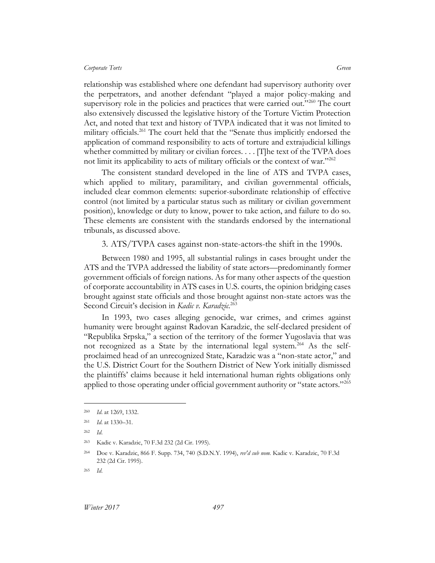relationship was established where one defendant had supervisory authority over the perpetrators, and another defendant "played a major policy-making and supervisory role in the policies and practices that were carried out."<sup>260</sup> The court also extensively discussed the legislative history of the Torture Victim Protection Act, and noted that text and history of TVPA indicated that it was not limited to military officials.<sup>261</sup> The court held that the "Senate thus implicitly endorsed the application of command responsibility to acts of torture and extrajudicial killings whether committed by military or civilian forces. . . . [T]he text of the TVPA does not limit its applicability to acts of military officials or the context of war."262

The consistent standard developed in the line of ATS and TVPA cases, which applied to military, paramilitary, and civilian governmental officials, included clear common elements: superior-subordinate relationship of effective control (not limited by a particular status such as military or civilian government position), knowledge or duty to know, power to take action, and failure to do so. These elements are consistent with the standards endorsed by the international tribunals, as discussed above.

3. ATS/TVPA cases against non-state-actors-the shift in the 1990s.

Between 1980 and 1995, all substantial rulings in cases brought under the ATS and the TVPA addressed the liability of state actors—predominantly former government officials of foreign nations. As for many other aspects of the question of corporate accountability in ATS cases in U.S. courts, the opinion bridging cases brought against state officials and those brought against non-state actors was the Second Circuit's decision in *Kadic v. Karadzic.*<sup>263</sup>

In 1993, two cases alleging genocide, war crimes, and crimes against humanity were brought against Radovan Karadzic, the self-declared president of "Republika Srpska," a section of the territory of the former Yugoslavia that was not recognized as a State by the international legal system.<sup>264</sup> As the selfproclaimed head of an unrecognized State, Karadzic was a "non-state actor," and the U.S. District Court for the Southern District of New York initially dismissed the plaintiffs' claims because it held international human rights obligations only applied to those operating under official government authority or "state actors." $^{205}$ 

<sup>260</sup> *Id*. at 1269, 1332.

<sup>261</sup> *Id*. at 1330–31.

<sup>262</sup> *Id*.

<sup>263</sup> Kadic v. Karadzic, 70 F.3d 232 (2d Cir. 1995).

<sup>264</sup> Doe v. Karadzic, 866 F. Supp. 734, 740 (S.D.N.Y. 1994), *rev'd sub nom.* Kadic v. Karadzic, 70 F.3d 232 (2d Cir. 1995).

<sup>265</sup> *Id*.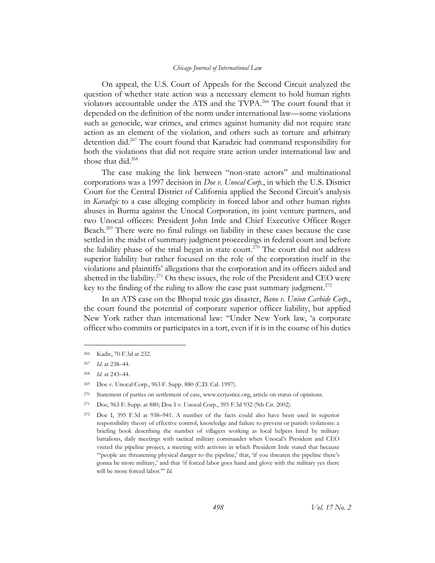On appeal, the U.S. Court of Appeals for the Second Circuit analyzed the question of whether state action was a necessary element to hold human rights violators accountable under the ATS and the TVPA.<sup>266</sup> The court found that it depended on the definition of the norm under international law—some violations such as genocide, war crimes, and crimes against humanity did not require state action as an element of the violation, and others such as torture and arbitrary detention did.<sup>267</sup> The court found that Karadzic had command responsibility for both the violations that did not require state action under international law and those that did.<sup>268</sup>

The case making the link between "non-state actors" and multinational corporations was a 1997 decision in *Doe v. Unocal Corp.*, in which the U.S. District Court for the Central District of California applied the Second Circuit's analysis in *Karadzic* to a case alleging complicity in forced labor and other human rights abuses in Burma against the Unocal Corporation, its joint venture partners, and two Unocal officers: President John Imle and Chief Executive Officer Roger Beach.<sup>269</sup> There were no final rulings on liability in these cases because the case settled in the midst of summary judgment proceedings in federal court and before the liability phase of the trial began in state court.<sup>270</sup> The court did not address superior liability but rather focused on the role of the corporation itself in the violations and plaintiffs' allegations that the corporation and its officers aided and abetted in the liability.<sup>271</sup> On these issues, the role of the President and CEO were key to the finding of the ruling to allow the case past summary judgment.<sup>272</sup>

In an ATS case on the Bhopal toxic gas disaster, *Bano v. Union Carbide Corp*., the court found the potential of corporate superior officer liability, but applied New York rather than international law: "Under New York law, 'a corporate officer who commits or participates in a tort, even if it is in the course of his duties

<sup>266</sup> Kadic, 70 F.3d at 232.

<sup>267</sup> *Id*. at 238–44.

<sup>268</sup> *Id*. at 243–44.

<sup>269</sup> Doe v. Unocal Corp., 963 F. Supp. 880 (C.D. Cal. 1997).

<sup>270</sup> Statement of parties on settlement of case, www.ccrjustice.org, article on status of opinions.

<sup>271</sup> Doe, 963 F. Supp. at 880; Doe I v. Unocal Corp., 395 F.3d 932 (9th Cir. 2002).

<sup>272</sup> Doe I, 395 F.3d at 938–941. A number of the facts could also have been used in superior responsibility theory of effective control, knowledge and failure to prevent or punish violations: a briefing book describing the number of villagers working as local helpers hired by military battalions, daily meetings with tactical military commander when Unocal's President and CEO visited the pipeline project, a meeting with activists in which President Imle stated that because "'people are threatening physical danger to the pipeline,' that, 'if you threaten the pipeline there's gonna be more military,' and that 'if forced labor goes hand and glove with the military yes there will be more forced labor.'" *Id.*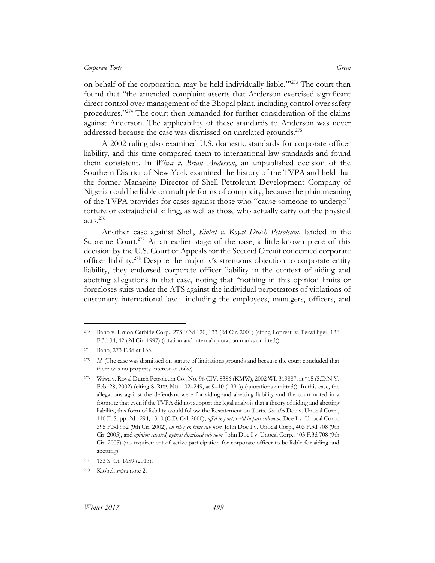on behalf of the corporation, may be held individually liable.'"<sup>273</sup> The court then found that "the amended complaint asserts that Anderson exercised significant direct control over management of the Bhopal plant, including control over safety procedures."<sup>274</sup> The court then remanded for further consideration of the claims against Anderson. The applicability of these standards to Anderson was never addressed because the case was dismissed on unrelated grounds.<sup>275</sup>

A 2002 ruling also examined U.S. domestic standards for corporate officer liability, and this time compared them to international law standards and found them consistent. In *Wiwa v. Brian Anderson*, an unpublished decision of the Southern District of New York examined the history of the TVPA and held that the former Managing Director of Shell Petroleum Development Company of Nigeria could be liable on multiple forms of complicity, because the plain meaning of the TVPA provides for cases against those who "cause someone to undergo" torture or extrajudicial killing, as well as those who actually carry out the physical acts. 276

Another case against Shell, *Kiobel v. Royal Dutch Petroleum,* landed in the Supreme Court.<sup>277</sup> At an earlier stage of the case, a little-known piece of this decision by the U.S. Court of Appeals for the Second Circuit concerned corporate officer liability.<sup>278</sup> Despite the majority's strenuous objection to corporate entity liability, they endorsed corporate officer liability in the context of aiding and abetting allegations in that case, noting that "nothing in this opinion limits or forecloses suits under the ATS against the individual perpetrators of violations of customary international law—including the employees, managers, officers, and

<sup>273</sup> Bano v. Union Carbide Corp., 273 F.3d 120, 133 (2d Cir. 2001) (citing Lopresti v. Terwilliger, 126 F.3d 34, 42 (2d Cir. 1997) (citation and internal quotation marks omitted)).

<sup>274</sup> Bano, 273 F.3d at 133.

<sup>275</sup> *Id*. (The case was dismissed on statute of limitations grounds and because the court concluded that there was no property interest at stake).

<sup>276</sup> Wiwa v. Royal Dutch Petroleum Co., No. 96 CIV. 8386 (KMW), 2002 WL 319887, at \*15 (S.D.N.Y. Feb. 28, 2002) (citing S. REP. NO. 102–249, at 9–10 (1991)) (quotations omitted)). In this case, the allegations against the defendant were for aiding and abetting liability and the court noted in a footnote that even if the TVPA did not support the legal analysis that a theory of aiding and abetting liability, this form of liability would follow the Restatement on Torts. *See also* Doe v. Unocal Corp., 110 F. Supp. 2d 1294, 1310 (C.D. Cal. 2000), *aff'd in part, rev'd in part sub nom.* Doe I v. Unocal Corp., 395 F.3d 932 (9th Cir. 2002), *on reh'g en banc sub nom.* John Doe I v. Unocal Corp., 403 F.3d 708 (9th Cir. 2005), and *opinion vacated, appeal dismissed sub nom.* John Doe I v. Unocal Corp., 403 F.3d 708 (9th Cir. 2005) (no requirement of active participation for corporate officer to be liable for aiding and abetting).

<sup>277</sup> 133 S. Ct. 1659 (2013).

<sup>278</sup> Kiobel, *supra* not[e 2.](#page-4-0)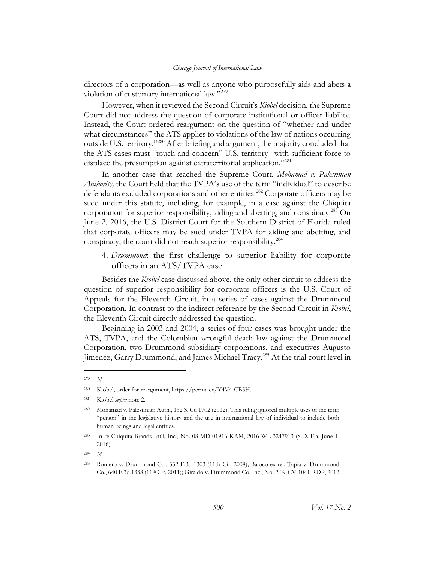directors of a corporation—as well as anyone who purposefully aids and abets a violation of customary international law."<sup>279</sup>

However, when it reviewed the Second Circuit's *Kiobel* decision, the Supreme Court did not address the question of corporate institutional or officer liability. Instead, the Court ordered reargument on the question of "whether and under what circumstances" the ATS applies to violations of the law of nations occurring outside U.S. territory."<sup>280</sup> After briefing and argument, the majority concluded that the ATS cases must "touch and concern" U.S. territory "with sufficient force to displace the presumption against extraterritorial application."<sup>281</sup>

In another case that reached the Supreme Court, *Mohamad v. Palestinian Authority,* the Court held that the TVPA's use of the term "individual" to describe defendants excluded corporations and other entities.<sup>282</sup> Corporate officers may be sued under this statute, including, for example, in a case against the Chiquita corporation for superior responsibility, aiding and abetting, and conspiracy. <sup>283</sup> On June 2, 2016, the U.S. District Court for the Southern District of Florida ruled that corporate officers may be sued under TVPA for aiding and abetting, and conspiracy; the court did not reach superior responsibility.<sup>284</sup>

4. *Drummond*: the first challenge to superior liability for corporate officers in an ATS/TVPA case.

Besides the *Kiobel* case discussed above, the only other circuit to address the question of superior responsibility for corporate officers is the U.S. Court of Appeals for the Eleventh Circuit, in a series of cases against the Drummond Corporation. In contrast to the indirect reference by the Second Circuit in *Kiobel*, the Eleventh Circuit directly addressed the question.

Beginning in 2003 and 2004, a series of four cases was brought under the ATS, TVPA, and the Colombian wrongful death law against the Drummond Corporation, two Drummond subsidiary corporations, and executives Augusto Jimenez, Garry Drummond, and James Michael Tracy.<sup>285</sup> At the trial court level in

<sup>279</sup> *Id.*

<sup>280</sup> Kiobel, order for reargument, https://perma.cc/Y4V4-CB5H.

<sup>281</sup> Kiobel *supra* note 2.

<sup>282</sup> Mohamad v. Palestinian Auth., 132 S. Ct. 1702 (2012). This ruling ignored multiple uses of the term "person" in the legislative history and the use in international law of individual to include both human beings and legal entities.

<sup>283</sup> In re Chiquita Brands Int'l, Inc., No. 08-MD-01916-KAM, 2016 WL 3247913 (S.D. Fla. June 1, 2016).

<sup>284</sup> *Id*.

<sup>285</sup> Romero v. Drummond Co., 552 F.3d 1303 (11th Cir. 2008); Baloco ex rel. Tapia v. Drummond Co., 640 F.3d 1338 (11th Cir. 2011); Giraldo v. Drummond Co. Inc., No. 2:09-CV-1041-RDP, 2013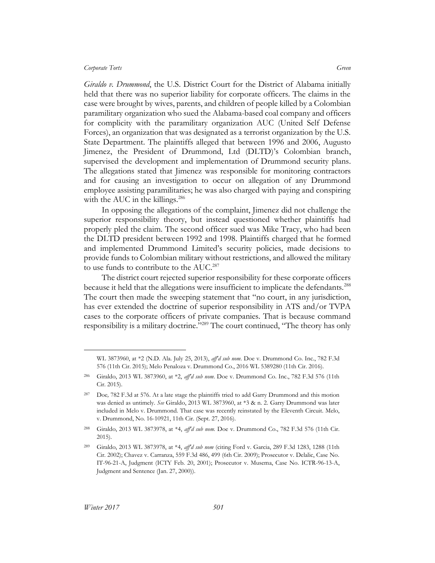*Giraldo v. Drummond*, the U.S. District Court for the District of Alabama initially held that there was no superior liability for corporate officers. The claims in the case were brought by wives, parents, and children of people killed by a Colombian paramilitary organization who sued the Alabama-based coal company and officers for complicity with the paramilitary organization AUC (United Self Defense Forces), an organization that was designated as a terrorist organization by the U.S. State Department. The plaintiffs alleged that between 1996 and 2006, Augusto Jimenez, the President of Drummond, Ltd (DLTD)'s Colombian branch, supervised the development and implementation of Drummond security plans. The allegations stated that Jimenez was responsible for monitoring contractors and for causing an investigation to occur on allegation of any Drummond employee assisting paramilitaries; he was also charged with paying and conspiring with the AUC in the killings. $286$ 

In opposing the allegations of the complaint, Jimenez did not challenge the superior responsibility theory, but instead questioned whether plaintiffs had properly pled the claim. The second officer sued was Mike Tracy, who had been the DLTD president between 1992 and 1998. Plaintiffs charged that he formed and implemented Drummond Limited's security policies, made decisions to provide funds to Colombian military without restrictions, and allowed the military to use funds to contribute to the AUC.<sup>287</sup>

The district court rejected superior responsibility for these corporate officers because it held that the allegations were insufficient to implicate the defendants.<sup>288</sup> The court then made the sweeping statement that "no court, in any jurisdiction, has ever extended the doctrine of superior responsibility in ATS and/or TVPA cases to the corporate officers of private companies. That is because command responsibility is a military doctrine."<sup>289</sup> The court continued, "The theory has only

WL 3873960, at \*2 (N.D. Ala. July 25, 2013), *aff'd sub nom*. Doe v. Drummond Co. Inc., 782 F.3d 576 (11th Cir. 2015); Melo Penaloza v. Drummond Co., 2016 WL 5389280 (11th Cir. 2016).

<sup>286</sup> Giraldo, 2013 WL 3873960, at \*2, *aff'd sub nom*. Doe v. Drummond Co. Inc., 782 F.3d 576 (11th Cir. 2015).

<sup>287</sup> Doe*,* 782 F.3d at 576. At a late stage the plaintiffs tried to add Garry Drummond and this motion was denied as untimely. *See* Giraldo, 2013 WL 3873960, at \*3 & n. 2. Garry Drummond was later included in Melo v. Drummond. That case was recently reinstated by the Eleventh Circuit. Melo, v. Drummond, No. 16-10921, 11th Cir. (Sept. 27, 2016).

<sup>288</sup> Giraldo, 2013 WL 3873978, at \*4, *aff'd sub nom.* Doe v. Drummond Co., 782 F.3d 576 (11th Cir. 2015).

<sup>289</sup> Giraldo, 2013 WL 3873978, at \*4, *aff'd sub nom* (citing Ford v. Garcia, 289 F.3d 1283, 1288 (11th Cir. 2002); Chavez v. Carranza, 559 F.3d 486, 499 (6th Cir. 2009); Prosecutor v. Delalic, Case No. IT-96-21-A, Judgment (ICTY Feb. 20, 2001); Prosecutor v. Musema, Case No. ICTR-96-13-A, Judgment and Sentence (Jan. 27, 2000)).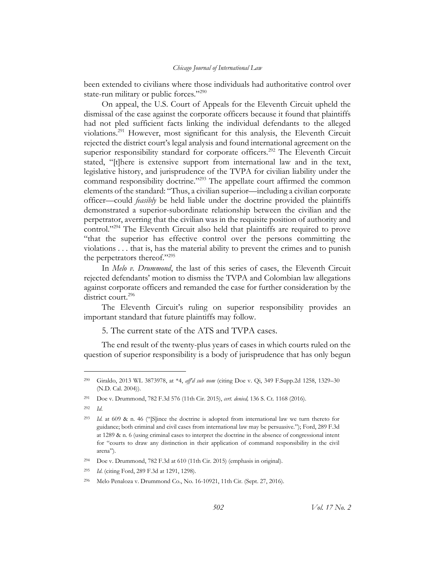been extended to civilians where those individuals had authoritative control over state-run military or public forces."<sup>290</sup>

On appeal, the U.S. Court of Appeals for the Eleventh Circuit upheld the dismissal of the case against the corporate officers because it found that plaintiffs had not pled sufficient facts linking the individual defendants to the alleged violations. <sup>291</sup> However, most significant for this analysis, the Eleventh Circuit rejected the district court's legal analysis and found international agreement on the superior responsibility standard for corporate officers.<sup>292</sup> The Eleventh Circuit stated, "[t]here is extensive support from international law and in the text, legislative history, and jurisprudence of the TVPA for civilian liability under the command responsibility doctrine."<sup>293</sup> The appellate court affirmed the common elements of the standard: "Thus, a civilian superior—including a civilian corporate officer—could *feasibly* be held liable under the doctrine provided the plaintiffs demonstrated a superior-subordinate relationship between the civilian and the perpetrator, averring that the civilian was in the requisite position of authority and control."<sup>294</sup> The Eleventh Circuit also held that plaintiffs are required to prove "that the superior has effective control over the persons committing the violations . . . that is, has the material ability to prevent the crimes and to punish the perpetrators thereof."<sup>295</sup>

In *Melo v. Drummond*, the last of this series of cases, the Eleventh Circuit rejected defendants' motion to dismiss the TVPA and Colombian law allegations against corporate officers and remanded the case for further consideration by the district court.<sup>296</sup>

The Eleventh Circuit's ruling on superior responsibility provides an important standard that future plaintiffs may follow.

5. The current state of the ATS and TVPA cases.

The end result of the twenty-plus years of cases in which courts ruled on the question of superior responsibility is a body of jurisprudence that has only begun

<sup>292</sup> *Id*.

<sup>290</sup> Giraldo, 2013 WL 3873978, at \*4, *aff'd sub nom* (citing Doe v. Qi, 349 F.Supp.2d 1258, 1329–30 (N.D. Cal. 2004)).

<sup>291</sup> Doe v. Drummond, 782 F.3d 576 (11th Cir. 2015), *cert. denied,* 136 S. Ct. 1168 (2016).

<sup>293</sup> *Id.* at 609 & n. 46 ("[S]ince the doctrine is adopted from international law we turn thereto for guidance; both criminal and civil cases from international law may be persuasive."); Ford, 289 F.3d at 1289 & n. 6 (using criminal cases to interpret the doctrine in the absence of congressional intent for "courts to draw any distinction in their application of command responsibility in the civil arena").

<sup>294</sup> Doe v. Drummond, 782 F.3d at 610 (11th Cir. 2015) (emphasis in original).

<sup>295</sup> *Id*. (citing Ford, 289 F.3d at 1291, 1298).

<sup>296</sup> Melo Penaloza v. Drummond Co., No. 16-10921, 11th Cir. (Sept. 27, 2016).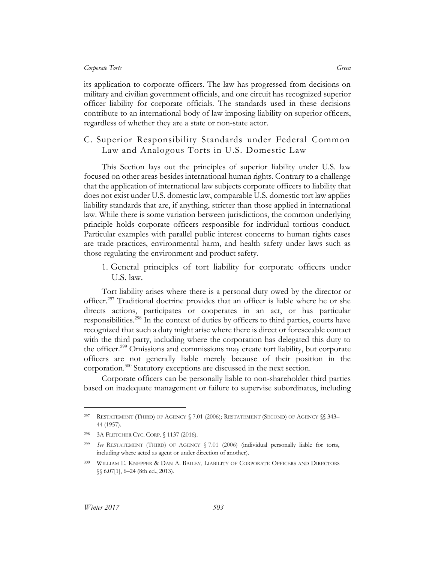its application to corporate officers. The law has progressed from decisions on military and civilian government officials, and one circuit has recognized superior officer liability for corporate officials. The standards used in these decisions contribute to an international body of law imposing liability on superior officers, regardless of whether they are a state or non-state actor.

## C. Superior Responsibility Standards under Federal Common Law and Analogous Torts in U.S. Domestic Law

This Section lays out the principles of superior liability under U.S. law focused on other areas besides international human rights. Contrary to a challenge that the application of international law subjects corporate officers to liability that does not exist under U.S. domestic law, comparable U.S. domestic tort law applies liability standards that are, if anything, stricter than those applied in international law. While there is some variation between jurisdictions, the common underlying principle holds corporate officers responsible for individual tortious conduct. Particular examples with parallel public interest concerns to human rights cases are trade practices, environmental harm, and health safety under laws such as those regulating the environment and product safety.

1. General principles of tort liability for corporate officers under U.S. law.

Tort liability arises where there is a personal duty owed by the director or officer. <sup>297</sup> Traditional doctrine provides that an officer is liable where he or she directs actions, participates or cooperates in an act, or has particular responsibilities.<sup>298</sup> In the context of duties by officers to third parties, courts have recognized that such a duty might arise where there is direct or foreseeable contact with the third party, including where the corporation has delegated this duty to the officer.<sup>299</sup> Omissions and commissions may create tort liability, but corporate officers are not generally liable merely because of their position in the corporation.<sup>300</sup> Statutory exceptions are discussed in the next section.

Corporate officers can be personally liable to non-shareholder third parties based on inadequate management or failure to supervise subordinates, including

<sup>297</sup> RESTATEMENT (THIRD) OF AGENCY § 7.01 (2006); RESTATEMENT (SECOND) OF AGENCY §§ 343– 44 (1957).

<sup>298</sup> 3A FLETCHER CYC. CORP. § 1137 (2016).

<sup>299</sup> *See* RESTATEMENT (THIRD) OF AGENCY § 7.01 (2006) (individual personally liable for torts, including where acted as agent or under direction of another).

<sup>300</sup> WILLIAM E. KNEPPER & DAN A. BAILEY, LIABILITY OF CORPORATE OFFICERS AND DIRECTORS §§ 6.07[1], 6-24 (8th ed., 2013).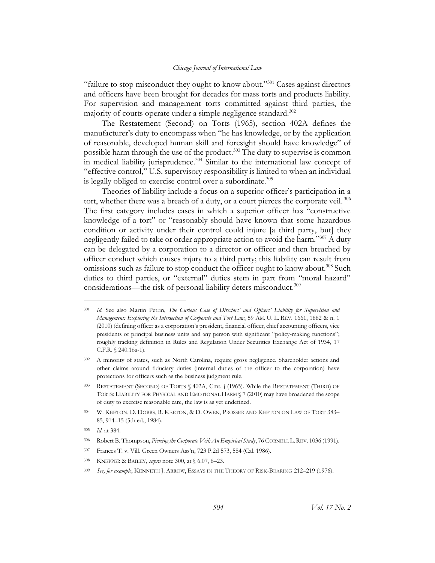"failure to stop misconduct they ought to know about."<sup>301</sup> Cases against directors and officers have been brought for decades for mass torts and products liability. For supervision and management torts committed against third parties, the majority of courts operate under a simple negligence standard.<sup>302</sup>

The Restatement (Second) on Torts (1965), section 402A defines the manufacturer's duty to encompass when "he has knowledge, or by the application of reasonable, developed human skill and foresight should have knowledge" of possible harm through the use of the product.<sup>303</sup> The duty to supervise is common in medical liability jurisprudence.<sup>304</sup> Similar to the international law concept of "effective control," U.S. supervisory responsibility is limited to when an individual is legally obliged to exercise control over a subordinate.<sup>305</sup>

Theories of liability include a focus on a superior officer's participation in a tort, whether there was a breach of a duty, or a court pierces the corporate veil.<sup>306</sup> The first category includes cases in which a superior officer has "constructive knowledge of a tort" or "reasonably should have known that some hazardous condition or activity under their control could injure [a third party, but] they negligently failed to take or order appropriate action to avoid the harm."<sup>307</sup> A duty can be delegated by a corporation to a director or officer and then breached by officer conduct which causes injury to a third party; this liability can result from omissions such as failure to stop conduct the officer ought to know about.<sup>308</sup> Such duties to third parties, or "external" duties stem in part from "moral hazard" considerations—the risk of personal liability deters misconduct.<sup>309</sup>

<sup>301</sup> *Id.* See also Martin Petrin, *The Curious Case of Directors' and Officers' Liability for Supervision and Management: Exploring the Intersection of Corporate and Tort Law*, 59 AM. U. L. REV. 1661, 1662 & n. 1 (2010) (defining officer as a corporation's president, financial officer, chief accounting officers, vice presidents of principal business units and any person with significant "policy-making functions"; roughly tracking definition in Rules and Regulation Under Securities Exchange Act of 1934, 17 C.F.R. § 240.16a-1).

<sup>&</sup>lt;sup>302</sup> A minority of states, such as North Carolina, require gross negligence. Shareholder actions and other claims around fiduciary duties (internal duties of the officer to the corporation) have protections for officers such as the business judgment rule.

<sup>303</sup> RESTATEMENT (SECOND) OF TORTS § 402A, Cmt. j (1965). While the RESTATEMENT (THIRD) OF TORTS: LIABILITY FOR PHYSICAL AND EMOTIONAL HARM § 7 (2010) may have broadened the scope of duty to exercise reasonable care, the law is as yet undefined.

<sup>304</sup> W. KEETON, D. DOBBS, R. KEETON, & D. OWEN, PROSSER AND KEETON ON LAW OF TORT 383– 85, 914–15 (5th ed., 1984).

<sup>305</sup> *Id*. at 384.

<sup>306</sup> Robert B. Thompson, *Piercing the Corporate Veil: An Empirical Study*, 76 CORNELL L.REV. 1036 (1991).

<sup>307</sup> Frances T. v. Vill. Green Owners Ass'n, 723 P.2d 573, 584 (Cal. 1986).

<sup>308</sup> KNEPPER & BAILEY, *supra* note 300, at § 6.07, 6–23.

<sup>309</sup> *See, for example*, KENNETH J. ARROW, ESSAYS IN THE THEORY OF RISK-BEARING 212–219 (1976).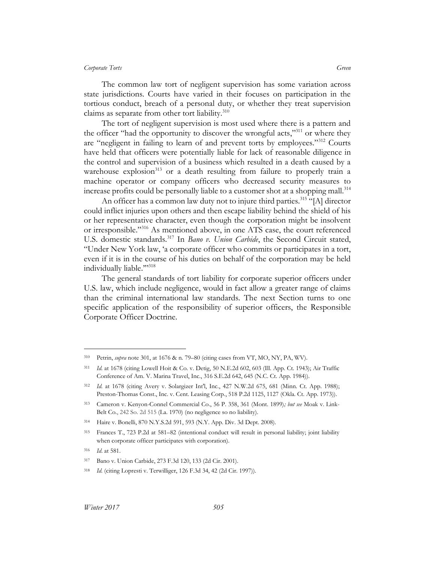The common law tort of negligent supervision has some variation across state jurisdictions. Courts have varied in their focuses on participation in the tortious conduct, breach of a personal duty, or whether they treat supervision claims as separate from other tort liability. $310$ 

The tort of negligent supervision is most used where there is a pattern and the officer "had the opportunity to discover the wrongful acts,"<sup>311</sup> or where they are "negligent in failing to learn of and prevent torts by employees."<sup>312</sup> Courts have held that officers were potentially liable for lack of reasonable diligence in the control and supervision of a business which resulted in a death caused by a warehouse explosion<sup>313</sup> or a death resulting from failure to properly train a machine operator or company officers who decreased security measures to increase profits could be personally liable to a customer shot at a shopping mall.<sup>314</sup>

An officer has a common law duty not to injure third parties.<sup>315</sup> "[A] director could inflict injuries upon others and then escape liability behind the shield of his or her representative character, even though the corporation might be insolvent or irresponsible."<sup>316</sup> As mentioned above, in one ATS case, the court referenced U.S. domestic standards.<sup>317</sup> In *Bano v. Union Carbide*, the Second Circuit stated, "Under New York law, 'a corporate officer who commits or participates in a tort, even if it is in the course of his duties on behalf of the corporation may be held individually liable.""318

The general standards of tort liability for corporate superior officers under U.S. law, which include negligence, would in fact allow a greater range of claims than the criminal international law standards. The next Section turns to one specific application of the responsibility of superior officers, the Responsible Corporate Officer Doctrine.

<sup>310</sup> Petrin, *supra* note 301, at 1676 & n. 79–80 (citing cases from VT, MO, NY, PA, WV).

<sup>311</sup> *Id.* at 1678 (citing Lowell Hoit & Co. v. Detig, 50 N.E.2d 602, 603 (Ill. App. Ct. 1943); Air Traffic Conference of Am. V. Marina Travel, Inc., 316 S.E.2d 642, 645 (N.C. Ct. App. 1984)).

<sup>312</sup> *Id.* at 1678 (citing Avery v. Solargizer Int'l, Inc*.*, 427 N.W.2d 675, 681 (Minn. Ct. App. 1988); Preston-Thomas Const., Inc. v. Cent. Leasing Corp., 518 P.2d 1125, 1127 (Okla. Ct. App. 1973)).

<sup>313</sup> Cameron v. Kenyon-Connel Commercial Co., 56 P. 358, 361 (Mont. 1899)*; but see* Moak v. Link-Belt Co., 242 So. 2d 515 (La. 1970) (no negligence so no liability).

<sup>314</sup> Haire v. Bonelli, 870 N.Y.S.2d 591, 593 (N.Y. App. Div. 3d Dept. 2008).

<sup>315</sup> Frances T., 723 P.2d at 581–82 (intentional conduct will result in personal liability; joint liability when corporate officer participates with corporation).

<sup>316</sup> *Id*. at 581.

<sup>317</sup> Bano v. Union Carbide, 273 F.3d 120, 133 (2d Cir. 2001).

<sup>318</sup> *Id.* (citing Lopresti v. Terwilliger, 126 F.3d 34, 42 (2d Cir. 1997)).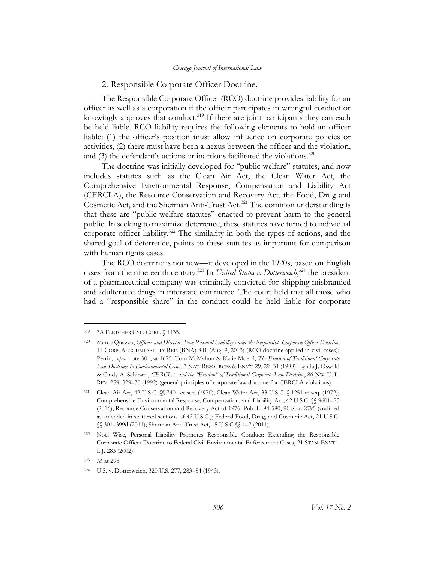## 2. Responsible Corporate Officer Doctrine.

The Responsible Corporate Officer (RCO) doctrine provides liability for an officer as well as a corporation if the officer participates in wrongful conduct or knowingly approves that conduct.<sup>319</sup> If there are joint participants they can each be held liable. RCO liability requires the following elements to hold an officer liable: (1) the officer's position must allow influence on corporate policies or activities, (2) there must have been a nexus between the officer and the violation, and  $(3)$  the defendant's actions or inactions facilitated the violations.<sup>320</sup>

The doctrine was initially developed for "public welfare" statutes, and now includes statutes such as the Clean Air Act, the Clean Water Act, the Comprehensive Environmental Response, Compensation and Liability Act (CERCLA), the Resource Conservation and Recovery Act, the Food, Drug and Cosmetic Act, and the Sherman Anti-Trust Act. <sup>321</sup> The common understanding is that these are "public welfare statutes" enacted to prevent harm to the general public. In seeking to maximize deterrence, these statutes have turned to individual corporate officer liability.<sup>322</sup> The similarity in both the types of actions, and the shared goal of deterrence, points to these statutes as important for comparison with human rights cases.

The RCO doctrine is not new––it developed in the 1920s, based on English cases from the nineteenth century.<sup>323</sup> In *United States v. Dotterweich*,<sup>324</sup> the president of a pharmaceutical company was criminally convicted for shipping misbranded and adulterated drugs in interstate commerce. The court held that all those who had a "responsible share" in the conduct could be held liable for corporate

<sup>319</sup> 3A FLETCHER CYC. CORP. § 1135.

<sup>320</sup> Marco Quazzo, *Officers and Directors Face Personal Liability under the Responsible Corporate Officer Doctrine*, 11 CORP. ACCOUNTABILITY REP. (BNA) 841 (Aug. 9, 2013) (RCO doctrine applied in civil cases); Petrin, *supra* note 301, at 1675; Tom McMahon & Katie Moertl, *The Erosion of Traditional Corporate Law Doctrines in Environmental Cases*, 3 NAT. RESOURCES & ENV'T 29, 29–31 (1988); Lynda J. Oswald & Cindy A. Schipani, *CERCLA and the "Erosion" of Traditional Corporate Law Doctrine*, 86 NW. U. L. REV. 259, 329–30 (1992) (general principles of corporate law doctrine for CERCLA violations).

<sup>321</sup> Clean Air Act, 42 U.S.C. §§ 7401 et seq. (1970); Clean Water Act, 33 U.S.C. § 1251 et seq. (1972); Comprehensive Environmental Response, Compensation, and Liability Act, 42 U.S.C. §§ 9601–75 (2016); Resource Conservation and Recovery Act of 1976, Pub. L. 94-580, 90 Stat. 2795 (codified as amended in scattered sections of 42 U.S.C.); Federal Food, Drug, and Cosmetic Act, 21 U.S.C. §§ 301–399d (2011); Sherman Anti-Trust Act, 15 U.S.C §§ 1–7 (2011).

<sup>322</sup> Noël Wise, Personal Liability Promotes Responsible Conduct: Extending the Responsible Corporate Officer Doctrine to Federal Civil Environmental Enforcement Cases, 21 STAN. ENVTL. L.J. 283 (2002).

<sup>323</sup> *Id.* at 298.

<sup>324</sup> U.S. v. Dotterweich, 320 U.S. 277, 283–84 (1943).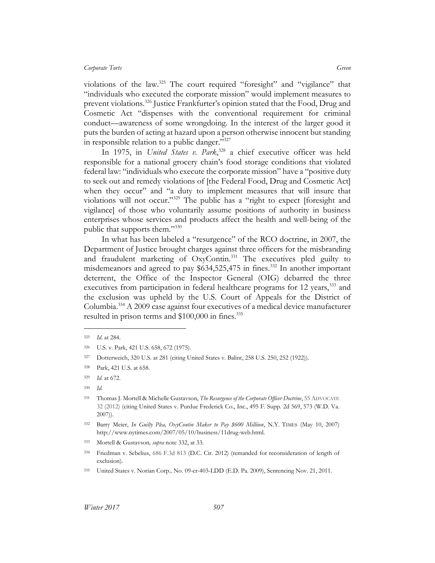violations of the law.<sup>325</sup> The court required "foresight" and "vigilance" that "individuals who executed the corporate mission" would implement measures to prevent violations.<sup>326</sup> Justice Frankfurter's opinion stated that the Food, Drug and Cosmetic Act "dispenses with the conventional requirement for criminal conduct—awareness of some wrongdoing. In the interest of the larger good it puts the burden of acting at hazard upon a person otherwise innocent but standing in responsible relation to a public danger."327

In 1975, in *United States v. Park*, <sup>328</sup> a chief executive officer was held responsible for a national grocery chain's food storage conditions that violated federal law: "individuals who execute the corporate mission" have a "positive duty to seek out and remedy violations of [the Federal Food, Drug and Cosmetic Act] when they occur" and "a duty to implement measures that will insure that violations will not occur."<sup>329</sup> The public has a "right to expect [foresight and vigilance] of those who voluntarily assume positions of authority in business enterprises whose services and products affect the health and well-being of the public that supports them."<sup>330</sup>

In what has been labeled a "resurgence" of the RCO doctrine, in 2007, the Department of Justice brought charges against three officers for the misbranding and fraudulent marketing of OxyContin.<sup>331</sup> The executives pled guilty to misdemeanors and agreed to pay \$634,525,475 in fines.<sup>332</sup> In another important deterrent, the Office of the Inspector General (OIG) debarred the three executives from participation in federal healthcare programs for 12 years,<sup>333</sup> and the exclusion was upheld by the U.S. Court of Appeals for the District of Columbia.<sup>334</sup> A 2009 case against four executives of a medical device manufacturer resulted in prison terms and \$100,000 in fines.<sup>335</sup>

<sup>325</sup> *Id*. at 284.

<sup>326</sup> U.S. v. Park, 421 U.S. 658, 672 (1975).

<sup>327</sup> Dotterweich, 320 U.S. at 281 (citing United States v. Balint, 258 U.S. 250, 252 (1922)).

<sup>328</sup> Park, 421 U.S. at 658.

<sup>329</sup> *Id*. at 672.

<sup>330</sup> *Id.*

<sup>331</sup> Thomas J. Mortell & Michelle Gustavson, *The Resurgence of the Corporate Officer Doctrine*, 55 ADVOCATE 32 (2012) (citing United States v. Purdue Frederick Co., Inc., 495 F. Supp. 2d 569, 573 (W.D. Va. 2007)).

<sup>332</sup> Barry Meier, *In Guilty Plea, OxyContin Maker to Pay \$600 Milliion*, N.Y. TIMES (May 10, 2007) http://www.nytimes.com/2007/05/10/business/11drug-web.html.

<sup>333</sup> Mortell & Gustavson*, supra* note 332, at 33.

<sup>334</sup> Friedman v. Sebelius, 686 F.3d 813 (D.C. Cir. 2012) (remanded for reconsideration of length of exclusion).

<sup>335</sup> United States v. Norian Corp*.,* No. 09-cr-403-LDD (E.D. Pa. 2009), Sentencing Nov. 21, 2011.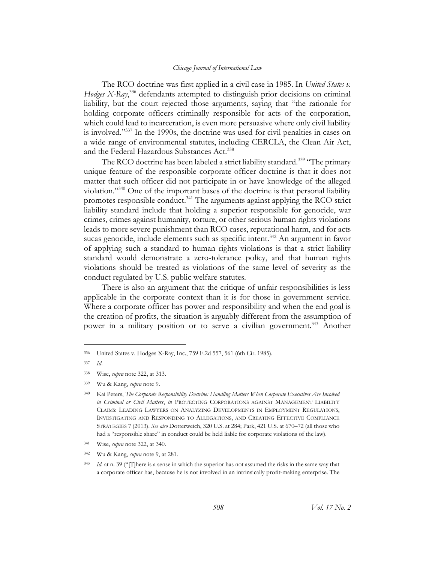The RCO doctrine was first applied in a civil case in 1985. In *United States v.*  Hodges X-Ray,<sup>336</sup> defendants attempted to distinguish prior decisions on criminal liability, but the court rejected those arguments, saying that "the rationale for holding corporate officers criminally responsible for acts of the corporation, which could lead to incarceration, is even more persuasive where only civil liability is involved."<sup>337</sup> In the 1990s, the doctrine was used for civil penalties in cases on a wide range of environmental statutes, including CERCLA, the Clean Air Act, and the Federal Hazardous Substances Act.<sup>338</sup>

The RCO doctrine has been labeled a strict liability standard.<sup>339</sup> "The primary unique feature of the responsible corporate officer doctrine is that it does not matter that such officer did not participate in or have knowledge of the alleged violation."<sup>340</sup> One of the important bases of the doctrine is that personal liability promotes responsible conduct.<sup>341</sup> The arguments against applying the RCO strict liability standard include that holding a superior responsible for genocide, war crimes, crimes against humanity, torture, or other serious human rights violations leads to more severe punishment than RCO cases, reputational harm, and for acts sucas genocide, include elements such as specific intent.<sup>342</sup> An argument in favor of applying such a standard to human rights violations is that a strict liability standard would demonstrate a zero-tolerance policy, and that human rights violations should be treated as violations of the same level of severity as the conduct regulated by U.S. public welfare statutes.

There is also an argument that the critique of unfair responsibilities is less applicable in the corporate context than it is for those in government service. Where a corporate officer has power and responsibility and when the end goal is the creation of profits, the situation is arguably different from the assumption of power in a military position or to serve a civilian government.<sup>343</sup> Another

<sup>336</sup> United States v. Hodges X-Ray, Inc., 759 F.2d 557, 561 (6th Cir. 1985).

<sup>337</sup> *Id*.

<sup>338</sup> Wise, *supra* note 322, at 313.

<sup>339</sup> Wu & Kang, *supra* note [9.](#page-5-0)

<sup>340</sup> Kai Peters, *The Corporate Responsibility Doctrine: Handling Matters When Corporate Executives Are Involved in Criminal or Civil Matters*, *in* PROTECTING CORPORATIONS AGAINST MANAGEMENT LIABILITY CLAIMS: LEADING LAWYERS ON ANALYZING DEVELOPMENTS IN EMPLOYMENT REGULATIONS, INVESTIGATING AND RESPONDING TO ALLEGATIONS, AND CREATING EFFECTIVE COMPLIANCE STRATEGIES 7 (2013). *See also* Dotterweich, 320 U.S. at 284; Park, 421 U.S. at 670–72 (all those who had a "responsible share" in conduct could be held liable for corporate violations of the law).

<sup>341</sup> Wise, *supra* note 322, at 340.

<sup>342</sup> Wu & Kang, *supra* note 9, at 281.

<sup>343</sup> *Id.* at n. 39 ("[T]here is a sense in which the superior has not assumed the risks in the same way that a corporate officer has, because he is not involved in an intrinsically profit-making enterprise. The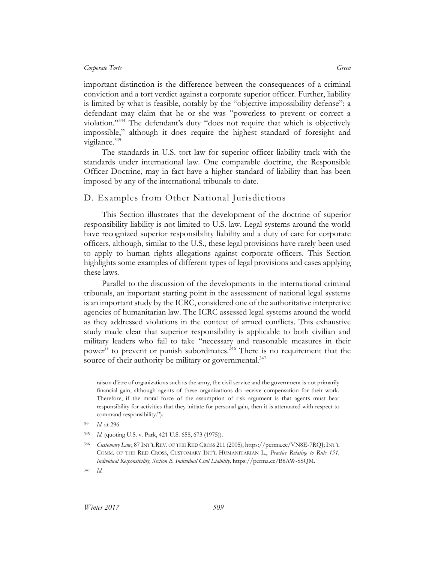important distinction is the difference between the consequences of a criminal conviction and a tort verdict against a corporate superior officer. Further, liability is limited by what is feasible, notably by the "objective impossibility defense": a defendant may claim that he or she was "powerless to prevent or correct a violation."<sup>344</sup> The defendant's duty "does not require that which is objectively impossible," although it does require the highest standard of foresight and vigilance.<sup>345</sup>

The standards in U.S. tort law for superior officer liability track with the standards under international law. One comparable doctrine, the Responsible Officer Doctrine, may in fact have a higher standard of liability than has been imposed by any of the international tribunals to date.

## D. Examples from Other National Jurisdictions

This Section illustrates that the development of the doctrine of superior responsibility liability is not limited to U.S. law. Legal systems around the world have recognized superior responsibility liability and a duty of care for corporate officers, although, similar to the U.S., these legal provisions have rarely been used to apply to human rights allegations against corporate officers. This Section highlights some examples of different types of legal provisions and cases applying these laws.

Parallel to the discussion of the developments in the international criminal tribunals, an important starting point in the assessment of national legal systems is an important study by the ICRC, considered one of the authoritative interpretive agencies of humanitarian law. The ICRC assessed legal systems around the world as they addressed violations in the context of armed conflicts. This exhaustive study made clear that superior responsibility is applicable to both civilian and military leaders who fail to take "necessary and reasonable measures in their power" to prevent or punish subordinates.<sup>346</sup> There is no requirement that the source of their authority be military or governmental.<sup>347</sup>

raison d'être of organizations such as the army, the civil service and the government is not primarily financial gain, although agents of these organizations do receive compensation for their work. Therefore, if the moral force of the assumption of risk argument is that agents must bear responsibility for activities that they initiate for personal gain, then it is attenuated with respect to command responsibility.").

<sup>344</sup> *Id.* at 296.

<sup>345</sup> *Id.* (quoting U.S. v. Park, 421 U.S. 658, 673 (1975)).

<sup>346</sup> *Customary Law*, 87 INT'L REV. OF THE RED CROSS 211 (2005), https://perma.cc/VN8E-7RQJ; INT'L COMM. OF THE RED CROSS, CUSTOMARY INT'L HUMANITARIAN L., *Practice Relating to Rule 151, Individual Responsibility, Section B. Individual Civil Liability,* https://perma.cc/B8AW-SSQM*.*

<sup>347</sup> *Id.*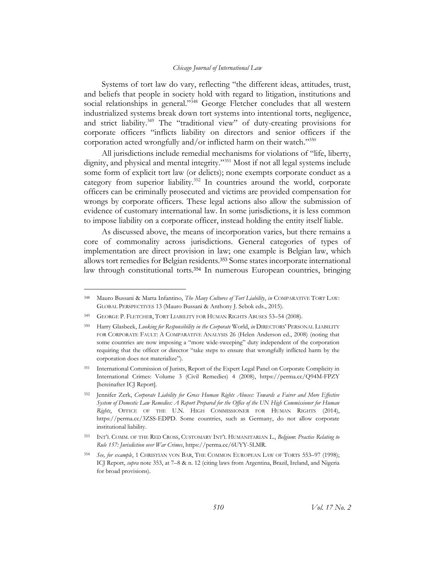Systems of tort law do vary, reflecting "the different ideas, attitudes, trust, and beliefs that people in society hold with regard to litigation, institutions and social relationships in general."<sup>348</sup> George Fletcher concludes that all western industrialized systems break down tort systems into intentional torts, negligence, and strict liability.<sup>349</sup> The "traditional view" of duty-creating provisions for corporate officers "inflicts liability on directors and senior officers if the corporation acted wrongfully and/or inflicted harm on their watch." $350$ 

All jurisdictions include remedial mechanisms for violations of "life, liberty, dignity, and physical and mental integrity."<sup>351</sup> Most if not all legal systems include some form of explicit tort law (or delicts); none exempts corporate conduct as a category from superior liability.<sup>352</sup> In countries around the world, corporate officers can be criminally prosecuted and victims are provided compensation for wrongs by corporate officers. These legal actions also allow the submission of evidence of customary international law. In some jurisdictions, it is less common to impose liability on a corporate officer, instead holding the entity itself liable.

As discussed above, the means of incorporation varies, but there remains a core of commonality across jurisdictions. General categories of types of implementation are direct provision in law; one example is Belgian law, which allows tort remedies for Belgian residents.<sup>353</sup> Some states incorporate international law through constitutional torts. <sup>354</sup> In numerous European countries, bringing

<sup>348</sup> Mauro Bussani & Marta Infantino, *The Many Cultures of Tort Liability*, *in* COMPARATIVE TORT LAW: GLOBAL PERSPECTIVES 13 (Mauro Bussani & Anthony J. Sebok eds., 2015).

<sup>349</sup> GEORGE P. FLETCHER, TORT LIABILITY FOR HUMAN RIGHTS ABUSES 53–54 (2008).

<sup>350</sup> Harry Glasbeek, *Looking for Responsibility in the Corporate* World, *in* DIRECTORS' PERSONAL LIABILITY FOR CORPORATE FAULT: A COMPARATIVE ANALYSIS 26 (Helen Anderson ed., 2008) (noting that some countries are now imposing a "more wide-sweeping" duty independent of the corporation requiring that the officer or director "take steps to ensure that wrongfully inflicted harm by the corporation does not materialize").

<sup>351</sup> International Commission of Jurists, Report of the Expert Legal Panel on Corporate Complicity in International Crimes: Volume 3 (Civil Remedies) 4 (2008), https://perma.cc/Q94M-FPZY [hereinafter ICJ Report].

<sup>352</sup> Jennifer Zerk, *Corporate Liability for Gross Human Rights Abuses: Towards a Fairer and More Effective System of Domestic Law Remedies: A Report Prepared for the Office of the UN High Commissioner for Human Rights*, OFFICE OF THE U.N. HIGH COMMISSIONER FOR HUMAN RIGHTS (2014), https://perma.cc/3ZSS-EDPD. Some countries, such as Germany, do not allow corporate institutional liability.

<sup>353</sup> INT'L COMM. OF THE RED CROSS, CUSTOMARY INT'L HUMANITARIAN L., *Belgium*: *Practice Relating to Rule 157: Jurisdiction over War Crimes*, https://perma.cc/6UYY-5LMR.

<sup>354</sup> *See, for example*, 1 CHRISTIAN VON BAR, THE COMMON EUROPEAN LAW OF TORTS 553–97 (1998); ICJ Report, *supra* note 353, at 7–8 & n. 12 (citing laws from Argentina, Brazil, Ireland, and Nigeria for broad provisions).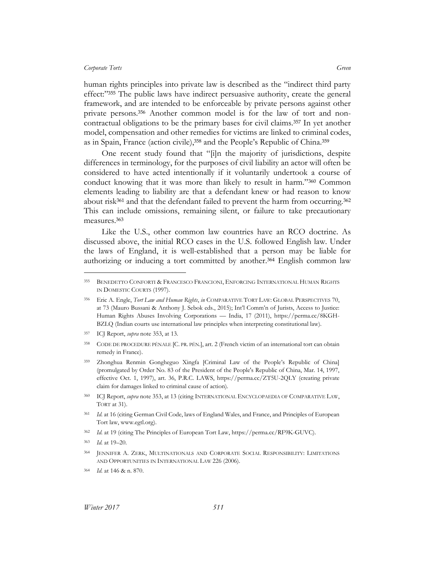human rights principles into private law is described as the "indirect third party effect:"<sup>355</sup> The public laws have indirect persuasive authority, create the general framework, and are intended to be enforceable by private persons against other private persons.<sup>356</sup> Another common model is for the law of tort and noncontractual obligations to be the primary bases for civil claims.<sup>357</sup> In yet another model, compensation and other remedies for victims are linked to criminal codes, as in Spain, France (action civile),<sup>358</sup> and the People's Republic of China.<sup>359</sup>

One recent study found that "[i]n the majority of jurisdictions, despite differences in terminology, for the purposes of civil liability an actor will often be considered to have acted intentionally if it voluntarily undertook a course of conduct knowing that it was more than likely to result in harm."<sup>360</sup> Common elements leading to liability are that a defendant knew or had reason to know about risk $361$  and that the defendant failed to prevent the harm from occurring.  $362$ This can include omissions, remaining silent, or failure to take precautionary measures.<sup>363</sup>

Like the U.S., other common law countries have an RCO doctrine. As discussed above, the initial RCO cases in the U.S. followed English law. Under the laws of England, it is well-established that a person may be liable for authorizing or inducing a tort committed by another.<sup>364</sup> English common law

<sup>355</sup> BENEDETTO CONFORTI & FRANCESCO FRANCIONI, ENFORCING INTERNATIONAL HUMAN RIGHTS IN DOMESTIC COURTS (1997).

<sup>356</sup> Eric A. Engle, *Tort Law and Human Rights*, *in* COMPARATIVE TORT LAW: GLOBAL PERSPECTIVES 70, at 73 (Mauro Bussani & Anthony J. Sebok eds., 2015); Int'l Comm'n of Jurists, Access to Justice: Human Rights Abuses Involving Corporations — India, 17 (2011), https://perma.cc/8KGH-BZLQ (Indian courts use international law principles when interpreting constitutional law).

<sup>357</sup> ICJ Report, *supra* note 353, at 13.

<sup>358</sup> CODE DE PROCEDURE PÉNALE [C. PR. PÉN.], art. 2 (French victim of an international tort can obtain remedy in France).

<sup>359</sup> Zhonghua Renmin Gongheguo Xingfa [Criminal Law of the People's Republic of China] (promulgated by Order No. 83 of the President of the People's Republic of China, Mar. 14, 1997, effective Oct. 1, 1997), art. 36, P.R.C. LAWS, https://perma.cc/ZT5U-2QLY (creating private claim for damages linked to criminal cause of action).

<sup>360</sup> ICJ Report, *supra* note 353, at 13 (citing INTERNATIONAL ENCYCLOPAEDIA OF COMPARATIVE LAW, TORT at 31).

<sup>361</sup> *Id.* at 16 (citing German Civil Code, laws of England Wales, and France, and Principles of European Tort law, www.egtl.org).

<sup>362</sup> *Id.* at 19 (citing The Principles of European Tort Law, https://perma.cc/RF9K-GUVC).

<sup>363</sup> *Id.* at 19–20.

<sup>364</sup> JENNIFER A. ZERK, MULTINATIONALS AND CORPORATE SOCIAL RESPONSIBILITY: LIMITATIONS AND OPPORTUNITIES IN INTERNATIONAL LAW 226 (2006).

<sup>364</sup> *Id.* at 146 & n. 870.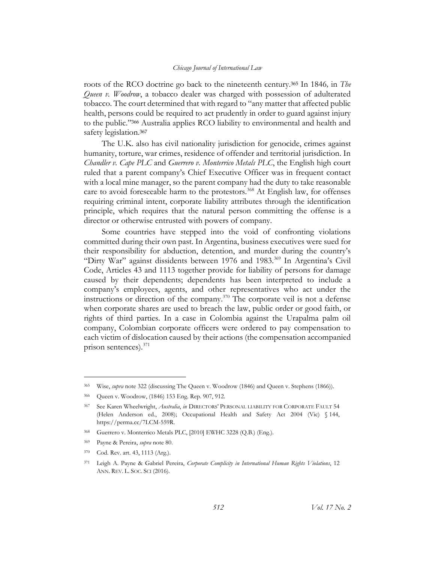roots of the RCO doctrine go back to the nineteenth century.<sup>365</sup> In 1846*,* in *The Queen v. Woodrow*, a tobacco dealer was charged with possession of adulterated tobacco. The court determined that with regard to "any matter that affected public health, persons could be required to act prudently in order to guard against injury to the public."<sup>366</sup> Australia applies RCO liability to environmental and health and safety legislation.<sup>367</sup>

The U.K. also has civil nationality jurisdiction for genocide, crimes against humanity, torture, war crimes, residence of offender and territorial jurisdiction. In *Chandler v. Cape PLC* and *Guerrero v. Monterrico Metals PLC*, the English high court ruled that a parent company's Chief Executive Officer was in frequent contact with a local mine manager, so the parent company had the duty to take reasonable care to avoid foreseeable harm to the protestors.<sup>368</sup> At English law, for offenses requiring criminal intent, corporate liability attributes through the identification principle, which requires that the natural person committing the offense is a director or otherwise entrusted with powers of company.

Some countries have stepped into the void of confronting violations committed during their own past. In Argentina, business executives were sued for their responsibility for abduction, detention, and murder during the country's "Dirty War" against dissidents between 1976 and 1983.<sup>369</sup> In Argentina's Civil Code, Articles 43 and 1113 together provide for liability of persons for damage caused by their dependents; dependents has been interpreted to include a company's employees, agents, and other representatives who act under the instructions or direction of the company. <sup>370</sup> The corporate veil is not a defense when corporate shares are used to breach the law, public order or good faith, or rights of third parties. In a case in Colombia against the Urapalma palm oil company, Colombian corporate officers were ordered to pay compensation to each victim of dislocation caused by their actions (the compensation accompanied prison sentences).<sup>371</sup>

<sup>365</sup> Wise, *supra* note 322 (discussing The Queen v. Woodrow (1846) and Queen v. Stephens (1866)).

<sup>366</sup> Queen v. Woodrow, (1846) 153 Eng. Rep. 907, 912.

<sup>367</sup> See Karen Wheelwright, *Australia*, *in* DIRECTORS' PERSONAL LIABILITY FOR CORPORATE FAULT 54 (Helen Anderson ed., 2008); Occupational Health and Safety Act 2004 (Vic) § 144, https://perma.cc/7LCM-559R.

<sup>368</sup> Guerrero v. Monterrico Metals PLC, [2010] EWHC 3228 (Q.B.) (Eng.).

<sup>369</sup> Payne & Pereira, *supra* note 80.

<sup>370</sup> Cod. Rev. art. 43, 1113 (Arg.).

<sup>371</sup> Leigh A. Payne & Gabriel Pereira, *Corporate Complicity in International Human Rights Violations*, 12 ANN. REV. L. SOC. SCI (2016).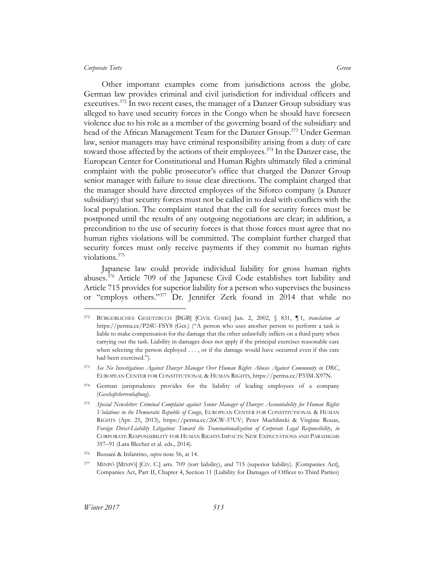Other important examples come from jurisdictions across the globe. German law provides criminal and civil jurisdiction for individual officers and executives.<sup>372</sup> In two recent cases, the manager of a Danzer Group subsidiary was alleged to have used security forces in the Congo when he should have foreseen violence due to his role as a member of the governing board of the subsidiary and head of the African Management Team for the Danzer Group.<sup>373</sup> Under German law, senior managers may have criminal responsibility arising from a duty of care toward those affected by the actions of their employees.<sup>374</sup> In the Danzer case, the European Center for Constitutional and Human Rights ultimately filed a criminal complaint with the public prosecutor's office that charged the Danzer Group senior manager with failure to issue clear directions. The complaint charged that the manager should have directed employees of the Siforco company (a Danzer subsidiary) that security forces must not be called in to deal with conflicts with the local population. The complaint stated that the call for security forces must be postponed until the results of any outgoing negotiations are clear; in addition, a precondition to the use of security forces is that those forces must agree that no human rights violations will be committed. The complaint further charged that security forces must only receive payments if they commit no human rights violations. 375

Japanese law could provide individual liability for gross human rights abuses.<sup>376</sup> Article 709 of the Japanese Civil Code establishes tort liability and Article 715 provides for superior liability for a person who supervises the business or "employs others."<sup>377</sup> Dr. Jennifer Zerk found in 2014 that while no

<sup>372</sup> BÜRGERLICHES GESETZBUCH [BGB] [CIVIL CODE] Jan. 2, 2002, § 831, ¶ 1, *translation at* https://perma.cc/P24U-FSY8 (Ger.) ("A person who uses another person to perform a task is liable to make compensation for the damage that the other unlawfully inflicts on a third party when carrying out the task. Liability in damages does not apply if the principal exercises reasonable care when selecting the person deployed . . . , or if the damage would have occurred even if this care had been exercised.").

<sup>373</sup> *See No Investigations Against Danzer Manager Over Human Rights Abuses Against Community in DRC*, EUROPEAN CENTER FOR CONSTITUTIONAL & HUMAN RIGHTS, https://perma.cc/P33M-X97N.

<sup>374</sup> German jurisprudence provides for the liability of leading employees of a company (*Geschaftsherrenhaftung*).

<sup>375</sup> *Special Newsletter: Criminal Complaint against Senior Manager of Danzer: Accountability for Human Rights Violations in the Democratic Republic of Congo*, EUROPEAN CENTER FOR CONSTITUTIONAL & HUMAN RIGHTS (Apr. 25, 2013), https://perma.cc/26CW-57UV; Peter Muchlinski & Virginie Rouas, *Foreign Direct-Liability Litigation: Toward the Transnationalization of Corporate Legal Responsibility*, *in* CORPORATE RESPONSIBILITY FOR HUMAN RIGHTS IMPACTS: NEW EXPECTATIONS AND PARADIGMS 357–91 (Lara Blecher et al. eds., 2014).

<sup>376</sup> Bussani & Infantino, *supra* note 56, at 14.

<sup>377</sup> MINPÕ [MINPÕ] [CIV. C.] arts. 709 (tort liability), and 715 (superior liability). [Companies Act], Companies Act, Part II, Chapter 4, Section 11 (Liability for Damages of Officer to Third Parties)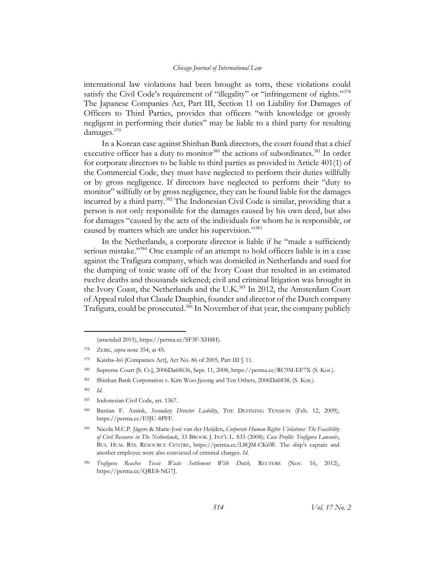international law violations had been brought as torts, these violations could satisfy the Civil Code's requirement of "illegality" or "infringement of rights."<sup>378</sup> The Japanese Companies Act, Part III, Section 11 on Liability for Damages of Officers to Third Parties, provides that officers "with knowledge or grossly negligent in performing their duties" may be liable to a third party for resulting damages.<sup>379</sup>

In a Korean case against Shinhan Bank directors, the court found that a chief executive officer has a duty to monitor<sup>380</sup> the actions of subordinates.<sup>381</sup> In order for corporate directors to be liable to third parties as provided in Article 401(1) of the Commercial Code, they must have neglected to perform their duties willfully or by gross negligence. If directors have neglected to perform their "duty to monitor" willfully or by gross negligence, they can be found liable for the damages incurred by a third party. <sup>382</sup> The Indonesian Civil Code is similar, providing that a person is not only responsible for the damages caused by his own deed, but also for damages "caused by the acts of the individuals for whom he is responsible, or caused by matters which are under his supervision."<sup>383</sup>

In the Netherlands, a corporate director is liable if he "made a sufficiently serious mistake."<sup>384</sup> One example of an attempt to hold officers liable is in a case against the Trafigura company, which was domiciled in Netherlands and sued for the dumping of toxic waste off of the Ivory Coast that resulted in an estimated twelve deaths and thousands sickened; civil and criminal litigation was brought in the Ivory Coast, the Netherlands and the U.K.<sup>385</sup> In 2012, the Amsterdam Court of Appeal ruled that Claude Dauphin, founder and director of the Dutch company Trafigura, could be prosecuted. <sup>386</sup> In November of that year, the company publicly

<sup>(</sup>amended 2015), https://perma.cc/SF3F-XH8H).

<sup>378</sup> ZERK, *supra* note 354, at 45.

<sup>379</sup> Kaisha–hō [Companies Act], Act No. 86 of 2005, Part III § 11.

<sup>380</sup> Supreme Court [S. Ct.], 2006Da68636, Sept. 11, 2008, https://perma.cc/RC9M-EF7X (S. Kor.).

<sup>381</sup> Shinhan Bank Corporation v. Kim Woo-Jjoong and Ten Others, 2006Da6838, (S. Kor.).

<sup>382</sup> *Id*.

<sup>383</sup> Indonesian Civil Code, art. 1367.

<sup>384</sup> Bastian F. Assink, *Secondary Director Liability*, THE DEFINING TENSION (Feb. 12, 2009), https://perma.cc/E9JU-8PFF.

<sup>385</sup> Nicola M.C.P. Jägers & Marie-José van der Heijden, *Corporate Human Rights Violations: The Feasibility of Civil Recourse in The Netherlands*, 33 BROOK J. INT'L L. 833 (2008); *Case Profile: Trafigura Lawsuits*, BUS. HUM. RTS. RESOURCE CENTRE, https://perma.cc/L8QM-CK6W. The ship's captain and another employee were also convicted of criminal charges. *Id.*

<sup>386</sup> *Trafigura Reaches Toxic Waste Settlement With Dutch,* REUTERS (Nov. 16, 2012), https://perma.cc/QRE8-NG7J.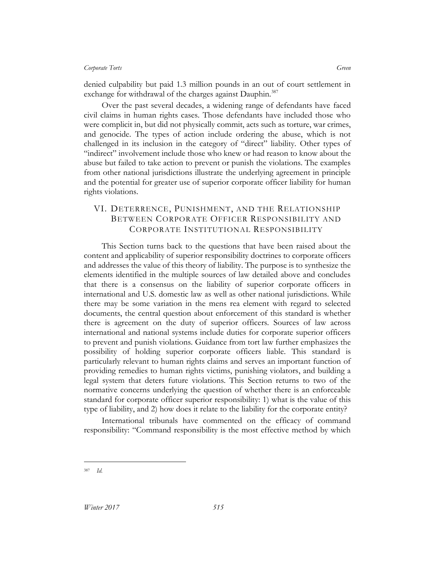denied culpability but paid 1.3 million pounds in an out of court settlement in exchange for withdrawal of the charges against Dauphin.<sup>387</sup>

Over the past several decades, a widening range of defendants have faced civil claims in human rights cases. Those defendants have included those who were complicit in, but did not physically commit, acts such as torture, war crimes, and genocide. The types of action include ordering the abuse, which is not challenged in its inclusion in the category of "direct" liability. Other types of "indirect" involvement include those who knew or had reason to know about the abuse but failed to take action to prevent or punish the violations. The examples from other national jurisdictions illustrate the underlying agreement in principle and the potential for greater use of superior corporate officer liability for human rights violations.

# VI. DETERRENCE, PUNISHMENT, AND THE RELATIONSHIP BETWEEN CORPORATE OFFICER RESPONSIBILITY AND CORPORATE INSTITUTIONAL RESPONSIBILITY

This Section turns back to the questions that have been raised about the content and applicability of superior responsibility doctrines to corporate officers and addresses the value of this theory of liability. The purpose is to synthesize the elements identified in the multiple sources of law detailed above and concludes that there is a consensus on the liability of superior corporate officers in international and U.S. domestic law as well as other national jurisdictions. While there may be some variation in the mens rea element with regard to selected documents, the central question about enforcement of this standard is whether there is agreement on the duty of superior officers. Sources of law across international and national systems include duties for corporate superior officers to prevent and punish violations. Guidance from tort law further emphasizes the possibility of holding superior corporate officers liable. This standard is particularly relevant to human rights claims and serves an important function of providing remedies to human rights victims, punishing violators, and building a legal system that deters future violations. This Section returns to two of the normative concerns underlying the question of whether there is an enforceable standard for corporate officer superior responsibility: 1) what is the value of this type of liability, and 2) how does it relate to the liability for the corporate entity?

International tribunals have commented on the efficacy of command responsibility: "Command responsibility is the most effective method by which

<sup>387</sup> *Id.*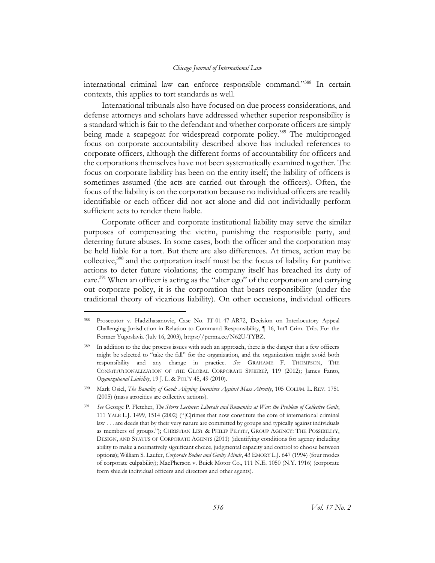international criminal law can enforce responsible command."<sup>388</sup> In certain contexts, this applies to tort standards as well.

International tribunals also have focused on due process considerations, and defense attorneys and scholars have addressed whether superior responsibility is a standard which is fair to the defendant and whether corporate officers are simply being made a scapegoat for widespread corporate policy.<sup>389</sup> The multipronged focus on corporate accountability described above has included references to corporate officers, although the different forms of accountability for officers and the corporations themselves have not been systematically examined together. The focus on corporate liability has been on the entity itself; the liability of officers is sometimes assumed (the acts are carried out through the officers). Often, the focus of the liability is on the corporation because no individual officers are readily identifiable or each officer did not act alone and did not individually perform sufficient acts to render them liable.

Corporate officer and corporate institutional liability may serve the similar purposes of compensating the victim, punishing the responsible party, and deterring future abuses. In some cases, both the officer and the corporation may be held liable for a tort. But there are also differences. At times, action may be collective, $390$  and the corporation itself must be the focus of liability for punitive actions to deter future violations; the company itself has breached its duty of care.<sup>391</sup> When an officer is acting as the "alter ego" of the corporation and carrying out corporate policy, it is the corporation that bears responsibility (under the traditional theory of vicarious liability). On other occasions, individual officers

<sup>388</sup> Prosecutor v. Hadzihasanovic, Case No. IT-01-47-AR72, Decision on Interlocutory Appeal Challenging Jurisdiction in Relation to Command Responsibility, ¶ 16, Int'l Crim. Trib. For the Former Yugoslavia (July 16, 2003), https://perma.cc/N62U-TYBZ.

<sup>&</sup>lt;sup>389</sup> In addition to the due process issues with such an approach, there is the danger that a few officers might be selected to "take the fall" for the organization, and the organization might avoid both responsibility and any change in practice. *See* GRAHAME F. THOMPSON, THE CONSTITUTIONALIZATION OF THE GLOBAL CORPORATE SPHERE?, 119 (2012); James Fanto, *Organizational Liability*, 19 J. L. & POL'Y 45, 49 (2010).

<sup>390</sup> Mark Osiel, *The Banality of Good: Aligning Incentives Against Mass Atrocity*, 105 COLUM. L. REV. 1751 (2005) (mass atrocities are collective actions).

<sup>391</sup> *See* George P. Fletcher, *The Storrs Lectures: Liberals and Romantics at War: the Problem of Collective Guilt*, 111 YALE L.J. 1499, 1514 (2002) ("[C]rimes that now constitute the core of international criminal law . . . are deeds that by their very nature are committed by groups and typically against individuals as members of groups."); CHRISTIAN LIST & PHILIP PETTIT, GROUP AGENCY: THE POSSIBILITY, DESIGN, AND STATUS OF CORPORATE AGENTS (2011) (identifying conditions for agency including ability to make a normatively significant choice, judgmental capacity and control to choose between options); William S. Laufer, *Corporate Bodies and Guilty Minds*, 43 EMORY L.J. 647 (1994) (four modes of corporate culpability); MacPherson v. Buick Motor Co., 111 N.E. 1050 (N.Y. 1916) (corporate form shields individual officers and directors and other agents).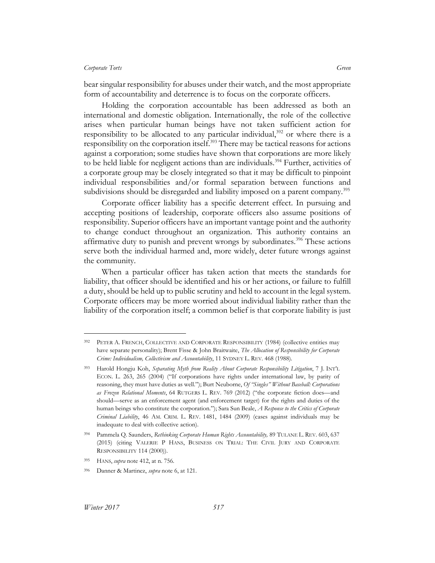bear singular responsibility for abuses under their watch, and the most appropriate form of accountability and deterrence is to focus on the corporate officers.

Holding the corporation accountable has been addressed as both an international and domestic obligation. Internationally, the role of the collective arises when particular human beings have not taken sufficient action for responsibility to be allocated to any particular individual, $392$  or where there is a responsibility on the corporation itself.<sup>393</sup> There may be tactical reasons for actions against a corporation; some studies have shown that corporations are more likely to be held liable for negligent actions than are individuals.<sup>394</sup> Further, activities of a corporate group may be closely integrated so that it may be difficult to pinpoint individual responsibilities and/or formal separation between functions and subdivisions should be disregarded and liability imposed on a parent company.<sup>395</sup>

Corporate officer liability has a specific deterrent effect. In pursuing and accepting positions of leadership, corporate officers also assume positions of responsibility. Superior officers have an important vantage point and the authority to change conduct throughout an organization. This authority contains an affirmative duty to punish and prevent wrongs by subordinates.<sup>396</sup> These actions serve both the individual harmed and, more widely, deter future wrongs against the community.

When a particular officer has taken action that meets the standards for liability, that officer should be identified and his or her actions, or failure to fulfill a duty, should be held up to public scrutiny and held to account in the legal system. Corporate officers may be more worried about individual liability rather than the liability of the corporation itself; a common belief is that corporate liability is just

<sup>392</sup> PETER A. FRENCH, COLLECTIVE AND CORPORATE RESPONSIBILITY (1984) (collective entities may have separate personality); Brent Fisse & John Braitwaite, *The Allocation of Responsibility for Corporate Crime: Individualism, Collectivism and Accountability*, 11 SYDNEY L. REV. 468 (1988).

<sup>393</sup> Harold Hongju Koh, *Separating Myth from Reality About Corporate Responsibility Litigation*, 7 J. INT'L ECON. L. 263, 265 (2004) ("If corporations have rights under international law, by parity of reasoning, they must have duties as well."); Burt Neuborne, *Of "Singles" Without Baseball: Corporations as Frozen Relational Moments*, 64 RUTGERS L. REV. 769 (2012) ("the corporate fiction does—and should—serve as an enforcement agent (and enforcement target) for the rights and duties of the human beings who constitute the corporation."); Sara Sun Beale, *A Response to the Critics of Corporate Criminal Liability*, 46 AM. CRIM. L. REV. 1481, 1484 (2009) (cases against individuals may be inadequate to deal with collective action).

<sup>394</sup> Pammela Q. Saunders, *Rethinking Corporate Human Rights Accountability,* 89 TULANE L. REV. 603, 637 (2015) (citing VALERIE P HANS, BUSINESS ON TRIAL: THE CIVIL JURY AND CORPORATE RESPONSIBILITY 114 (2000)).

<sup>395</sup> HANS, *supra* note 412, at n. 756.

<sup>396</sup> Danner & Martinez, *supra* note 6, at 121.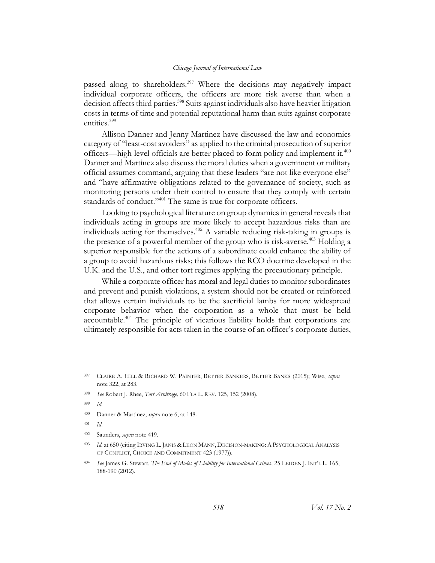## *Chicago Journal of International Law*

passed along to shareholders.<sup>397</sup> Where the decisions may negatively impact individual corporate officers, the officers are more risk averse than when a decision affects third parties.<sup>398</sup> Suits against individuals also have heavier litigation costs in terms of time and potential reputational harm than suits against corporate entities.<sup>399</sup>

Allison Danner and Jenny Martinez have discussed the law and economics category of "least-cost avoiders" as applied to the criminal prosecution of superior officers—high-level officials are better placed to form policy and implement it.<sup>400</sup> Danner and Martinez also discuss the moral duties when a government or military official assumes command, arguing that these leaders "are not like everyone else" and "have affirmative obligations related to the governance of society, such as monitoring persons under their control to ensure that they comply with certain standards of conduct."<sup>401</sup> The same is true for corporate officers.

Looking to psychological literature on group dynamics in general reveals that individuals acting in groups are more likely to accept hazardous risks than are individuals acting for themselves.<sup>402</sup> A variable reducing risk-taking in groups is the presence of a powerful member of the group who is risk-averse.<sup>403</sup> Holding a superior responsible for the actions of a subordinate could enhance the ability of a group to avoid hazardous risks; this follows the RCO doctrine developed in the U.K. and the U.S., and other tort regimes applying the precautionary principle.

While a corporate officer has moral and legal duties to monitor subordinates and prevent and punish violations, a system should not be created or reinforced that allows certain individuals to be the sacrificial lambs for more widespread corporate behavior when the corporation as a whole that must be held accountable.<sup>404</sup> The principle of vicarious liability holds that corporations are ultimately responsible for acts taken in the course of an officer's corporate duties,

 $\overline{a}$ 

<sup>400</sup> Danner & Martinez, *supra* note 6, at 148.

<sup>401</sup> *Id*.

<sup>397</sup> CLAIRE A. HILL & RICHARD W. PAINTER, BETTER BANKERS, BETTER BANKS (2015); Wise, *supra*  note 322, at 283.

<sup>398</sup> *See* Robert J. Rhee, *Tort Arbitrage,* 60 FLA L. REV. 125, 152 (2008).

*Id.* 

<sup>402</sup> Saunders, *supra* note 419*.*

<sup>403</sup> *Id.* at 650 (citing IRVING L. JANIS & LEON MANN, DECISION-MAKING:A PSYCHOLOGICAL ANALYSIS OF CONFLICT, CHOICE AND COMMITMENT 423 (1977)).

<sup>404</sup> *See* James G. Stewart, *The End of Modes of Liability for International Crimes*, 25 LEIDEN J. INT'L L. 165, 188-190 (2012).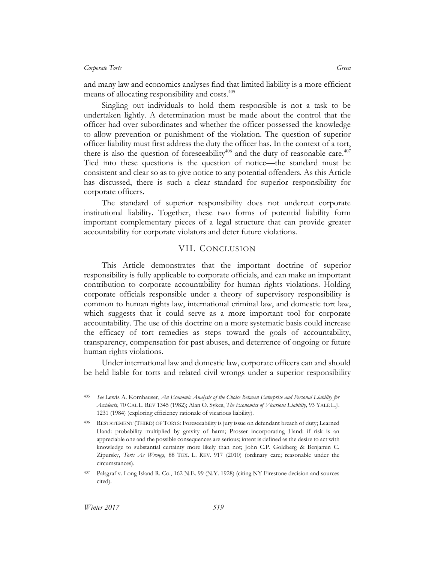## *Corporate Torts Green*

and many law and economics analyses find that limited liability is a more efficient means of allocating responsibility and costs.<sup>405</sup>

Singling out individuals to hold them responsible is not a task to be undertaken lightly. A determination must be made about the control that the officer had over subordinates and whether the officer possessed the knowledge to allow prevention or punishment of the violation. The question of superior officer liability must first address the duty the officer has. In the context of a tort, there is also the question of foreseeability<sup>406</sup> and the duty of reasonable care.<sup>407</sup> Tied into these questions is the question of notice—the standard must be consistent and clear so as to give notice to any potential offenders. As this Article has discussed, there is such a clear standard for superior responsibility for corporate officers.

The standard of superior responsibility does not undercut corporate institutional liability. Together, these two forms of potential liability form important complementary pieces of a legal structure that can provide greater accountability for corporate violators and deter future violations.

## VII. CONCLUSION

This Article demonstrates that the important doctrine of superior responsibility is fully applicable to corporate officials, and can make an important contribution to corporate accountability for human rights violations. Holding corporate officials responsible under a theory of supervisory responsibility is common to human rights law, international criminal law, and domestic tort law, which suggests that it could serve as a more important tool for corporate accountability. The use of this doctrine on a more systematic basis could increase the efficacy of tort remedies as steps toward the goals of accountability, transparency, compensation for past abuses, and deterrence of ongoing or future human rights violations.

Under international law and domestic law, corporate officers can and should be held liable for torts and related civil wrongs under a superior responsibility

 $\overline{a}$ 

<sup>405</sup> *See* Lewis A. Kornhauser, *An Economic Analysis of the Choice Between Enterprise and Personal Liability for Accidents*, 70 CAL L. REV 1345 (1982); Alan O. Sykes, *The Economics of Vicarious Liability,* 93 YALE L.J. 1231 (1984) (exploring efficiency rationale of vicarious liability).

<sup>406</sup> RESTATEMENT (THIRD) OF TORTS: Foreseeability is jury issue on defendant breach of duty; Learned Hand: probability multiplied by gravity of harm; Prosser incorporating Hand: if risk is an appreciable one and the possible consequences are serious; intent is defined as the desire to act with knowledge to substantial certainty more likely than not; John C.P. Goldberg & Benjamin C. Zipursky, *Torts As Wrongs,* 88 TEX. L. REV. 917 (2010) (ordinary care; reasonable under the circumstances).

<sup>407</sup> Palsgraf v. Long Island R. Co., 162 N.E. 99 (N.Y. 1928) (citing NY Firestone decision and sources cited).